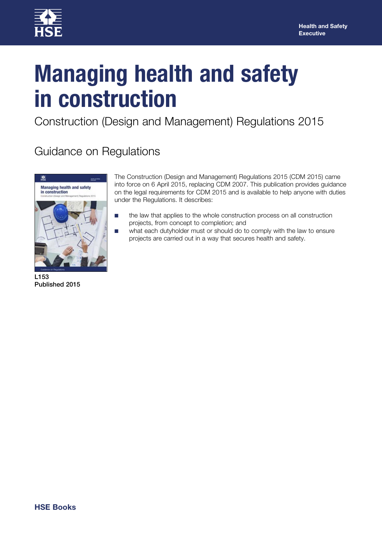

# **Managing health and safety in construction**

Construction (Design and Management) Regulations 2015

# Guidance on Regulations



The Construction (Design and Management) Regulations 2015 (CDM 2015) came into force on 6 April 2015, replacing CDM 2007. This publication provides guidance on the legal requirements for CDM 2015 and is available to help anyone with duties under the Regulations. It describes:

- the law that applies to the whole construction process on all construction projects, from concept to completion; and
- what each dutyholder must or should do to comply with the law to ensure projects are carried out in a way that secures health and safety.

L153 Published 2015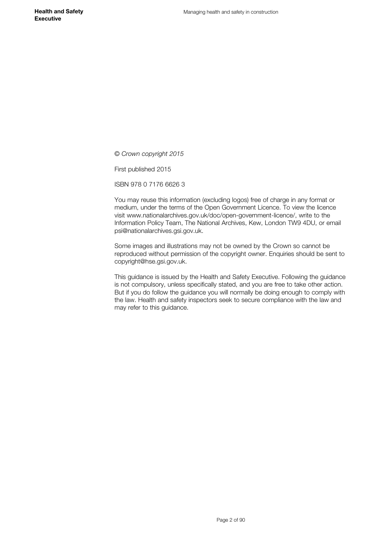*© Crown copyright 2015*

First published 2015

ISBN 978 0 7176 6626 3

You may reuse this information (excluding logos) free of charge in any format or medium, under the terms of the Open Government Licence. To view the licence visit [www.nationalarchives.gov.uk/doc/open-government-licence/](http://www.nationalarchives.gov.uk/doc/open-government-licence/), write to the Information Policy Team, The National Archives, Kew, London TW9 4DU, or email [psi@nationalarchives.gsi.gov.uk](mailto:psi@nationalarchives.gsi.gov.uk).

Some images and illustrations may not be owned by the Crown so cannot be reproduced without permission of the copyright owner. Enquiries should be sent to [copyright@hse.gsi.gov.uk.](mailto:copyright@hse.gsi.gov.uk)

This guidance is issued by the Health and Safety Executive. Following the guidance is not compulsory, unless specifically stated, and you are free to take other action. But if you do follow the guidance you will normally be doing enough to comply with the law. Health and safety inspectors seek to secure compliance with the law and may refer to this guidance.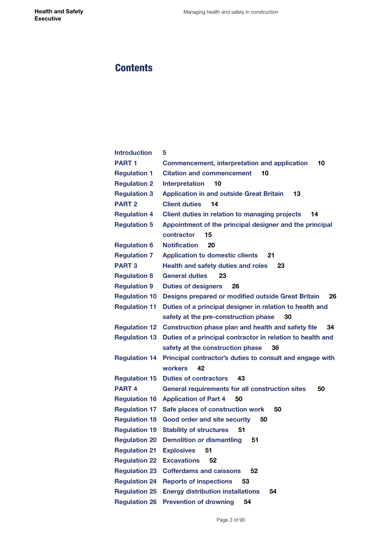### **Contents**

| <b>Introduction</b>  | 5                                                                           |
|----------------------|-----------------------------------------------------------------------------|
| <b>PART 1</b>        | <b>Commencement, interpretation and application</b><br>10                   |
| <b>Regulation 1</b>  | <b>Citation and commencement</b><br>10                                      |
| <b>Regulation 2</b>  | <b>Interpretation</b><br>10                                                 |
| <b>Regulation 3</b>  | <b>Application in and outside Great Britain</b><br>13                       |
| <b>PART 2</b>        | <b>Client duties</b><br>14                                                  |
| <b>Regulation 4</b>  | Client duties in relation to managing projects<br>14                        |
| <b>Regulation 5</b>  | Appointment of the principal designer and the principal<br>contractor<br>15 |
| <b>Regulation 6</b>  | <b>Notification</b><br>20                                                   |
| <b>Regulation 7</b>  | <b>Application to domestic clients</b><br>21                                |
| <b>PART 3</b>        | <b>Health and safety duties and roles</b><br>23                             |
| <b>Regulation 8</b>  | <b>General duties</b><br>23                                                 |
| <b>Regulation 9</b>  | <b>Duties of designers</b><br>26                                            |
| <b>Regulation 10</b> | Designs prepared or modified outside Great Britain<br>26                    |
| <b>Regulation 11</b> | Duties of a principal designer in relation to health and                    |
|                      | safety at the pre-construction phase<br>30                                  |
| <b>Regulation 12</b> | Construction phase plan and health and safety file<br>34                    |
| <b>Regulation 13</b> | Duties of a principal contractor in relation to health and                  |
|                      | safety at the construction phase<br>36                                      |
| <b>Regulation 14</b> | Principal contractor's duties to consult and engage with<br>workers<br>42   |
| <b>Regulation 15</b> | <b>Duties of contractors</b><br>43                                          |
| <b>PART4</b>         | <b>General requirements for all construction sites</b><br>50                |
| <b>Regulation 16</b> | <b>Application of Part 4</b><br>50                                          |
| <b>Regulation 17</b> | Safe places of construction work<br>50                                      |
| <b>Regulation 18</b> | Good order and site security<br>50                                          |
| <b>Regulation 19</b> | <b>Stability of structures</b><br>51                                        |
| <b>Regulation 20</b> | <b>Demolition or dismantling</b><br>51                                      |
| <b>Regulation 21</b> | <b>Explosives</b><br>51                                                     |
| <b>Regulation 22</b> | <b>Excavations</b><br>52                                                    |
| <b>Regulation 23</b> | <b>Cofferdams and caissons</b><br>52                                        |
| <b>Regulation 24</b> | <b>Reports of inspections</b><br>53                                         |
| <b>Regulation 25</b> | <b>Energy distribution installations</b><br>54                              |
| <b>Regulation 26</b> | <b>Prevention of drowning</b><br>54                                         |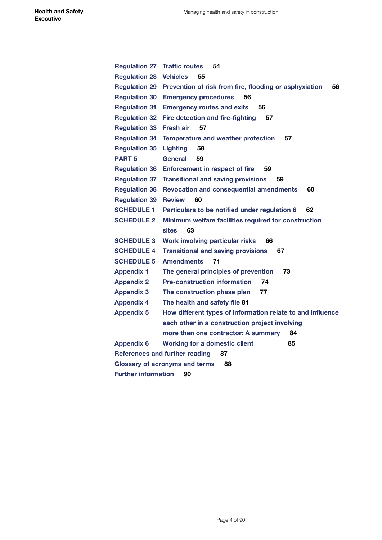| <b>Regulation 27</b>       | <b>Traffic routes</b><br>54                                  |
|----------------------------|--------------------------------------------------------------|
| <b>Regulation 28</b>       | <b>Vehicles</b><br>55                                        |
| <b>Regulation 29</b>       | Prevention of risk from fire, flooding or asphyxiation<br>56 |
| <b>Regulation 30</b>       | <b>Emergency procedures</b><br>56                            |
| <b>Regulation 31</b>       | <b>Emergency routes and exits</b><br>56                      |
| <b>Regulation 32</b>       | <b>Fire detection and fire-fighting</b><br>57                |
| <b>Regulation 33</b>       | <b>Fresh air</b><br>57                                       |
| <b>Regulation 34</b>       | Temperature and weather protection<br>57                     |
| <b>Regulation 35</b>       | <b>Lighting</b><br>58                                        |
| <b>PART 5</b>              | General<br>59                                                |
| <b>Regulation 36</b>       | <b>Enforcement in respect of fire</b><br>59                  |
| <b>Regulation 37</b>       | <b>Transitional and saving provisions</b><br>59              |
| <b>Regulation 38</b>       | <b>Revocation and consequential amendments</b><br>60         |
| <b>Regulation 39</b>       | <b>Review</b><br>60                                          |
| <b>SCHEDULE 1</b>          | Particulars to be notified under regulation 6<br>62          |
| <b>SCHEDULE 2</b>          | Minimum welfare facilities required for construction         |
|                            | 63<br>sites                                                  |
| <b>SCHEDULE 3</b>          | <b>Work involving particular risks</b><br>66                 |
| <b>SCHEDULE 4</b>          | <b>Transitional and saving provisions</b><br>67              |
| <b>SCHEDULE 5</b>          | <b>Amendments</b><br>71                                      |
| <b>Appendix 1</b>          | 73<br>The general principles of prevention                   |
| <b>Appendix 2</b>          | <b>Pre-construction information</b><br>74                    |
| <b>Appendix 3</b>          | The construction phase plan<br>77                            |
| <b>Appendix 4</b>          | The health and safety file 81                                |
| <b>Appendix 5</b>          | How different types of information relate to and influence   |
|                            | each other in a construction project involving               |
|                            | 84<br>more than one contractor: A summary                    |
| <b>Appendix 6</b>          | <b>Working for a domestic client</b><br>85                   |
|                            | <b>References and further reading</b><br>87                  |
|                            | <b>Glossary of acronyms and terms</b><br>88                  |
| <b>Further information</b> | 90                                                           |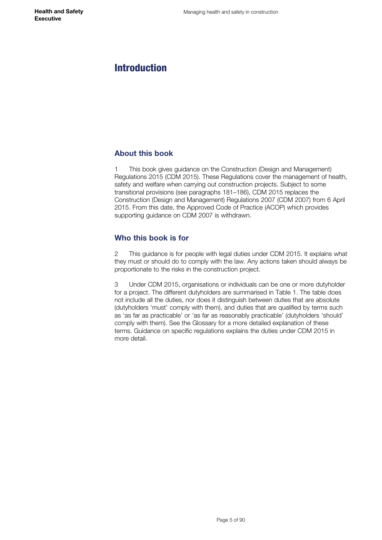### <span id="page-4-0"></span>Introduction

#### **About this book**

1 This book gives guidance on the Construction (Design and Management) Regulations 2015 (CDM 2015). These Regulations cover the management of health, safety and welfare when carrying out construction projects. Subject to some transitional provisions (see paragraphs 181–186), CDM 2015 replaces the Construction (Design and Management) Regulations 2007 (CDM 2007) from 6 April 2015. From this date, the Approved Code of Practice (ACOP) which provides supporting guidance on CDM 2007 is withdrawn.

#### **Who this book is for**

2 This guidance is for people with legal duties under CDM 2015. It explains what they must or should do to comply with the law. Any actions taken should always be proportionate to the risks in the construction project.

3 Under CDM 2015, organisations or individuals can be one or more dutyholder for a project. The different dutyholders are summarised in Table 1. The table does not include all the duties, nor does it distinguish between duties that are absolute (dutyholders 'must' comply with them), and duties that are qualified by terms such as 'as far as practicable' or 'as far as reasonably practicable' (dutyholders 'should' comply with them). See the Glossary for a more detailed explanation of these terms. Guidance on specific regulations explains the duties under CDM 2015 in more detail.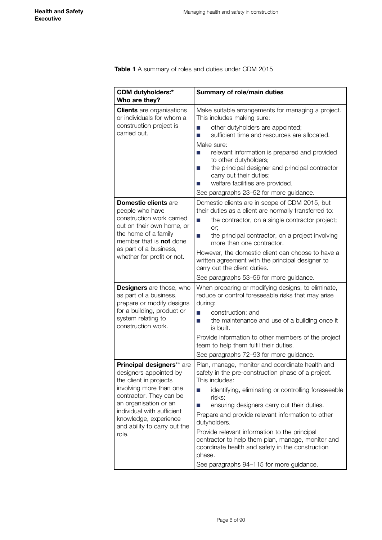| <b>Table 1</b> A summary of roles and duties under CDM 2015 |  |  |
|-------------------------------------------------------------|--|--|
|-------------------------------------------------------------|--|--|

| <b>CDM</b> dutyholders:*<br>Who are they?                                                                                                                                                                                                                    | <b>Summary of role/main duties</b>                                                                                                                                                                                                                                                                                                                                                                                                                                                                                                    |
|--------------------------------------------------------------------------------------------------------------------------------------------------------------------------------------------------------------------------------------------------------------|---------------------------------------------------------------------------------------------------------------------------------------------------------------------------------------------------------------------------------------------------------------------------------------------------------------------------------------------------------------------------------------------------------------------------------------------------------------------------------------------------------------------------------------|
| <b>Clients</b> are organisations<br>or individuals for whom a<br>construction project is<br>carried out.                                                                                                                                                     | Make suitable arrangements for managing a project.<br>This includes making sure:<br>other dutyholders are appointed;<br>÷,<br>sufficient time and resources are allocated.<br>÷,<br>Make sure:<br>relevant information is prepared and provided<br>H<br>to other dutyholders;<br>the principal designer and principal contractor<br>m.<br>carry out their duties;<br>welfare facilities are provided.<br><b>College</b><br>See paragraphs 23-52 for more guidance.                                                                    |
| <b>Domestic clients are</b><br>people who have<br>construction work carried<br>out on their own home, or<br>the home of a family<br>member that is <b>not</b> done<br>as part of a business,<br>whether for profit or not.                                   | Domestic clients are in scope of CDM 2015, but<br>their duties as a client are normally transferred to:<br>the contractor, on a single contractor project;<br>H<br>or;<br>the principal contractor, on a project involving<br>F.<br>more than one contractor.<br>However, the domestic client can choose to have a<br>written agreement with the principal designer to<br>carry out the client duties.<br>See paragraphs 53-56 for more guidance.                                                                                     |
| <b>Designers</b> are those, who<br>as part of a business,<br>prepare or modify designs<br>for a building, product or<br>system relating to<br>construction work.                                                                                             | When preparing or modifying designs, to eliminate,<br>reduce or control foreseeable risks that may arise<br>during:<br>construction; and<br>H.<br>the maintenance and use of a building once it<br>H<br>is built.<br>Provide information to other members of the project<br>team to help them fulfil their duties.<br>See paragraphs 72-93 for more guidance.                                                                                                                                                                         |
| Principal designers** are<br>designers appointed by<br>the client in projects<br>involving more than one<br>contractor. They can be<br>an organisation or an<br>individual with sufficient<br>knowledge, experience<br>and ability to carry out the<br>role. | Plan, manage, monitor and coordinate health and<br>safety in the pre-construction phase of a project.<br>This includes:<br>identifying, eliminating or controlling foreseeable<br>H<br>risks;<br>ensuring designers carry out their duties.<br>H<br>Prepare and provide relevant information to other<br>dutyholders.<br>Provide relevant information to the principal<br>contractor to help them plan, manage, monitor and<br>coordinate health and safety in the construction<br>phase.<br>See paragraphs 94-115 for more guidance. |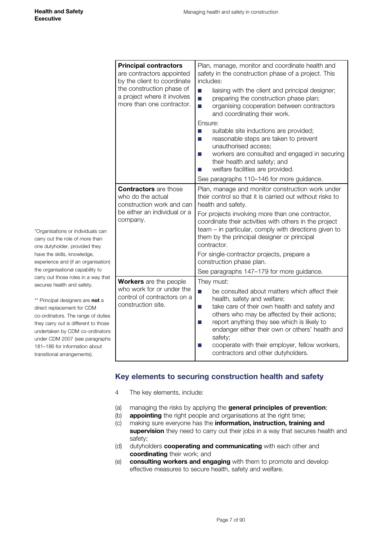┑

| <b>Principal contractors</b><br>are contractors appointed<br>by the client to coordinate<br>the construction phase of<br>a project where it involves<br>more than one contractor. | Plan, manage, monitor and coordinate health and<br>safety in the construction phase of a project. This<br>includes:<br>liaising with the client and principal designer;<br>×.<br>preparing the construction phase plan;<br>m.<br>organising cooperation between contractors<br>п<br>and coordinating their work.<br>Ensure:<br>suitable site inductions are provided;<br>m.<br>reasonable steps are taken to prevent<br>m.<br>unauthorised access;<br>workers are consulted and engaged in securing<br>H.<br>their health and safety; and<br>welfare facilities are provided.<br>m.<br>See paragraphs 110-146 for more guidance. |
|-----------------------------------------------------------------------------------------------------------------------------------------------------------------------------------|----------------------------------------------------------------------------------------------------------------------------------------------------------------------------------------------------------------------------------------------------------------------------------------------------------------------------------------------------------------------------------------------------------------------------------------------------------------------------------------------------------------------------------------------------------------------------------------------------------------------------------|
| <b>Contractors</b> are those<br>who do the actual<br>construction work and can<br>be either an individual or a<br>company.                                                        | Plan, manage and monitor construction work under<br>their control so that it is carried out without risks to<br>health and safety.<br>For projects involving more than one contractor,<br>coordinate their activities with others in the project<br>team – in particular, comply with directions given to<br>them by the principal designer or principal<br>contractor.<br>For single-contractor projects, prepare a<br>construction phase plan.<br>See paragraphs 147-179 for more guidance.                                                                                                                                    |
| <b>Workers</b> are the people<br>who work for or under the<br>control of contractors on a<br>construction site.                                                                   | They must:<br>be consulted about matters which affect their<br>×.<br>health, safety and welfare;<br>take care of their own health and safety and<br>×.<br>others who may be affected by their actions;<br>report anything they see which is likely to<br>m.<br>endanger either their own or others' health and<br>safety;<br>cooperate with their employer, fellow workers,<br>F.<br>contractors and other dutyholders.                                                                                                                                                                                                          |

\*Organisations or individuals can carry out the role of more than one dutyholder, provided they have the skills, knowledge, experience and (if an organisation) the organisational capability to carry out those roles in a way that secures health and safety.

\*\* Principal designers are **not** a direct replacement for CDM co-ordinators. The range of duties they carry out is different to those undertaken by CDM co-ordinators under CDM 2007 (see paragraphs 181–186 for information about transitional arrangements).

### **Key elements to securing construction health and safety**

- 4 The key elements, include:
- (a) managing the risks by applying the **general principles of prevention**;
- (b) **appointing** the right people and organisations at the right time;
- (c) making sure everyone has the **information, instruction, training and**  supervision they need to carry out their jobs in a way that secures health and safety;
- (d) dutyholders **cooperating and communicating** with each other and **coordinating** their work; and
- (e) **consulting workers and engaging** with them to promote and develop effective measures to secure health, safety and welfare.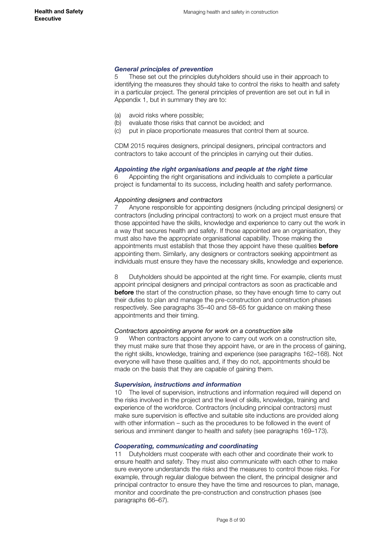#### *General principles of prevention*

5 These set out the principles dutyholders should use in their approach to identifying the measures they should take to control the risks to health and safety in a particular project. The general principles of prevention are set out in full in Appendix 1, but in summary they are to:

- (a) avoid risks where possible;
- (b) evaluate those risks that cannot be avoided; and
- (c) put in place proportionate measures that control them at source.

CDM 2015 requires designers, principal designers, principal contractors and contractors to take account of the principles in carrying out their duties.

#### *Appointing the right organisations and people at the right time*

6 Appointing the right organisations and individuals to complete a particular project is fundamental to its success, including health and safety performance.

#### *Appointing designers and contractors*

7 Anyone responsible for appointing designers (including principal designers) or contractors (including principal contractors) to work on a project must ensure that those appointed have the skills, knowledge and experience to carry out the work in a way that secures health and safety. If those appointed are an organisation, they must also have the appropriate organisational capability. Those making the appointments must establish that those they appoint have these qualities **before** appointing them. Similarly, any designers or contractors seeking appointment as individuals must ensure they have the necessary skills, knowledge and experience.

8 Dutyholders should be appointed at the right time. For example, clients must appoint principal designers and principal contractors as soon as practicable and **before** the start of the construction phase, so they have enough time to carry out their duties to plan and manage the pre-construction and construction phases respectively. See paragraphs 35–40 and 58–65 for guidance on making these appointments and their timing.

#### *Contractors appointing anyone for work on a construction site*

9 When contractors appoint anyone to carry out work on a construction site, they must make sure that those they appoint have, or are in the process of gaining, the right skills, knowledge, training and experience (see paragraphs 162–168). Not everyone will have these qualities and, if they do not, appointments should be made on the basis that they are capable of gaining them.

#### *Supervision, instructions and information*

10 The level of supervision, instructions and information required will depend on the risks involved in the project and the level of skills, knowledge, training and experience of the workforce. Contractors (including principal contractors) must make sure supervision is effective and suitable site inductions are provided along with other information – such as the procedures to be followed in the event of serious and imminent danger to health and safety (see paragraphs 169–173).

#### *Cooperating, communicating and coordinating*

11 Dutyholders must cooperate with each other and coordinate their work to ensure health and safety. They must also communicate with each other to make sure everyone understands the risks and the measures to control those risks. For example, through regular dialogue between the client, the principal designer and principal contractor to ensure they have the time and resources to plan, manage, monitor and coordinate the pre-construction and construction phases (see paragraphs 66–67).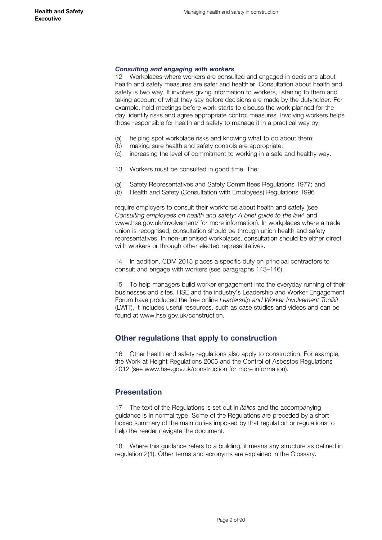#### *Consulting and engaging with workers*

12 Workplaces where workers are consulted and engaged in decisions about health and safety measures are safer and healthier. Consultation about health and safety is two way. It involves giving information to workers, listening to them and taking account of what they say before decisions are made by the dutyholder. For example, hold meetings before work starts to discuss the work planned for the day, identify risks and agree appropriate control measures. Involving workers helps those responsible for health and safety to manage it in a practical way by:

- (a) helping spot workplace risks and knowing what to do about them;
- (b) making sure health and safety controls are appropriate;
- (c) increasing the level of commitment to working in a safe and healthy way.
- 13 Workers must be consulted in good time. The:
- (a) Safety Representatives and Safety Committees Regulations 1977; and
- (b) Health and Safety (Consultation with Employees) Regulations 1996

require employers to consult their workforce about health and safety (see *Consulting employees on health and safety: A brief guide to the law*1 and [www.hse.gov.uk/involvement/](http://www.hse.gov.uk/involvement/) for more information). In workplaces where a trade union is recognised, consultation should be through union health and safety representatives. In non-unionised workplaces, consultation should be either direct with workers or through other elected representatives.

14 In addition, CDM 2015 places a specific duty on principal contractors to consult and engage with workers (see paragraphs 143–146).

15 To help managers build worker engagement into the everyday running of their businesses and sites, HSE and the industry's Leadership and Worker Engagement Forum have produced the free online *Leadership and Worker Involvement Toolkit* (LWIT). It includes useful resources, such as case studies and videos and can be found at [www.hse.gov.uk/construction](http://www.hse.gov.uk/construction).

#### **Other regulations that apply to construction**

16 Other health and safety regulations also apply to construction. For example, the Work at Height Regulations 2005 and the Control of Asbestos Regulations 2012 (see [www.hse.gov.uk/construction](http://www.hse.gov.uk/construction) for more information).

#### **Presentation**

17 The text of the Regulations is set out in *italics* and the accompanying guidance is in normal type. Some of the Regulations are preceded by a short boxed summary of the main duties imposed by that regulation or regulations to help the reader navigate the document.

18 Where this guidance refers to a building, it means any structure as defined in regulation 2(1). Other terms and acronyms are explained in the Glossary.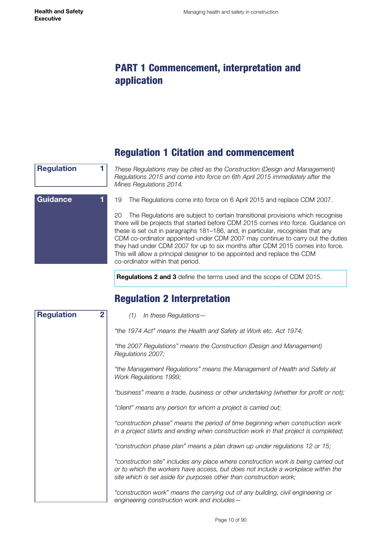### <span id="page-9-0"></span>PART 1 Commencement, interpretation and application

### Regulation 1 Citation and commencement

*These Regulations may be cited as the Construction (Design and Management) Regulations 2015 and come into force on 6th April 2015 immediately after the Mines Regulations 2014.*

**Guidance 1**

**Regulation 1**

19 The Regulations come into force on 6 April 2015 and replace CDM 2007.

20 The Regulations are subject to certain transitional provisions which recognise there will be projects that started before CDM 2015 comes into force. Guidance on these is set out in paragraphs 181–186, and, in particular, recognises that any CDM co-ordinator appointed under CDM 2007 may continue to carry out the duties they had under CDM 2007 for up to six months after CDM 2015 comes into force. This will allow a principal designer to be appointed and replace the CDM co-ordinator within that period.

**Regulations 2 and 3** define the terms used and the scope of CDM 2015.

### Regulation 2 Interpretation

| $\overline{2}$<br><b>Regulation</b> | In these Regulations-<br>(1)                                                                                                                                                                                                                  |
|-------------------------------------|-----------------------------------------------------------------------------------------------------------------------------------------------------------------------------------------------------------------------------------------------|
|                                     | "the 1974 Act" means the Health and Safety at Work etc. Act 1974;                                                                                                                                                                             |
|                                     | "the 2007 Regulations" means the Construction (Design and Management)<br>Regulations 2007;                                                                                                                                                    |
|                                     | "the Management Regulations" means the Management of Health and Safety at<br>Work Regulations 1999;                                                                                                                                           |
|                                     | "business" means a trade, business or other undertaking (whether for profit or not);                                                                                                                                                          |
|                                     | "client" means any person for whom a project is carried out;                                                                                                                                                                                  |
|                                     | "construction phase" means the period of time beginning when construction work<br>in a project starts and ending when construction work in that project is completed;                                                                         |
|                                     | "construction phase plan" means a plan drawn up under regulations 12 or 15;                                                                                                                                                                   |
|                                     | "construction site" includes any place where construction work is being carried out<br>or to which the workers have access, but does not include a workplace within the<br>site which is set aside for purposes other than construction work; |
|                                     | "construction work" means the carrying out of any building, civil engineering or<br>engineering construction work and includes -                                                                                                              |

#### Page 10 of 90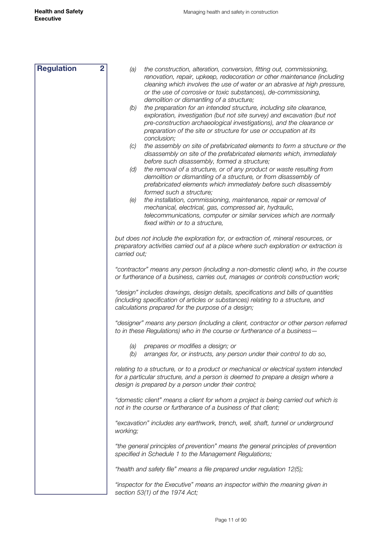| <b>Regulation</b> | $\overline{2}$ | the construction, alteration, conversion, fitting out, commissioning,<br>(a)<br>renovation, repair, upkeep, redecoration or other maintenance (including<br>cleaning which involves the use of water or an abrasive at high pressure,<br>or the use of corrosive or toxic substances), de-commissioning,<br>demolition or dismantling of a structure;<br>the preparation for an intended structure, including site clearance,<br>(b)<br>exploration, investigation (but not site survey) and excavation (but not<br>pre-construction archaeological investigations), and the clearance or<br>preparation of the site or structure for use or occupation at its<br>conclusion;<br>the assembly on site of prefabricated elements to form a structure or the<br>(C)<br>disassembly on site of the prefabricated elements which, immediately<br>before such disassembly, formed a structure;<br>the removal of a structure, or of any product or waste resulting from<br>(d)<br>demolition or dismantling of a structure, or from disassembly of<br>prefabricated elements which immediately before such disassembly<br>formed such a structure;<br>the installation, commissioning, maintenance, repair or removal of<br>(e)<br>mechanical, electrical, gas, compressed air, hydraulic,<br>telecommunications, computer or similar services which are normally<br>fixed within or to a structure,<br>but does not include the exploration for, or extraction of, mineral resources, or<br>preparatory activities carried out at a place where such exploration or extraction is<br>carried out;<br>"contractor" means any person (including a non-domestic client) who, in the course<br>or furtherance of a business, carries out, manages or controls construction work; |
|-------------------|----------------|--------------------------------------------------------------------------------------------------------------------------------------------------------------------------------------------------------------------------------------------------------------------------------------------------------------------------------------------------------------------------------------------------------------------------------------------------------------------------------------------------------------------------------------------------------------------------------------------------------------------------------------------------------------------------------------------------------------------------------------------------------------------------------------------------------------------------------------------------------------------------------------------------------------------------------------------------------------------------------------------------------------------------------------------------------------------------------------------------------------------------------------------------------------------------------------------------------------------------------------------------------------------------------------------------------------------------------------------------------------------------------------------------------------------------------------------------------------------------------------------------------------------------------------------------------------------------------------------------------------------------------------------------------------------------------------------------------------------------------------------------------------------------|
|                   |                | (including specification of articles or substances) relating to a structure, and<br>calculations prepared for the purpose of a design;                                                                                                                                                                                                                                                                                                                                                                                                                                                                                                                                                                                                                                                                                                                                                                                                                                                                                                                                                                                                                                                                                                                                                                                                                                                                                                                                                                                                                                                                                                                                                                                                                                   |
|                   |                | "designer" means any person (including a client, contractor or other person referred<br>to in these Regulations) who in the course or furtherance of a business-                                                                                                                                                                                                                                                                                                                                                                                                                                                                                                                                                                                                                                                                                                                                                                                                                                                                                                                                                                                                                                                                                                                                                                                                                                                                                                                                                                                                                                                                                                                                                                                                         |
|                   |                | (a) prepares or modifies a design; or<br>arranges for, or instructs, any person under their control to do so,<br>(D)                                                                                                                                                                                                                                                                                                                                                                                                                                                                                                                                                                                                                                                                                                                                                                                                                                                                                                                                                                                                                                                                                                                                                                                                                                                                                                                                                                                                                                                                                                                                                                                                                                                     |
|                   |                | relating to a structure, or to a product or mechanical or electrical system intended<br>for a particular structure, and a person is deemed to prepare a design where a<br>design is prepared by a person under their control;                                                                                                                                                                                                                                                                                                                                                                                                                                                                                                                                                                                                                                                                                                                                                                                                                                                                                                                                                                                                                                                                                                                                                                                                                                                                                                                                                                                                                                                                                                                                            |
|                   |                | "domestic client" means a client for whom a project is being carried out which is<br>not in the course or furtherance of a business of that client;                                                                                                                                                                                                                                                                                                                                                                                                                                                                                                                                                                                                                                                                                                                                                                                                                                                                                                                                                                                                                                                                                                                                                                                                                                                                                                                                                                                                                                                                                                                                                                                                                      |
|                   |                | "excavation" includes any earthwork, trench, well, shaft, tunnel or underground<br>working;                                                                                                                                                                                                                                                                                                                                                                                                                                                                                                                                                                                                                                                                                                                                                                                                                                                                                                                                                                                                                                                                                                                                                                                                                                                                                                                                                                                                                                                                                                                                                                                                                                                                              |
|                   |                | "the general principles of prevention" means the general principles of prevention<br>specified in Schedule 1 to the Management Regulations;                                                                                                                                                                                                                                                                                                                                                                                                                                                                                                                                                                                                                                                                                                                                                                                                                                                                                                                                                                                                                                                                                                                                                                                                                                                                                                                                                                                                                                                                                                                                                                                                                              |
|                   |                | "health and safety file" means a file prepared under regulation 12(5);                                                                                                                                                                                                                                                                                                                                                                                                                                                                                                                                                                                                                                                                                                                                                                                                                                                                                                                                                                                                                                                                                                                                                                                                                                                                                                                                                                                                                                                                                                                                                                                                                                                                                                   |
|                   |                | "inspector for the Executive" means an inspector within the meaning given in<br>section 53(1) of the 1974 Act;                                                                                                                                                                                                                                                                                                                                                                                                                                                                                                                                                                                                                                                                                                                                                                                                                                                                                                                                                                                                                                                                                                                                                                                                                                                                                                                                                                                                                                                                                                                                                                                                                                                           |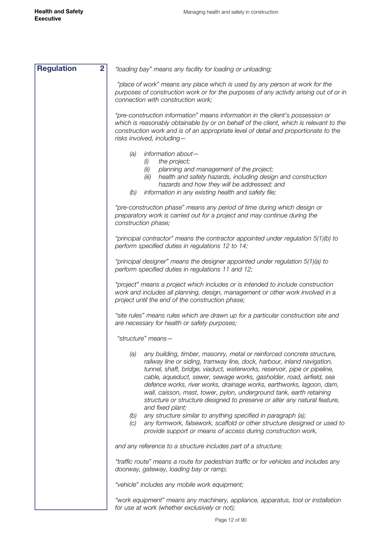| <b>Regulation</b> | $\overline{2}$<br>"loading bay" means any facility for loading or unloading;                                                                                                                                                                                                                                                                                                                                                                                                                                                                                                                                                                                                                                                                                                             |
|-------------------|------------------------------------------------------------------------------------------------------------------------------------------------------------------------------------------------------------------------------------------------------------------------------------------------------------------------------------------------------------------------------------------------------------------------------------------------------------------------------------------------------------------------------------------------------------------------------------------------------------------------------------------------------------------------------------------------------------------------------------------------------------------------------------------|
|                   | "place of work" means any place which is used by any person at work for the<br>purposes of construction work or for the purposes of any activity arising out of or in<br>connection with construction work;                                                                                                                                                                                                                                                                                                                                                                                                                                                                                                                                                                              |
|                   | "pre-construction information" means information in the client's possession or<br>which is reasonably obtainable by or on behalf of the client, which is relevant to the<br>construction work and is of an appropriate level of detail and proportionate to the<br>risks involved, including-                                                                                                                                                                                                                                                                                                                                                                                                                                                                                            |
|                   | information about-<br>(a)<br>the project;<br>(i)<br>planning and management of the project;<br>(ii)<br>(iii) health and safety hazards, including design and construction<br>hazards and how they will be addressed; and<br>information in any existing health and safety file;<br>(b)                                                                                                                                                                                                                                                                                                                                                                                                                                                                                                   |
|                   | "pre-construction phase" means any period of time during which design or<br>preparatory work is carried out for a project and may continue during the<br>construction phase;                                                                                                                                                                                                                                                                                                                                                                                                                                                                                                                                                                                                             |
|                   | "principal contractor" means the contractor appointed under regulation 5(1)(b) to<br>perform specified duties in regulations 12 to 14;                                                                                                                                                                                                                                                                                                                                                                                                                                                                                                                                                                                                                                                   |
|                   | "principal designer" means the designer appointed under regulation 5(1)(a) to<br>perform specified duties in regulations 11 and 12;                                                                                                                                                                                                                                                                                                                                                                                                                                                                                                                                                                                                                                                      |
|                   | "project" means a project which includes or is intended to include construction<br>work and includes all planning, design, management or other work involved in a<br>project until the end of the construction phase;                                                                                                                                                                                                                                                                                                                                                                                                                                                                                                                                                                    |
|                   | "site rules" means rules which are drawn up for a particular construction site and<br>are necessary for health or safety purposes;                                                                                                                                                                                                                                                                                                                                                                                                                                                                                                                                                                                                                                                       |
|                   | "structure" means-                                                                                                                                                                                                                                                                                                                                                                                                                                                                                                                                                                                                                                                                                                                                                                       |
|                   | (a)<br>any building, timber, masonry, metal or reinforced concrete structure,<br>railway line or siding, tramway line, dock, harbour, inland navigation,<br>tunnel, shaft, bridge, viaduct, waterworks, reservoir, pipe or pipeline,<br>cable, aqueduct, sewer, sewage works, gasholder, road, airfield, sea<br>defence works, river works, drainage works, earthworks, lagoon, dam,<br>wall, caisson, mast, tower, pylon, underground tank, earth retaining<br>structure or structure designed to preserve or alter any natural feature,<br>and fixed plant;<br>any structure similar to anything specified in paragraph (a);<br>(b)<br>any formwork, falsework, scaffold or other structure designed or used to<br>(C)<br>provide support or means of access during construction work, |
|                   | and any reference to a structure includes part of a structure;                                                                                                                                                                                                                                                                                                                                                                                                                                                                                                                                                                                                                                                                                                                           |
|                   | "traffic route" means a route for pedestrian traffic or for vehicles and includes any<br>doorway, gateway, loading bay or ramp;                                                                                                                                                                                                                                                                                                                                                                                                                                                                                                                                                                                                                                                          |
|                   | "vehicle" includes any mobile work equipment;                                                                                                                                                                                                                                                                                                                                                                                                                                                                                                                                                                                                                                                                                                                                            |
|                   | "work equipment" means any machinery, appliance, apparatus, tool or installation                                                                                                                                                                                                                                                                                                                                                                                                                                                                                                                                                                                                                                                                                                         |

*for use at work (whether exclusively or not);*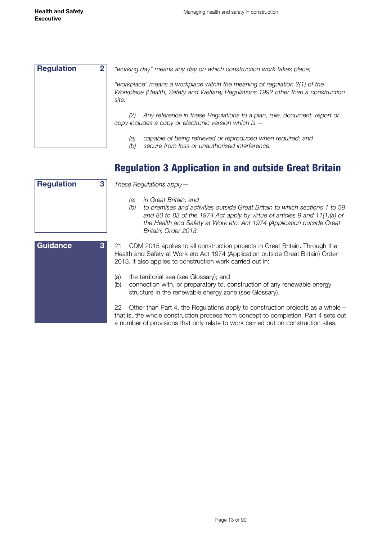<span id="page-12-0"></span>

| <b>Regulation</b> | 2 | "working day" means any day on which construction work takes place;                                                                                                      |
|-------------------|---|--------------------------------------------------------------------------------------------------------------------------------------------------------------------------|
|                   |   | "workplace" means a workplace within the meaning of regulation 2(1) of the<br>Workplace (Health, Safety and Welfare) Regulations 1992 other than a construction<br>site. |
|                   |   | Any reference in these Regulations to a plan, rule, document, report or<br>(2)<br>copy includes a copy or electronic version which is $-$                                |
|                   |   | capable of being retrieved or reproduced when required; and<br>(a)<br>secure from loss or unauthorised interference.<br>(b,                                              |

# Regulation 3 Application in and outside Great Britain

| 3<br><b>Regulation</b> | These Regulations apply-<br>in Great Britain; and<br>(a)<br>(b)<br>to premises and activities outside Great Britain to which sections 1 to 59<br>and 80 to 82 of the 1974 Act apply by virtue of articles 9 and $11(1)(a)$ of<br>the Health and Safety at Work etc. Act 1974 (Application outside Great                                                                                          |
|------------------------|--------------------------------------------------------------------------------------------------------------------------------------------------------------------------------------------------------------------------------------------------------------------------------------------------------------------------------------------------------------------------------------------------|
| <b>Guidance</b><br>3   | Britain) Order 2013.<br>CDM 2015 applies to all construction projects in Great Britain. Through the<br>21<br>Health and Safety at Work etc Act 1974 (Application outside Great Britain) Order<br>2013, it also applies to construction work carried out in:<br>the territorial sea (see Glossary); and<br>(a)<br>connection with, or preparatory to, construction of any renewable energy<br>(b) |
|                        | structure in the renewable energy zone (see Glossary).<br>22<br>Other than Part 4, the Regulations apply to construction projects as a whole -<br>that is, the whole construction process from concept to completion. Part 4 sets out<br>a number of provisions that only relate to work carried out on construction sites.                                                                      |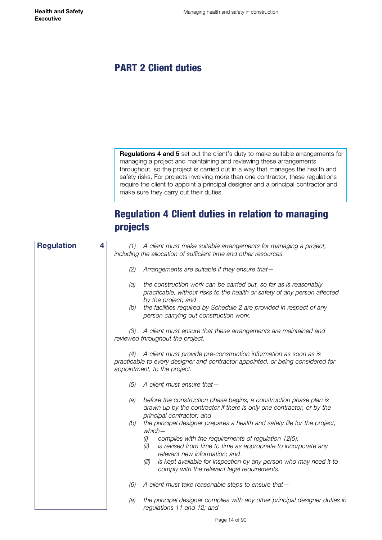### <span id="page-13-0"></span>PART 2 Client duties

**Regulations 4 and 5** set out the client's duty to make suitable arrangements for managing a project and maintaining and reviewing these arrangements throughout, so the project is carried out in a way that manages the health and safety risks. For projects involving more than one contractor, these regulations require the client to appoint a principal designer and a principal contractor and make sure they carry out their duties.

### Regulation 4 Client duties in relation to managing projects

| <b>Regulation</b><br>4 | A client must make suitable arrangements for managing a project,<br>(1)<br>including the allocation of sufficient time and other resources.                                             |
|------------------------|-----------------------------------------------------------------------------------------------------------------------------------------------------------------------------------------|
|                        | Arrangements are suitable if they ensure that-<br>(2)                                                                                                                                   |
|                        | the construction work can be carried out, so far as is reasonably<br>(a)<br>practicable, without risks to the health or safety of any person affected<br>by the project; and            |
|                        | the facilities required by Schedule 2 are provided in respect of any<br>(b)<br>person carrying out construction work.                                                                   |
|                        | A client must ensure that these arrangements are maintained and<br>(3)<br>reviewed throughout the project.                                                                              |
|                        | (4) A client must provide pre-construction information as soon as is<br>practicable to every designer and contractor appointed, or being considered for<br>appointment, to the project. |
|                        | (5)<br>A client must ensure that-                                                                                                                                                       |
|                        | before the construction phase begins, a construction phase plan is<br>(a)<br>drawn up by the contractor if there is only one contractor, or by the<br>principal contractor; and         |
|                        | the principal designer prepares a health and safety file for the project,<br>(b)<br>$which -$                                                                                           |
|                        | complies with the requirements of regulation 12(5);<br>(i)<br>is revised from time to time as appropriate to incorporate any<br>(ii)<br>relevant new information; and                   |
|                        | is kept available for inspection by any person who may need it to<br>(iii)<br>comply with the relevant legal requirements.                                                              |
|                        | (6)<br>A client must take reasonable steps to ensure that-                                                                                                                              |
|                        | the principal designer complies with any other principal designer duties in<br>(a)<br>regulations 11 and 12; and                                                                        |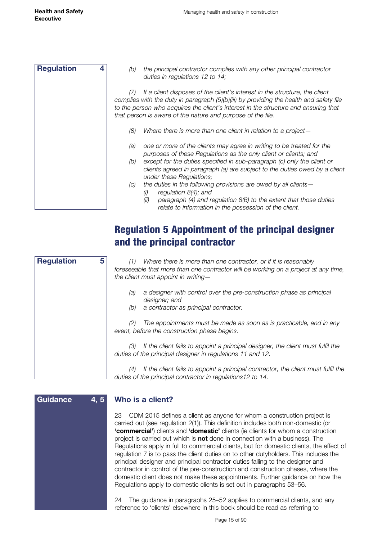<span id="page-14-0"></span>

| <b>Regulation</b> | the principal contractor complies with any other principal contractor<br>(b)<br>duties in regulations 12 to 14;                                                                                                                                                                                                                    |
|-------------------|------------------------------------------------------------------------------------------------------------------------------------------------------------------------------------------------------------------------------------------------------------------------------------------------------------------------------------|
|                   | If a client disposes of the client's interest in the structure, the client<br>(7)<br>complies with the duty in paragraph (5)(b)(iii) by providing the health and safety file<br>to the person who acquires the client's interest in the structure and ensuring that<br>that person is aware of the nature and purpose of the file. |
|                   | (8)<br>Where there is more than one client in relation to a project-                                                                                                                                                                                                                                                               |
|                   | one or more of the clients may agree in writing to be treated for the<br>(a)<br>purposes of these Regulations as the only client or clients; and<br>except for the duties specified in sub-paragraph (c) only the client or<br>(b)<br>clients agreed in paragraph (a) are subject to the duties owed by a client                   |
|                   | under these Regulations;<br>the duties in the following provisions are owed by all clients-<br>(C)<br>regulation $8(4)$ ; and<br>(i)<br>paragraph $(4)$ and regulation $8(6)$ to the extent that those duties<br>(ii)<br>relate to information in the possession of the client.                                                    |

### Regulation 5 Appointment of the principal designer and the principal contractor

| <b>Regulation</b> | 5 |
|-------------------|---|
|                   |   |
|                   |   |
|                   |   |
|                   |   |
|                   |   |
|                   |   |
|                   |   |
|                   |   |

*(1) Where there is more than one contractor, or if it is reasonably*  foreseeable that more than one contractor will be working on a project at any time, *the client must appoint in writing—*

- *(a) a designer with control over the pre-construction phase as principal designer; and*
- *(b) a contractor as principal contractor.*

*(2) The appointments must be made as soon as is practicable, and in any event, before the construction phase begins.* 

*(3) If the client fails to appoint a principal designer, the client must fulfil the duties of the principal designer in regulations 11 and 12.* 

*(4) If the client fails to appoint a principal contractor, the client must fulfil the duties of the principal contractor in regulations12 to 14.*

| Guidance | $\overline{4,}5$ |
|----------|------------------|
|          |                  |
|          |                  |
|          |                  |
|          |                  |
|          |                  |

#### **Who is a client?**

23 CDM 2015 defines a client as anyone for whom a construction project is carried out (see regulation 2(1)). This definition includes both non-domestic (or **'commercial'**) clients and **'domestic'** clients (ie clients for whom a construction project is carried out which is **not** done in connection with a business). The Regulations apply in full to commercial clients, but for domestic clients, the effect of regulation 7 is to pass the client duties on to other dutyholders. This includes the principal designer and principal contractor duties falling to the designer and contractor in control of the pre-construction and construction phases, where the domestic client does not make these appointments. Further guidance on how the Regulations apply to domestic clients is set out in paragraphs 53–56.

24 The guidance in paragraphs 25–52 applies to commercial clients, and any reference to 'clients' elsewhere in this book should be read as referring to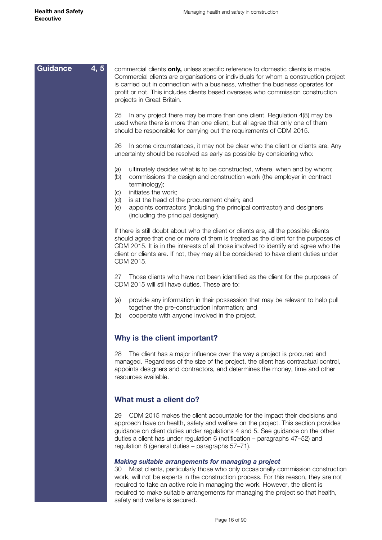| <b>Guidance</b><br>4, 5 | commercial clients only, unless specific reference to domestic clients is made.<br>Commercial clients are organisations or individuals for whom a construction project<br>is carried out in connection with a business, whether the business operates for<br>profit or not. This includes clients based overseas who commission construction<br>projects in Great Britain.                                  |
|-------------------------|-------------------------------------------------------------------------------------------------------------------------------------------------------------------------------------------------------------------------------------------------------------------------------------------------------------------------------------------------------------------------------------------------------------|
|                         | In any project there may be more than one client. Regulation 4(8) may be<br>25<br>used where there is more than one client, but all agree that only one of them<br>should be responsible for carrying out the requirements of CDM 2015.                                                                                                                                                                     |
|                         | In some circumstances, it may not be clear who the client or clients are. Any<br>26<br>uncertainty should be resolved as early as possible by considering who:                                                                                                                                                                                                                                              |
|                         | ultimately decides what is to be constructed, where, when and by whom;<br>(a)<br>commissions the design and construction work (the employer in contract<br>(b)<br>terminology);<br>initiates the work;<br>$\left( c\right)$<br>(d)<br>is at the head of the procurement chain; and<br>appoints contractors (including the principal contractor) and designers<br>(e)<br>(including the principal designer). |
|                         | If there is still doubt about who the client or clients are, all the possible clients<br>should agree that one or more of them is treated as the client for the purposes of<br>CDM 2015. It is in the interests of all those involved to identify and agree who the<br>client or clients are. If not, they may all be considered to have client duties under<br>CDM 2015.                                   |
|                         | Those clients who have not been identified as the client for the purposes of<br>27<br>CDM 2015 will still have duties. These are to:                                                                                                                                                                                                                                                                        |
|                         | provide any information in their possession that may be relevant to help pull<br>(a)<br>together the pre-construction information; and<br>(b)<br>cooperate with anyone involved in the project.                                                                                                                                                                                                             |
|                         | Why is the client important?                                                                                                                                                                                                                                                                                                                                                                                |
|                         | 28<br>The client has a major influence over the way a project is procured and<br>managed. Regardless of the size of the project, the client has contractual control,<br>appoints designers and contractors, and determines the money, time and other<br>resources available.                                                                                                                                |
|                         | What must a client do?                                                                                                                                                                                                                                                                                                                                                                                      |
|                         | CDM 2015 makes the client accountable for the impact their decisions and<br>29<br>approach have on health, safety and welfare on the project. This section provides<br>guidance on client duties under regulations 4 and 5. See guidance on the other<br>duties a client has under regulation 6 (notification – paragraphs 47–52) and<br>regulation 8 (general duties – paragraphs 57–71).                  |
|                         | Making suitable arrangements for managing a project<br>Most clients, particularly those who only occasionally commission construction<br>30<br>work, will not be experts in the construction process. For this reason, they are not<br>required to take an active role in managing the work. However, the client is                                                                                         |

required to make suitable arrangements for managing the project so that health, safety and welfare is secured.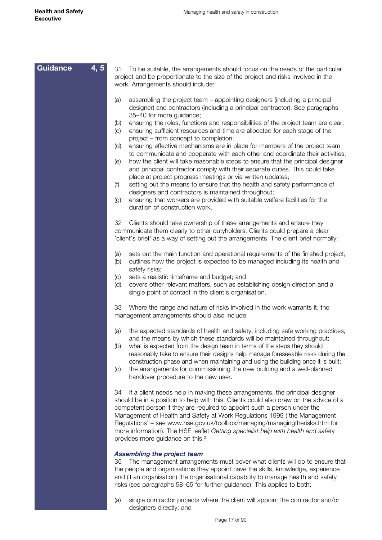| 4,5<br><b>Guidance</b> | 31<br>To be suitable, the arrangements should focus on the needs of the particular<br>project and be proportionate to the size of the project and risks involved in the<br>work. Arrangements should include:                                                                                                                                                                                                                                                                                                                                                                                |
|------------------------|----------------------------------------------------------------------------------------------------------------------------------------------------------------------------------------------------------------------------------------------------------------------------------------------------------------------------------------------------------------------------------------------------------------------------------------------------------------------------------------------------------------------------------------------------------------------------------------------|
|                        | assembling the project team - appointing designers (including a principal<br>(a)<br>designer) and contractors (including a principal contractor). See paragraphs<br>35-40 for more guidance;<br>ensuring the roles, functions and responsibilities of the project team are clear;<br>(b)<br>ensuring sufficient resources and time are allocated for each stage of the<br>(c)<br>project – from concept to completion;<br>(d)<br>ensuring effective mechanisms are in place for members of the project team<br>to communicate and cooperate with each other and coordinate their activities; |
|                        | how the client will take reasonable steps to ensure that the principal designer<br>(e)<br>and principal contractor comply with their separate duties. This could take<br>place at project progress meetings or via written updates;<br>setting out the means to ensure that the health and safety performance of<br>(f)<br>designers and contractors is maintained throughout;<br>ensuring that workers are provided with suitable welfare facilities for the<br>(g)<br>duration of construction work.                                                                                       |
|                        | 32<br>Clients should take ownership of these arrangements and ensure they<br>communicate them clearly to other dutyholders. Clients could prepare a clear<br>'client's brief' as a way of setting out the arrangements. The client brief normally:                                                                                                                                                                                                                                                                                                                                           |
|                        | sets out the main function and operational requirements of the finished project;<br>(a)<br>outlines how the project is expected to be managed including its health and<br>(b)<br>safety risks;<br>sets a realistic timeframe and budget; and<br>(C)<br>covers other relevant matters, such as establishing design direction and a<br>(d)<br>single point of contact in the client's organisation.                                                                                                                                                                                            |
|                        | 33<br>Where the range and nature of risks involved in the work warrants it, the<br>management arrangements should also include:                                                                                                                                                                                                                                                                                                                                                                                                                                                              |
|                        | the expected standards of health and safety, including safe working practices,<br>(a)<br>and the means by which these standards will be maintained throughout;<br>what is expected from the design team in terms of the steps they should<br>(b)<br>reasonably take to ensure their designs help manage foreseeable risks during the<br>construction phase and when maintaining and using the building once it is built;<br>the arrangements for commissioning the new building and a well-planned<br>(C)<br>handover procedure to the new user.                                             |
|                        | 34<br>If a client needs help in making these arrangements, the principal designer<br>should be in a position to help with this. Clients could also draw on the advice of a<br>competent person if they are required to appoint such a person under the<br>Management of Health and Safety at Work Regulations 1999 ('the Management<br>Regulations' - see www.hse.gov.uk/toolbox/managing/managingtherisks.htm for<br>more information). The HSE leaflet Getting specialist help with health and safety<br>provides more guidance on this. <sup>2</sup>                                      |
|                        | <b>Assembling the project team</b><br>35<br>The management arrangements must cover what clients will do to ensure that<br>the people and organisations they appoint have the skills, knowledge, experience<br>and (if an organisation) the organisational capability to manage health and safety<br>risks (see paragraphs 58-65 for further guidance). This applies to both:                                                                                                                                                                                                                 |

(a) single contractor projects where the client will appoint the contractor and/or designers directly; and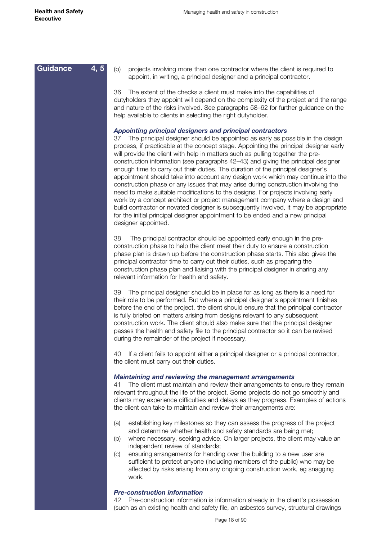| <b>Guidance</b><br>4, 5 | projects involving more than one contractor where the client is required to<br>(b)<br>appoint, in writing, a principal designer and a principal contractor.                                                                                                                                                                                                                                                                                                                                                                                                                                                                                                                                                                                                                                                                                                                                                                                                                                                                                      |
|-------------------------|--------------------------------------------------------------------------------------------------------------------------------------------------------------------------------------------------------------------------------------------------------------------------------------------------------------------------------------------------------------------------------------------------------------------------------------------------------------------------------------------------------------------------------------------------------------------------------------------------------------------------------------------------------------------------------------------------------------------------------------------------------------------------------------------------------------------------------------------------------------------------------------------------------------------------------------------------------------------------------------------------------------------------------------------------|
|                         | 36<br>The extent of the checks a client must make into the capabilities of<br>dutyholders they appoint will depend on the complexity of the project and the range<br>and nature of the risks involved. See paragraphs 58-62 for further guidance on the<br>help available to clients in selecting the right dutyholder.                                                                                                                                                                                                                                                                                                                                                                                                                                                                                                                                                                                                                                                                                                                          |
|                         | Appointing principal designers and principal contractors<br>The principal designer should be appointed as early as possible in the design<br>37<br>process, if practicable at the concept stage. Appointing the principal designer early<br>will provide the client with help in matters such as pulling together the pre-<br>construction information (see paragraphs 42-43) and giving the principal designer<br>enough time to carry out their duties. The duration of the principal designer's<br>appointment should take into account any design work which may continue into the<br>construction phase or any issues that may arise during construction involving the<br>need to make suitable modifications to the designs. For projects involving early<br>work by a concept architect or project management company where a design and<br>build contractor or novated designer is subsequently involved, it may be appropriate<br>for the initial principal designer appointment to be ended and a new principal<br>designer appointed. |
|                         | 38<br>The principal contractor should be appointed early enough in the pre-<br>construction phase to help the client meet their duty to ensure a construction<br>phase plan is drawn up before the construction phase starts. This also gives the<br>principal contractor time to carry out their duties, such as preparing the<br>construction phase plan and liaising with the principal designer in sharing any<br>relevant information for health and safety.                                                                                                                                                                                                                                                                                                                                                                                                                                                                                                                                                                                |
|                         | The principal designer should be in place for as long as there is a need for<br>39<br>their role to be performed. But where a principal designer's appointment finishes<br>before the end of the project, the client should ensure that the principal contractor<br>is fully briefed on matters arising from designs relevant to any subsequent<br>construction work. The client should also make sure that the principal designer<br>passes the health and safety file to the principal contractor so it can be revised<br>during the remainder of the project if necessary.                                                                                                                                                                                                                                                                                                                                                                                                                                                                    |
|                         | If a client fails to appoint either a principal designer or a principal contractor,<br>40<br>the client must carry out their duties.                                                                                                                                                                                                                                                                                                                                                                                                                                                                                                                                                                                                                                                                                                                                                                                                                                                                                                             |
|                         | <b>Maintaining and reviewing the management arrangements</b><br>The client must maintain and review their arrangements to ensure they remain<br>41<br>relevant throughout the life of the project. Some projects do not go smoothly and<br>clients may experience difficulties and delays as they progress. Examples of actions<br>the client can take to maintain and review their arrangements are:                                                                                                                                                                                                                                                                                                                                                                                                                                                                                                                                                                                                                                            |
|                         | establishing key milestones so they can assess the progress of the project<br>(a)<br>and determine whether health and safety standards are being met;<br>where necessary, seeking advice. On larger projects, the client may value an<br>(b)<br>independent review of standards;<br>ensuring arrangements for handing over the building to a new user are<br>$\left( $<br>sufficient to protect anyone (including members of the public) who may be<br>affected by risks arising from any ongoing construction work, eg snagging<br>work.                                                                                                                                                                                                                                                                                                                                                                                                                                                                                                        |
|                         | <b>Pre-construction information</b>                                                                                                                                                                                                                                                                                                                                                                                                                                                                                                                                                                                                                                                                                                                                                                                                                                                                                                                                                                                                              |

42 Pre-construction information is information already in the client's possession (such as an existing health and safety file, an asbestos survey, structural drawings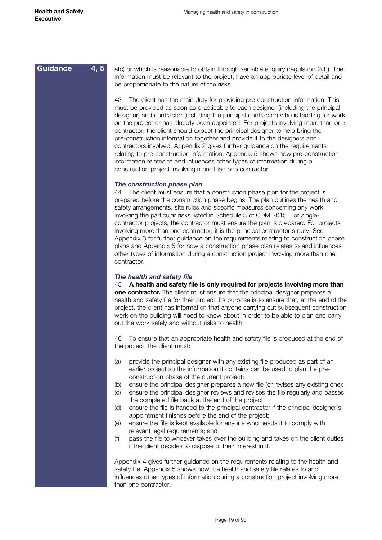#### etc) or which is reasonable to obtain through sensible enquiry (regulation 2(1)). The information must be relevant to the project, have an appropriate level of detail and be proportionate to the nature of the risks. **Guidance 4, 5**

43 The client has the main duty for providing pre-construction information. This must be provided as soon as practicable to each designer (including the principal designer) and contractor (including the principal contractor) who is bidding for work on the project or has already been appointed. For projects involving more than one contractor, the client should expect the principal designer to help bring the pre-construction information together and provide it to the designers and contractors involved. Appendix 2 gives further guidance on the requirements relating to pre-construction information. Appendix 5 shows how pre-construction information relates to and influences other types of information during a construction project involving more than one contractor.

#### *The construction phase plan*

44 The client must ensure that a construction phase plan for the project is prepared before the construction phase begins. The plan outlines the health and safety arrangements, site rules and specific measures concerning any work involving the particular risks listed in Schedule 3 of CDM 2015. For singlecontractor projects, the contractor must ensure the plan is prepared. For projects involving more than one contractor, it is the principal contractor's duty. See Appendix 3 for further guidance on the requirements relating to construction phase plans and Appendix 5 for how a construction phase plan relates to and influences other types of information during a construction project involving more than one contractor.

#### *The health and safety file*

45 **A health and safety file is only required for projects involving more than one contractor.** The client must ensure that the principal designer prepares a health and safety file for their project. Its purpose is to ensure that, at the end of the project, the client has information that anyone carrying out subsequent construction work on the building will need to know about in order to be able to plan and carry out the work safely and without risks to health.

46 To ensure that an appropriate health and safety file is produced at the end of the project, the client must:

- (a) provide the principal designer with any existing file produced as part of an earlier project so the information it contains can be used to plan the preconstruction phase of the current project;
- (b) ensure the principal designer prepares a new file (or revises any existing one);
- (c) ensure the principal designer reviews and revises the file regularly and passes the completed file back at the end of the project;
- (d) ensure the file is handed to the principal contractor if the principal designer's appointment finishes before the end of the project;
- (e) ensure the file is kept available for anyone who needs it to comply with relevant legal requirements; and
- (f) pass the file to whoever takes over the building and takes on the client duties if the client decides to dispose of their interest in it.

Appendix 4 gives further guidance on the requirements relating to the health and safety file. Appendix 5 shows how the health and safety file relates to and influences other types of information during a construction project involving more than one contractor.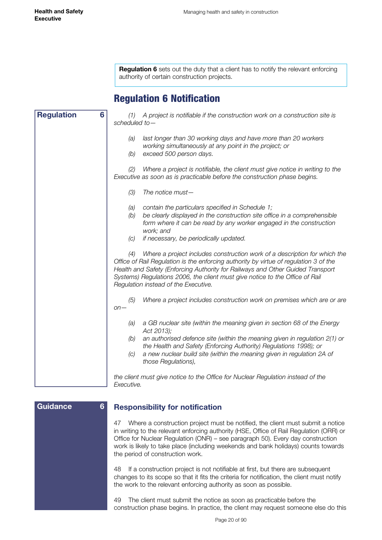**Regulation 6** sets out the duty that a client has to notify the relevant enforcing authority of certain construction projects.

### Regulation 6 Notification

<span id="page-19-0"></span>

| <b>Regulation</b> | 6<br>A project is notifiable if the construction work on a construction site is<br>(1)<br>scheduled to-                                                                                                                                                                                                                                                                             |
|-------------------|-------------------------------------------------------------------------------------------------------------------------------------------------------------------------------------------------------------------------------------------------------------------------------------------------------------------------------------------------------------------------------------|
|                   | last longer than 30 working days and have more than 20 workers<br>(a)<br>working simultaneously at any point in the project; or<br>exceed 500 person days.<br>(b)                                                                                                                                                                                                                   |
|                   | Where a project is notifiable, the client must give notice in writing to the<br>(2)<br>Executive as soon as is practicable before the construction phase begins.                                                                                                                                                                                                                    |
|                   | (3)<br>The notice must-                                                                                                                                                                                                                                                                                                                                                             |
|                   | (a)<br>contain the particulars specified in Schedule 1;<br>be clearly displayed in the construction site office in a comprehensible<br>(b)<br>form where it can be read by any worker engaged in the construction<br>work; and                                                                                                                                                      |
|                   | if necessary, be periodically updated.<br>(C)                                                                                                                                                                                                                                                                                                                                       |
|                   | Where a project includes construction work of a description for which the<br>(4)<br>Office of Rail Regulation is the enforcing authority by virtue of regulation 3 of the<br>Health and Safety (Enforcing Authority for Railways and Other Guided Transport<br>Systems) Regulations 2006, the client must give notice to the Office of Rail<br>Regulation instead of the Executive. |
|                   | Where a project includes construction work on premises which are or are<br>(5)<br>$on-$                                                                                                                                                                                                                                                                                             |
|                   | a GB nuclear site (within the meaning given in section 68 of the Energy<br>(a)<br>Act 2013);<br>an authorised defence site (within the meaning given in regulation $2(1)$ or<br>(b)<br>the Health and Safety (Enforcing Authority) Regulations 1998); or<br>a new nuclear build site (within the meaning given in regulation 2A of<br>(C)<br>those Regulations),                    |
|                   | the client must give notice to the Office for Nuclear Regulation instead of the<br>Executive.                                                                                                                                                                                                                                                                                       |

**Guidance 6**

#### **Responsibility for notification**

47 Where a construction project must be notified, the client must submit a notice in writing to the relevant enforcing authority (HSE, Office of Rail Regulation (ORR) or Office for Nuclear Regulation (ONR) – see paragraph 50). Every day construction work is likely to take place (including weekends and bank holidays) counts towards the period of construction work.

48 If a construction project is not notifiable at first, but there are subsequent changes to its scope so that it fits the criteria for notification, the client must notify the work to the relevant enforcing authority as soon as possible.

49 The client must submit the notice as soon as practicable before the construction phase begins. In practice, the client may request someone else do this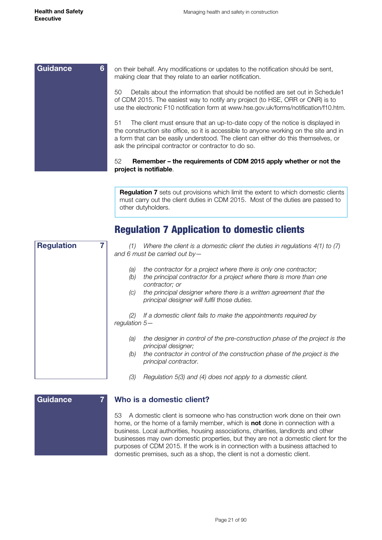<span id="page-20-0"></span>

| <b>Guidance</b><br>6 | on their behalf. Any modifications or updates to the notification should be sent,<br>making clear that they relate to an earlier notification.                                                                                                                                                                             |
|----------------------|----------------------------------------------------------------------------------------------------------------------------------------------------------------------------------------------------------------------------------------------------------------------------------------------------------------------------|
|                      | Details about the information that should be notified are set out in Schedule1<br>50<br>of CDM 2015. The easiest way to notify any project (to HSE, ORR or ONR) is to<br>use the electronic F10 notification form at www.hse.gov.uk/forms/notification/f10.htm.                                                            |
|                      | The client must ensure that an up-to-date copy of the notice is displayed in<br>51<br>the construction site office, so it is accessible to anyone working on the site and in<br>a form that can be easily understood. The client can either do this themselves, or<br>ask the principal contractor or contractor to do so. |
|                      | Remember – the requirements of CDM 2015 apply whether or not the<br>52<br>project is notifiable.                                                                                                                                                                                                                           |

**Regulation 7** sets out provisions which limit the extent to which domestic clients must carry out the client duties in CDM 2015. Most of the duties are passed to other dutyholders.

### Regulation 7 Application to domestic clients

| <b>Regulation</b> | Where the client is a domestic client the duties in regulations $4(1)$ to $(7)$<br>(1)<br>and 6 must be carried out by-                                                 |
|-------------------|-------------------------------------------------------------------------------------------------------------------------------------------------------------------------|
|                   | the contractor for a project where there is only one contractor;<br>(a)<br>the principal contractor for a project where there is more than one<br>(b)<br>contractor; or |
|                   | the principal designer where there is a written agreement that the<br>(C)<br>principal designer will fulfil those duties.                                               |
|                   | If a domestic client fails to make the appointments required by<br>(2)<br>regulation $5-$                                                                               |
|                   | the designer in control of the pre-construction phase of the project is the<br>(a)<br>principal designer;                                                               |
|                   | the contractor in control of the construction phase of the project is the<br>(b)<br>principal contractor.                                                               |
|                   | Regulation 5(3) and (4) does not apply to a domestic client.<br>(3)                                                                                                     |

**Who is a domestic client? Guidance 7**

#### 53 A domestic client is someone who has construction work done on their own home, or the home of a family member, which is **not** done in connection with a business. Local authorities, housing associations, charities, landlords and other businesses may own domestic properties, but they are not a domestic client for the purposes of CDM 2015. If the work is in connection with a business attached to domestic premises, such as a shop, the client is not a domestic client.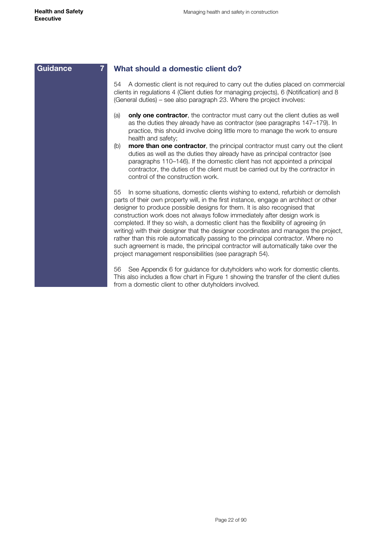| <b>Guidance</b> | $\overline{7}$<br>What should a domestic client do?                                                                                                                                                                                                                                                                                                                                                                                                                                                                                                                                                                                                                                                                                                     |  |
|-----------------|---------------------------------------------------------------------------------------------------------------------------------------------------------------------------------------------------------------------------------------------------------------------------------------------------------------------------------------------------------------------------------------------------------------------------------------------------------------------------------------------------------------------------------------------------------------------------------------------------------------------------------------------------------------------------------------------------------------------------------------------------------|--|
|                 | A domestic client is not required to carry out the duties placed on commercial<br>54<br>clients in regulations 4 (Client duties for managing projects), 6 (Notification) and 8<br>(General duties) – see also paragraph 23. Where the project involves:                                                                                                                                                                                                                                                                                                                                                                                                                                                                                                 |  |
|                 | only one contractor, the contractor must carry out the client duties as well<br>(a)<br>as the duties they already have as contractor (see paragraphs 147-179). In<br>practice, this should involve doing little more to manage the work to ensure<br>health and safety;                                                                                                                                                                                                                                                                                                                                                                                                                                                                                 |  |
|                 | more than one contractor, the principal contractor must carry out the client<br>(b)<br>duties as well as the duties they already have as principal contractor (see<br>paragraphs 110-146). If the domestic client has not appointed a principal<br>contractor, the duties of the client must be carried out by the contractor in<br>control of the construction work.                                                                                                                                                                                                                                                                                                                                                                                   |  |
|                 | In some situations, domestic clients wishing to extend, refurbish or demolish<br>55<br>parts of their own property will, in the first instance, engage an architect or other<br>designer to produce possible designs for them. It is also recognised that<br>construction work does not always follow immediately after design work is<br>completed. If they so wish, a domestic client has the flexibility of agreeing (in<br>writing) with their designer that the designer coordinates and manages the project,<br>rather than this role automatically passing to the principal contractor. Where no<br>such agreement is made, the principal contractor will automatically take over the<br>project management responsibilities (see paragraph 54). |  |
|                 | See Appendix 6 for guidance for dutyholders who work for domestic clients.<br>56<br>This also includes a flow chart in Figure 1 showing the transfer of the client duties<br>from a domestic client to other dutyholders involved.                                                                                                                                                                                                                                                                                                                                                                                                                                                                                                                      |  |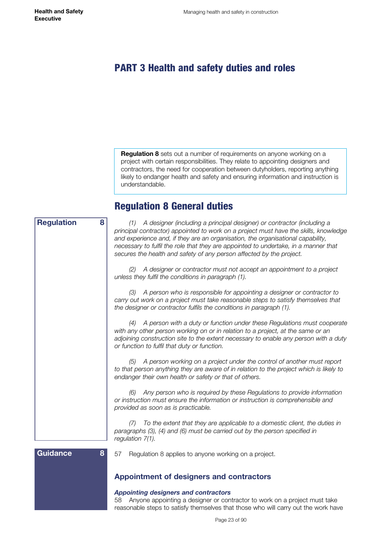### <span id="page-22-0"></span>PART 3 Health and safety duties and roles

**Regulation 8** sets out a number of requirements on anyone working on a project with certain responsibilities. They relate to appointing designers and contractors, the need for cooperation between dutyholders, reporting anything likely to endanger health and safety and ensuring information and instruction is understandable.

### Regulation 8 General duties

### *(1) A designer (including a principal designer) or contractor (including a principal contractor) appointed to work on a project must have the skills, knowledge and experience and, if they are an organisation, the organisational capability, necessary to fulfil the role that they are appointed to undertake, in a manner that secures the health and safety of any person affected by the project. (2) A designer or contractor must not accept an appointment to a project unless they fulfil the conditions in paragraph (1). (3) A person who is responsible for appointing a designer or contractor to carry out work on a project must take reasonable steps to satisfy themselves that the designer or contractor fulfils the conditions in paragraph (1). (4) A person with a duty or function under these Regulations must cooperate with any other person working on or in relation to a project, at the same or an adjoining construction site to the extent necessary to enable any person with a duty or function to fulfil that duty or function. (5) A person working on a project under the control of another must report to that person anything they are aware of in relation to the project which is likely to endanger their own health or safety or that of others. (6) Any person who is required by these Regulations to provide information or instruction must ensure the information or instruction is comprehensible and provided as soon as is practicable. (7) To the extent that they are applicable to a domestic client, the duties in paragraphs (3), (4) and (6) must be carried out by the person specified in regulation 7(1).* 57 Regulation 8 applies to anyone working on a project. **Appointment of designers and contractors Regulation 8 Guidance 8**

#### *Appointing designers and contractors*

58 Anyone appointing a designer or contractor to work on a project must take reasonable steps to satisfy themselves that those who will carry out the work have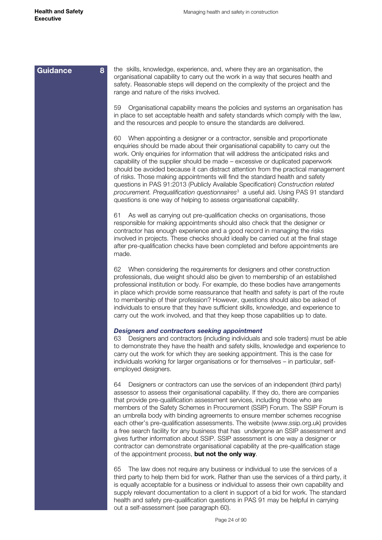| 8<br><b>Guidance</b> | the skills, knowledge, experience, and, where they are an organisation, the<br>organisational capability to carry out the work in a way that secures health and<br>safety. Reasonable steps will depend on the complexity of the project and the<br>range and nature of the risks involved.                                                                                                                                                                                                                                                                                                                                                                                                                                                                                                                                       |
|----------------------|-----------------------------------------------------------------------------------------------------------------------------------------------------------------------------------------------------------------------------------------------------------------------------------------------------------------------------------------------------------------------------------------------------------------------------------------------------------------------------------------------------------------------------------------------------------------------------------------------------------------------------------------------------------------------------------------------------------------------------------------------------------------------------------------------------------------------------------|
|                      | Organisational capability means the policies and systems an organisation has<br>59<br>in place to set acceptable health and safety standards which comply with the law,<br>and the resources and people to ensure the standards are delivered.                                                                                                                                                                                                                                                                                                                                                                                                                                                                                                                                                                                    |
|                      | When appointing a designer or a contractor, sensible and proportionate<br>60<br>enquiries should be made about their organisational capability to carry out the<br>work. Only enquiries for information that will address the anticipated risks and<br>capability of the supplier should be made - excessive or duplicated paperwork<br>should be avoided because it can distract attention from the practical management<br>of risks. Those making appointments will find the standard health and safety<br>questions in PAS 91:2013 (Publicly Available Specification) Construction related<br>procurement. Prequalification questionnaires <sup>3</sup> a useful aid. Using PAS 91 standard<br>questions is one way of helping to assess organisational capability.                                                            |
|                      | As well as carrying out pre-qualification checks on organisations, those<br>61<br>responsible for making appointments should also check that the designer or<br>contractor has enough experience and a good record in managing the risks<br>involved in projects. These checks should ideally be carried out at the final stage<br>after pre-qualification checks have been completed and before appointments are<br>made.                                                                                                                                                                                                                                                                                                                                                                                                        |
|                      | When considering the requirements for designers and other construction<br>62<br>professionals, due weight should also be given to membership of an established<br>professional institution or body. For example, do these bodies have arrangements<br>in place which provide some reassurance that health and safety is part of the route<br>to membership of their profession? However, questions should also be asked of<br>individuals to ensure that they have sufficient skills, knowledge, and experience to<br>carry out the work involved, and that they keep those capabilities up to date.                                                                                                                                                                                                                              |
|                      | <b>Designers and contractors seeking appointment</b><br>Designers and contractors (including individuals and sole traders) must be able<br>63<br>to demonstrate they have the health and safety skills, knowledge and experience to<br>carry out the work for which they are seeking appointment. This is the case for<br>individuals working for larger organisations or for themselves - in particular, self-<br>employed designers.                                                                                                                                                                                                                                                                                                                                                                                            |
|                      | Designers or contractors can use the services of an independent (third party)<br>64<br>assessor to assess their organisational capability. If they do, there are companies<br>that provide pre-qualification assessment services, including those who are<br>members of the Safety Schemes in Procurement (SSIP) Forum. The SSIP Forum is<br>an umbrella body with binding agreements to ensure member schemes recognise<br>each other's pre-qualification assessments. The website (www.ssip.org.uk) provides<br>a free search facility for any business that has undergone an SSIP assessment and<br>gives further information about SSIP. SSIP assessment is one way a designer or<br>contractor can demonstrate organisational capability at the pre-qualification stage<br>of the appointment process, but not the only way. |
|                      | The law does not require any business or individual to use the services of a<br>65<br>third party to help them bid for work. Rather than use the services of a third party, it<br>is equally acceptable for a business or individual to assess their own capability and<br>supply relevant documentation to a client in support of a bid for work. The standard                                                                                                                                                                                                                                                                                                                                                                                                                                                                   |

health and safety pre-qualification questions in PAS 91 may be helpful in carrying

out a self-assessment (see paragraph 60).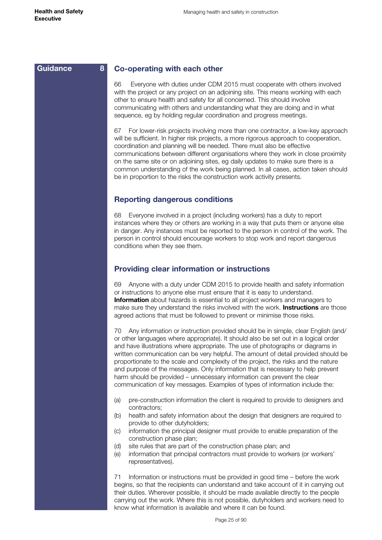#### **Co-operating with each other Guidance 8**

66 Everyone with duties under CDM 2015 must cooperate with others involved with the project or any project on an adjoining site. This means working with each other to ensure health and safety for all concerned. This should involve communicating with others and understanding what they are doing and in what sequence, eg by holding regular coordination and progress meetings.

67 For lower-risk projects involving more than one contractor, a low-key approach will be sufficient. In higher risk projects, a more rigorous approach to cooperation, coordination and planning will be needed. There must also be effective communications between different organisations where they work in close proximity on the same site or on adjoining sites, eg daily updates to make sure there is a common understanding of the work being planned. In all cases, action taken should be in proportion to the risks the construction work activity presents.

#### **Reporting dangerous conditions**

68 Everyone involved in a project (including workers) has a duty to report instances where they or others are working in a way that puts them or anyone else in danger. Any instances must be reported to the person in control of the work. The person in control should encourage workers to stop work and report dangerous conditions when they see them.

#### **Providing clear information or instructions**

69 Anyone with a duty under CDM 2015 to provide health and safety information or instructions to anyone else must ensure that it is easy to understand. **Information** about hazards is essential to all project workers and managers to make sure they understand the risks involved with the work. **Instructions** are those agreed actions that must be followed to prevent or minimise those risks.

70 Any information or instruction provided should be in simple, clear English (and/ or other languages where appropriate). It should also be set out in a logical order and have illustrations where appropriate. The use of photographs or diagrams in written communication can be very helpful. The amount of detail provided should be proportionate to the scale and complexity of the project, the risks and the nature and purpose of the messages. Only information that is necessary to help prevent harm should be provided – unnecessary information can prevent the clear communication of key messages. Examples of types of information include the:

- (a) pre-construction information the client is required to provide to designers and contractors;
- (b) health and safety information about the design that designers are required to provide to other dutyholders;
- (c) information the principal designer must provide to enable preparation of the construction phase plan;
- (d) site rules that are part of the construction phase plan; and
- (e) information that principal contractors must provide to workers (or workers' representatives).

71 Information or instructions must be provided in good time – before the work begins, so that the recipients can understand and take account of it in carrying out their duties. Wherever possible, it should be made available directly to the people carrying out the work. Where this is not possible, dutyholders and workers need to know what information is available and where it can be found.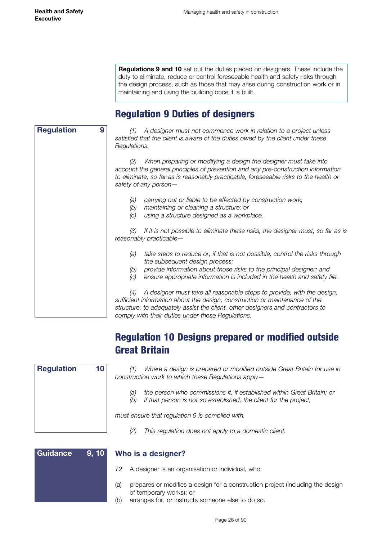**Regulations 9 and 10** set out the duties placed on designers. These include the duty to eliminate, reduce or control foreseeable health and safety risks through the design process, such as those that may arise during construction work or in maintaining and using the building once it is built.

### Regulation 9 Duties of designers

<span id="page-25-0"></span>

| 9<br><b>Regulation</b> | A designer must not commence work in relation to a project unless<br>(1)<br>satisfied that the client is aware of the duties owed by the client under these                                                                                                                    |
|------------------------|--------------------------------------------------------------------------------------------------------------------------------------------------------------------------------------------------------------------------------------------------------------------------------|
|                        | Regulations.                                                                                                                                                                                                                                                                   |
|                        | When preparing or modifying a design the designer must take into<br>(2)<br>account the general principles of prevention and any pre-construction information<br>to eliminate, so far as is reasonably practicable, foreseeable risks to the health or<br>safety of any person- |
|                        | carrying out or liable to be affected by construction work;<br>(a)<br>(b)<br>maintaining or cleaning a structure; or<br>using a structure designed as a workplace.<br>(C)                                                                                                      |
|                        | If it is not possible to eliminate these risks, the designer must, so far as is<br>(3)<br>reasonably practicable-                                                                                                                                                              |
|                        | take steps to reduce or, if that is not possible, control the risks through<br>(a)<br>the subsequent design process;<br>provide information about those risks to the principal designer; and<br>(b)                                                                            |
|                        | ensure appropriate information is included in the health and safety file.<br>(C)                                                                                                                                                                                               |
|                        | A designer must take all reasonable steps to provide, with the design,<br>(4)<br>sufficient information about the design, construction or maintenance of the<br>structure, to adequately assist the client, other designers and contractors to                                 |

### Regulation 10 Designs prepared or modified outside Great Britain

| <b>Regulation</b> | 10 |
|-------------------|----|
|                   |    |
|                   |    |
|                   |    |
|                   |    |

*(1) Where a design is prepared or modified outside Great Britain for use in construction work to which these Regulations apply—*

- *(a) the person who commissions it, if established within Great Britain; or*
- *(b) if that person is not so established, the client for the project,*

*must ensure that regulation 9 is complied with.*

*comply with their duties under these Regulations.*

*(2) This regulation does not apply to a domestic client.*

| Guidance | 9, 10 |  |
|----------|-------|--|
|          |       |  |
|          |       |  |
|          |       |  |

#### **Who is a designer?**

- 72 A designer is an organisation or individual, who:
- (a) prepares or modifies a design for a construction project (including the design of temporary works); or
- (b) arranges for, or instructs someone else to do so.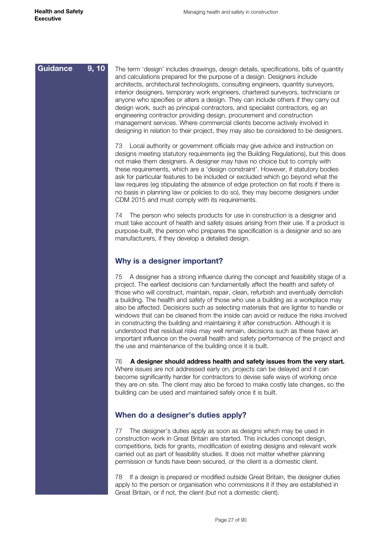The term 'design' includes drawings, design details, specifications, bills of quantity and calculations prepared for the purpose of a design. Designers include architects, architectural technologists, consulting engineers, quantity surveyors, interior designers, temporary work engineers, chartered surveyors, technicians or anyone who specifies or alters a design. They can include others if they carry out design work, such as principal contractors, and specialist contractors, eg an engineering contractor providing design, procurement and construction management services. Where commercial clients become actively involved in designing in relation to their project, they may also be considered to be designers. **Guidance 9, 10**

> 73 Local authority or government officials may give advice and instruction on designs meeting statutory requirements (eg the Building Regulations), but this does not make them designers. A designer may have no choice but to comply with these requirements, which are a 'design constraint'. However, if statutory bodies ask for particular features to be included or excluded which go beyond what the law requires (eg stipulating the absence of edge protection on flat roofs if there is no basis in planning law or policies to do so), they may become designers under CDM 2015 and must comply with its requirements.

> 74 The person who selects products for use in construction is a designer and must take account of health and safety issues arising from their use. If a product is purpose-built, the person who prepares the specification is a designer and so are manufacturers, if they develop a detailed design.

#### **Why is a designer important?**

75 A designer has a strong influence during the concept and feasibility stage of a project. The earliest decisions can fundamentally affect the health and safety of those who will construct, maintain, repair, clean, refurbish and eventually demolish a building. The health and safety of those who use a building as a workplace may also be affected. Decisions such as selecting materials that are lighter to handle or windows that can be cleaned from the inside can avoid or reduce the risks involved in constructing the building and maintaining it after construction. Although it is understood that residual risks may well remain, decisions such as these have an important influence on the overall health and safety performance of the project and the use and maintenance of the building once it is built.

76 **A designer should address health and safety issues from the very start.** Where issues are not addressed early on, projects can be delayed and it can become significantly harder for contractors to devise safe ways of working once they are on site. The client may also be forced to make costly late changes, so the building can be used and maintained safely once it is built.

### **When do a designer's duties apply?**

77 The designer's duties apply as soon as designs which may be used in construction work in Great Britain are started. This includes concept design, competitions, bids for grants, modification of existing designs and relevant work carried out as part of feasibility studies. It does not matter whether planning permission or funds have been secured, or the client is a domestic client.

78 If a design is prepared or modified outside Great Britain, the designer duties apply to the person or organisation who commissions it if they are established in Great Britain, or if not, the client (but not a domestic client).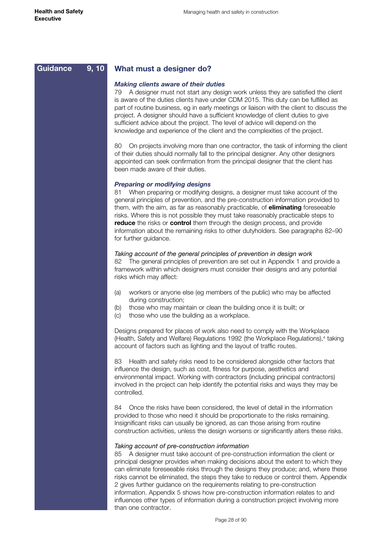#### **What must a designer do? Guidance 9, 10**

#### *Making clients aware of their duties*

79 A designer must not start any design work unless they are satisfied the client is aware of the duties clients have under CDM 2015. This duty can be fulfilled as part of routine business, eg in early meetings or liaison with the client to discuss the project. A designer should have a sufficient knowledge of client duties to give sufficient advice about the project. The level of advice will depend on the knowledge and experience of the client and the complexities of the project.

80 On projects involving more than one contractor, the task of informing the client of their duties should normally fall to the principal designer. Any other designers appointed can seek confirmation from the principal designer that the client has been made aware of their duties.

#### *Preparing or modifying designs*

81 When preparing or modifying designs, a designer must take account of the general principles of prevention, and the pre-construction information provided to them, with the aim, as far as reasonably practicable, of **eliminating** foreseeable risks. Where this is not possible they must take reasonably practicable steps to **reduce** the risks or **control** them through the design process, and provide information about the remaining risks to other dutyholders. See paragraphs 82–90 for further quidance.

#### *Taking account of the general principles of prevention in design work*

82 The general principles of prevention are set out in Appendix 1 and provide a framework within which designers must consider their designs and any potential risks which may affect:

- (a) workers or anyone else (eg members of the public) who may be affected during construction;
- (b) those who may maintain or clean the building once it is built; or
- (c) those who use the building as a workplace.

Designs prepared for places of work also need to comply with the Workplace (Health, Safety and Welfare) Regulations 1992 (the Workplace Regulations),4 taking account of factors such as lighting and the layout of traffic routes.

83 Health and safety risks need to be considered alongside other factors that influence the design, such as cost, fitness for purpose, aesthetics and environmental impact. Working with contractors (including principal contractors) involved in the project can help identify the potential risks and ways they may be controlled.

84 Once the risks have been considered, the level of detail in the information provided to those who need it should be proportionate to the risks remaining. Insignificant risks can usually be ignored, as can those arising from routine construction activities, unless the design worsens or significantly alters these risks.

#### *Taking account of pre-construction information*

85 A designer must take account of pre-construction information the client or principal designer provides when making decisions about the extent to which they can eliminate foreseeable risks through the designs they produce; and, where these risks cannot be eliminated, the steps they take to reduce or control them. Appendix 2 gives further guidance on the requirements relating to pre-construction information. Appendix 5 shows how pre-construction information relates to and influences other types of information during a construction project involving more than one contractor.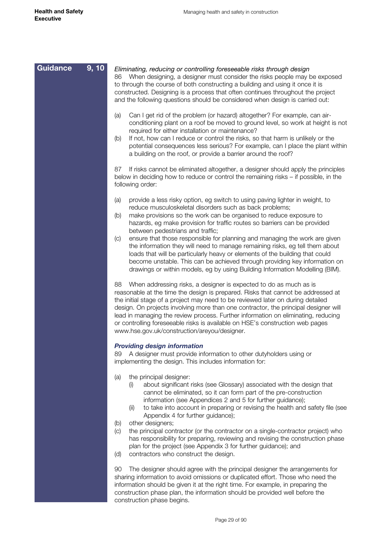| 9, 10<br><b>Guidance</b> | Eliminating, reducing or controlling foreseeable risks through design<br>When designing, a designer must consider the risks people may be exposed<br>86<br>to through the course of both constructing a building and using it once it is<br>constructed. Designing is a process that often continues throughout the project<br>and the following questions should be considered when design is carried out:                                                                                                                                                                                                                                                                                                                                                           |
|--------------------------|-----------------------------------------------------------------------------------------------------------------------------------------------------------------------------------------------------------------------------------------------------------------------------------------------------------------------------------------------------------------------------------------------------------------------------------------------------------------------------------------------------------------------------------------------------------------------------------------------------------------------------------------------------------------------------------------------------------------------------------------------------------------------|
|                          | Can I get rid of the problem (or hazard) altogether? For example, can air-<br>(a)<br>conditioning plant on a roof be moved to ground level, so work at height is not<br>required for either installation or maintenance?<br>If not, how can I reduce or control the risks, so that harm is unlikely or the<br>(b)<br>potential consequences less serious? For example, can I place the plant within<br>a building on the roof, or provide a barrier around the roof?                                                                                                                                                                                                                                                                                                  |
|                          | If risks cannot be eliminated altogether, a designer should apply the principles<br>87<br>below in deciding how to reduce or control the remaining risks - if possible, in the<br>following order:                                                                                                                                                                                                                                                                                                                                                                                                                                                                                                                                                                    |
|                          | provide a less risky option, eg switch to using paving lighter in weight, to<br>(a)<br>reduce musculoskeletal disorders such as back problems;<br>make provisions so the work can be organised to reduce exposure to<br>(b)<br>hazards, eg make provision for traffic routes so barriers can be provided<br>between pedestrians and traffic;<br>ensure that those responsible for planning and managing the work are given<br>$\left( $<br>the information they will need to manage remaining risks, eg tell them about<br>loads that will be particularly heavy or elements of the building that could<br>become unstable. This can be achieved through providing key information on<br>drawings or within models, eg by using Building Information Modelling (BIM). |
|                          | 88<br>When addressing risks, a designer is expected to do as much as is<br>reasonable at the time the design is prepared. Risks that cannot be addressed at<br>the initial stage of a project may need to be reviewed later on during detailed<br>design. On projects involving more than one contractor, the principal designer will<br>lead in managing the review process. Further information on eliminating, reducing<br>or controlling foreseeable risks is available on HSE's construction web pages<br>www.hse.gov.uk/construction/areyou/designer.                                                                                                                                                                                                           |
|                          | <b>Providing design information</b><br>A designer must provide information to other dutyholders using or<br>89<br>implementing the design. This includes information for:                                                                                                                                                                                                                                                                                                                                                                                                                                                                                                                                                                                             |
|                          | (a)<br>the principal designer:<br>about significant risks (see Glossary) associated with the design that<br>(i)<br>cannot be eliminated, so it can form part of the pre-construction<br>information (see Appendices 2 and 5 for further guidance);<br>to take into account in preparing or revising the health and safety file (see<br>(ii)<br>Appendix 4 for further guidance);<br>other designers;<br>(b)<br>the principal contractor (or the contractor on a single-contractor project) who<br>$\left( $<br>has responsibility for preparing, reviewing and revising the construction phase<br>plan for the project (see Appendix 3 for further guidance); and<br>contractors who construct the design.<br>(d)                                                     |
|                          | The designer should agree with the principal designer the arrangements for<br>90<br>sharing information to avoid omissions or duplicated effort. Those who need the<br>information should be given it at the right time. For example, in preparing the<br>construction phase plan, the information should be provided well before the<br>construction phase begins.                                                                                                                                                                                                                                                                                                                                                                                                   |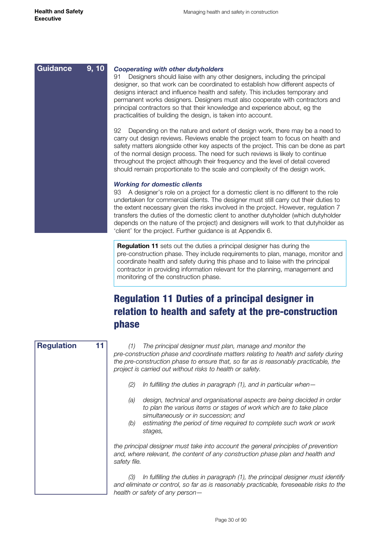<span id="page-29-0"></span>

#### *Cooperating with other dutyholders*

91 Designers should liaise with any other designers, including the principal designer, so that work can be coordinated to establish how different aspects of designs interact and influence health and safety. This includes temporary and permanent works designers. Designers must also cooperate with contractors and principal contractors so that their knowledge and experience about, eg the practicalities of building the design, is taken into account.

92 Depending on the nature and extent of design work, there may be a need to carry out design reviews. Reviews enable the project team to focus on health and safety matters alongside other key aspects of the project. This can be done as part of the normal design process. The need for such reviews is likely to continue throughout the project although their frequency and the level of detail covered should remain proportionate to the scale and complexity of the design work.

#### *Working for domestic clients*

93 A designer's role on a project for a domestic client is no different to the role undertaken for commercial clients. The designer must still carry out their duties to the extent necessary given the risks involved in the project. However, regulation 7 transfers the duties of the domestic client to another dutyholder (which dutyholder depends on the nature of the project) and designers will work to that dutyholder as 'client' for the project. Further guidance is at Appendix 6.

**Regulation 11** sets out the duties a principal designer has during the pre-construction phase. They include requirements to plan, manage, monitor and coordinate health and safety during this phase and to liaise with the principal contractor in providing information relevant for the planning, management and monitoring of the construction phase.

### Regulation 11 Duties of a principal designer in relation to health and safety at the pre-construction phase

| <b>Regulation</b> | 11 | The principal designer must plan, manage and monitor the<br>(1)<br>pre-construction phase and coordinate matters relating to health and safety during<br>the pre-construction phase to ensure that, so far as is reasonably practicable, the<br>project is carried out without risks to health or safety. |
|-------------------|----|-----------------------------------------------------------------------------------------------------------------------------------------------------------------------------------------------------------------------------------------------------------------------------------------------------------|
|                   |    | In fulfilling the duties in paragraph (1), and in particular when-<br>(2)                                                                                                                                                                                                                                 |
|                   |    | design, technical and organisational aspects are being decided in order<br>(a)<br>to plan the various items or stages of work which are to take place<br>simultaneously or in succession; and<br>estimating the period of time required to complete such work or work<br>(b)<br>stages,                   |
|                   |    | the principal designer must take into account the general principles of prevention<br>and, where relevant, the content of any construction phase plan and health and<br>safety file.                                                                                                                      |
|                   |    | In fulfilling the duties in paragraph (1), the principal designer must identify<br>(3)<br>and eliminate or control, so far as is reasonably practicable, foreseeable risks to the<br>health or safety of any person-                                                                                      |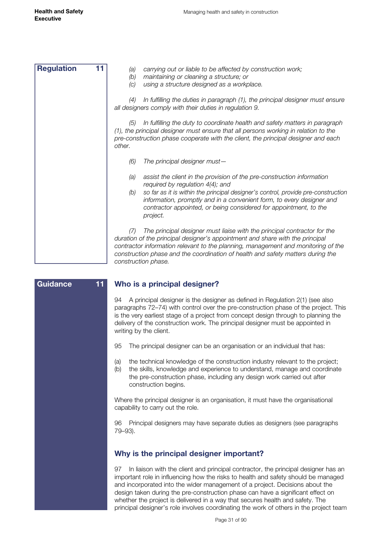**Guidance 11**

| <b>Regulation</b> | carrying out or liable to be affected by construction work;<br>(a)<br>(b)<br>maintaining or cleaning a structure; or<br>(C)<br>using a structure designed as a workplace.<br>In fulfilling the duties in paragraph (1), the principal designer must ensure<br>(4)<br>all designers comply with their duties in regulation 9.                                            |
|-------------------|-------------------------------------------------------------------------------------------------------------------------------------------------------------------------------------------------------------------------------------------------------------------------------------------------------------------------------------------------------------------------|
|                   | In fulfilling the duty to coordinate health and safety matters in paragraph<br>(5)<br>(1), the principal designer must ensure that all persons working in relation to the<br>pre-construction phase cooperate with the client, the principal designer and each<br>other.                                                                                                |
|                   | (6)<br>The principal designer must-                                                                                                                                                                                                                                                                                                                                     |
|                   | assist the client in the provision of the pre-construction information<br>(a)<br>required by regulation 4(4); and<br>so far as it is within the principal designer's control, provide pre-construction<br>(b)<br>information, promptly and in a convenient form, to every designer and<br>contractor appointed, or being considered for appointment, to the<br>project. |
|                   | The principal designer must liaise with the principal contractor for the<br>(7)<br>duration of the principal designer's appointment and share with the principal<br>contractor information relevant to the planning, management and monitoring of the<br>construction phase and the coordination of health and safety matters during the<br>construction phase.         |

### **Who is a principal designer?**

94 A principal designer is the designer as defined in Regulation 2(1) (see also paragraphs 72–74) with control over the pre-construction phase of the project. This is the very earliest stage of a project from concept design through to planning the delivery of the construction work. The principal designer must be appointed in writing by the client.

- 95 The principal designer can be an organisation or an individual that has:
- (a) the technical knowledge of the construction industry relevant to the project;
- (b) the skills, knowledge and experience to understand, manage and coordinate the pre-construction phase, including any design work carried out after construction begins.

Where the principal designer is an organisation, it must have the organisational capability to carry out the role.

96 Principal designers may have separate duties as designers (see paragraphs 79–93).

### **Why is the principal designer important?**

97 In liaison with the client and principal contractor, the principal designer has an important role in influencing how the risks to health and safety should be managed and incorporated into the wider management of a project. Decisions about the design taken during the pre-construction phase can have a significant effect on whether the project is delivered in a way that secures health and safety. The principal designer's role involves coordinating the work of others in the project team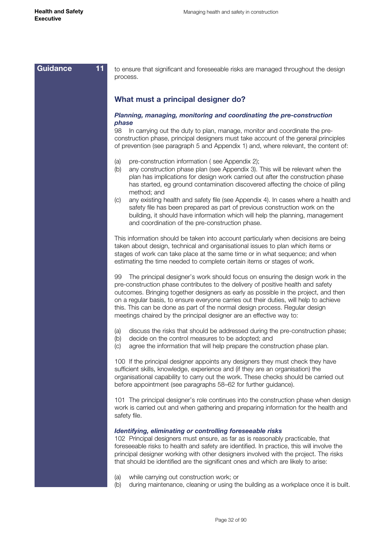| <b>Guidance</b><br>11 | to ensure that significant and foreseeable risks are managed throughout the design<br>process.                                                                                                                                                                                                                                                                                                                                                                                                                                                                                                                                                |
|-----------------------|-----------------------------------------------------------------------------------------------------------------------------------------------------------------------------------------------------------------------------------------------------------------------------------------------------------------------------------------------------------------------------------------------------------------------------------------------------------------------------------------------------------------------------------------------------------------------------------------------------------------------------------------------|
|                       | What must a principal designer do?                                                                                                                                                                                                                                                                                                                                                                                                                                                                                                                                                                                                            |
|                       | Planning, managing, monitoring and coordinating the pre-construction<br>phase                                                                                                                                                                                                                                                                                                                                                                                                                                                                                                                                                                 |
|                       | 98<br>In carrying out the duty to plan, manage, monitor and coordinate the pre-<br>construction phase, principal designers must take account of the general principles<br>of prevention (see paragraph 5 and Appendix 1) and, where relevant, the content of:                                                                                                                                                                                                                                                                                                                                                                                 |
|                       | (a)<br>pre-construction information (see Appendix 2);<br>(b)<br>any construction phase plan (see Appendix 3). This will be relevant when the<br>plan has implications for design work carried out after the construction phase<br>has started, eg ground contamination discovered affecting the choice of piling<br>method; and<br>any existing health and safety file (see Appendix 4). In cases where a health and<br>(C)<br>safety file has been prepared as part of previous construction work on the<br>building, it should have information which will help the planning, management<br>and coordination of the pre-construction phase. |
|                       | This information should be taken into account particularly when decisions are being<br>taken about design, technical and organisational issues to plan which items or<br>stages of work can take place at the same time or in what sequence; and when<br>estimating the time needed to complete certain items or stages of work.                                                                                                                                                                                                                                                                                                              |
|                       | The principal designer's work should focus on ensuring the design work in the<br>99<br>pre-construction phase contributes to the delivery of positive health and safety<br>outcomes. Bringing together designers as early as possible in the project, and then<br>on a regular basis, to ensure everyone carries out their duties, will help to achieve<br>this. This can be done as part of the normal design process. Regular design<br>meetings chaired by the principal designer are an effective way to:                                                                                                                                 |
|                       | discuss the risks that should be addressed during the pre-construction phase;<br>(a)<br>(b)<br>decide on the control measures to be adopted; and<br>(c)<br>agree the information that will help prepare the construction phase plan.                                                                                                                                                                                                                                                                                                                                                                                                          |
|                       | 100 If the principal designer appoints any designers they must check they have<br>sufficient skills, knowledge, experience and (if they are an organisation) the<br>organisational capability to carry out the work. These checks should be carried out<br>before appointment (see paragraphs 58-62 for further guidance).                                                                                                                                                                                                                                                                                                                    |
|                       | 101 The principal designer's role continues into the construction phase when design<br>work is carried out and when gathering and preparing information for the health and<br>safety file.                                                                                                                                                                                                                                                                                                                                                                                                                                                    |
|                       | Identifying, eliminating or controlling foreseeable risks<br>102 Principal designers must ensure, as far as is reasonably practicable, that<br>foreseeable risks to health and safety are identified. In practice, this will involve the<br>principal designer working with other designers involved with the project. The risks<br>that should be identified are the significant ones and which are likely to arise:                                                                                                                                                                                                                         |
|                       | (a)<br>while carrying out construction work; or<br>(b)<br>during maintenance, cleaning or using the building as a workplace once it is built.                                                                                                                                                                                                                                                                                                                                                                                                                                                                                                 |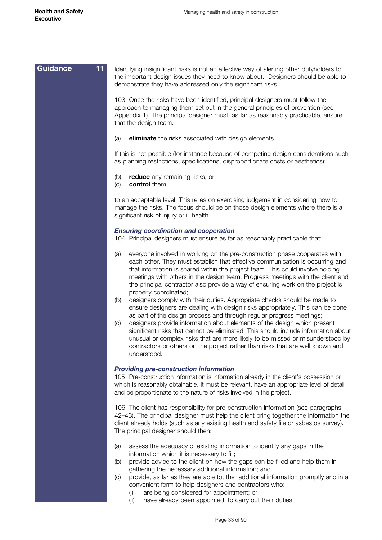| <b>Guidance</b><br>11 | Identifying insignificant risks is not an effective way of alerting other dutyholders to<br>the important design issues they need to know about. Designers should be able to<br>demonstrate they have addressed only the significant risks.                                                                                                                                                                                                                                        |
|-----------------------|------------------------------------------------------------------------------------------------------------------------------------------------------------------------------------------------------------------------------------------------------------------------------------------------------------------------------------------------------------------------------------------------------------------------------------------------------------------------------------|
|                       | 103 Once the risks have been identified, principal designers must follow the<br>approach to managing them set out in the general principles of prevention (see<br>Appendix 1). The principal designer must, as far as reasonably practicable, ensure<br>that the design team:                                                                                                                                                                                                      |
|                       | eliminate the risks associated with design elements.<br>(a)                                                                                                                                                                                                                                                                                                                                                                                                                        |
|                       | If this is not possible (for instance because of competing design considerations such<br>as planning restrictions, specifications, disproportionate costs or aesthetics):                                                                                                                                                                                                                                                                                                          |
|                       | reduce any remaining risks; or<br>(b)<br>(c)<br>control them,                                                                                                                                                                                                                                                                                                                                                                                                                      |
|                       | to an acceptable level. This relies on exercising judgement in considering how to<br>manage the risks. The focus should be on those design elements where there is a<br>significant risk of injury or ill health.                                                                                                                                                                                                                                                                  |
|                       | <b>Ensuring coordination and cooperation</b><br>104 Principal designers must ensure as far as reasonably practicable that:                                                                                                                                                                                                                                                                                                                                                         |
|                       | everyone involved in working on the pre-construction phase cooperates with<br>(a)<br>each other. They must establish that effective communication is occurring and<br>that information is shared within the project team. This could involve holding<br>meetings with others in the design team. Progress meetings with the client and<br>the principal contractor also provide a way of ensuring work on the project is<br>properly coordinated;                                  |
|                       | designers comply with their duties. Appropriate checks should be made to<br>(b)<br>ensure designers are dealing with design risks appropriately. This can be done<br>as part of the design process and through regular progress meetings;                                                                                                                                                                                                                                          |
|                       | designers provide information about elements of the design which present<br>(C)<br>significant risks that cannot be eliminated. This should include information about<br>unusual or complex risks that are more likely to be missed or misunderstood by<br>contractors or others on the project rather than risks that are well known and<br>understood.                                                                                                                           |
|                       | <b>Providing pre-construction information</b><br>105 Pre-construction information is information already in the client's possession or<br>which is reasonably obtainable. It must be relevant, have an appropriate level of detail<br>and be proportionate to the nature of risks involved in the project.                                                                                                                                                                         |
|                       | 106 The client has responsibility for pre-construction information (see paragraphs<br>42-43). The principal designer must help the client bring together the information the<br>client already holds (such as any existing health and safety file or asbestos survey).<br>The principal designer should then:                                                                                                                                                                      |
|                       | assess the adequacy of existing information to identify any gaps in the<br>(a)<br>information which it is necessary to fill;<br>provide advice to the client on how the gaps can be filled and help them in<br>(b)<br>gathering the necessary additional information; and<br>provide, as far as they are able to, the additional information promptly and in a<br>(C)<br>convenient form to help designers and contractors who:<br>are being considered for appointment; or<br>(i) |
|                       | have already been appointed, to carry out their duties.<br>(ii)                                                                                                                                                                                                                                                                                                                                                                                                                    |

(ii) have already been appointed, to carry out their duties.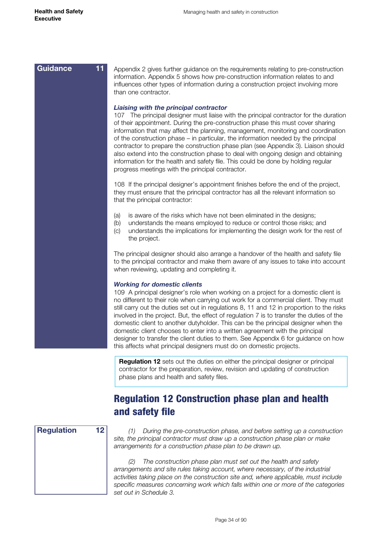<span id="page-33-0"></span>

| <b>Guidance</b> | 11<br>Appendix 2 gives further guidance on the requirements relating to pre-construction<br>information. Appendix 5 shows how pre-construction information relates to and<br>influences other types of information during a construction project involving more<br>than one contractor.                                                                                                                                                                                                                                                                                                                                                                                                                                                        |
|-----------------|------------------------------------------------------------------------------------------------------------------------------------------------------------------------------------------------------------------------------------------------------------------------------------------------------------------------------------------------------------------------------------------------------------------------------------------------------------------------------------------------------------------------------------------------------------------------------------------------------------------------------------------------------------------------------------------------------------------------------------------------|
|                 | Liaising with the principal contractor<br>107 The principal designer must liaise with the principal contractor for the duration<br>of their appointment. During the pre-construction phase this must cover sharing<br>information that may affect the planning, management, monitoring and coordination<br>of the construction phase – in particular, the information needed by the principal<br>contractor to prepare the construction phase plan (see Appendix 3). Liaison should<br>also extend into the construction phase to deal with ongoing design and obtaining<br>information for the health and safety file. This could be done by holding regular<br>progress meetings with the principal contractor.                              |
|                 | 108 If the principal designer's appointment finishes before the end of the project,<br>they must ensure that the principal contractor has all the relevant information so<br>that the principal contractor:                                                                                                                                                                                                                                                                                                                                                                                                                                                                                                                                    |
|                 | is aware of the risks which have not been eliminated in the designs;<br>(a)<br>understands the means employed to reduce or control those risks; and<br>(b)<br>understands the implications for implementing the design work for the rest of<br>(c)<br>the project.                                                                                                                                                                                                                                                                                                                                                                                                                                                                             |
|                 | The principal designer should also arrange a handover of the health and safety file<br>to the principal contractor and make them aware of any issues to take into account<br>when reviewing, updating and completing it.                                                                                                                                                                                                                                                                                                                                                                                                                                                                                                                       |
|                 | <b>Working for domestic clients</b><br>109 A principal designer's role when working on a project for a domestic client is<br>no different to their role when carrying out work for a commercial client. They must<br>still carry out the duties set out in regulations 8, 11 and 12 in proportion to the risks<br>involved in the project. But, the effect of regulation 7 is to transfer the duties of the<br>domestic client to another dutyholder. This can be the principal designer when the<br>domestic client chooses to enter into a written agreement with the principal<br>designer to transfer the client duties to them. See Appendix 6 for guidance on how<br>this affects what principal designers must do on domestic projects. |
|                 | Regulation 12 sets out the duties on either the principal designer or principal<br>contractor for the preparation, review, revision and updating of construction<br>phase plans and health and safety files.                                                                                                                                                                                                                                                                                                                                                                                                                                                                                                                                   |
|                 | <b>Regulation 12 Construction phase plan and health</b>                                                                                                                                                                                                                                                                                                                                                                                                                                                                                                                                                                                                                                                                                        |

# and safety file

#### **Regulation 12**

*(1) During the pre-construction phase, and before setting up a construction site, the principal contractor must draw up a construction phase plan or make arrangements for a construction phase plan to be drawn up.*

*(2) The construction phase plan must set out the health and safety arrangements and site rules taking account, where necessary, of the industrial activities taking place on the construction site and, where applicable, must include specific measures concerning work which falls within one or more of the categories set out in Schedule 3.*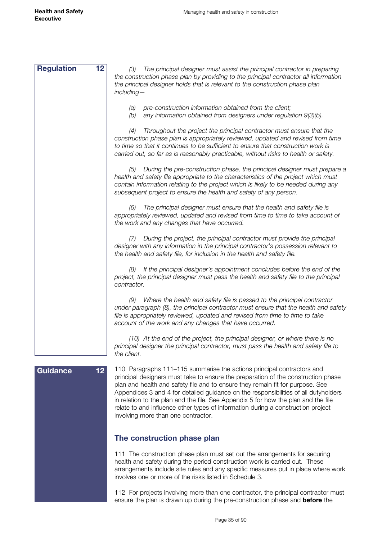*(3) The principal designer must assist the principal contractor in preparing the construction phase plan by providing to the principal contractor all information the principal designer holds that is relevant to the construction phase plan including— (a) pre-construction information obtained from the client; (b) any information obtained from designers under regulation 9(3)(b). (4) Throughout the project the principal contractor must ensure that the construction phase plan is appropriately reviewed, updated and revised from time to time so that it continues to be sufficient to ensure that construction work is carried out, so far as is reasonably practicable, without risks to health or safety. (5) During the pre-construction phase, the principal designer must prepare a*  health and safety file appropriate to the characteristics of the project which must *contain information relating to the project which is likely to be needed during any subsequent project to ensure the health and safety of any person. (6) The principal designer must ensure that the health and safety file is appropriately reviewed, updated and revised from time to time to take account of the work and any changes that have occurred. (7) During the project, the principal contractor must provide the principal designer with any information in the principal contractor's possession relevant to the health and safety file, for inclusion in the health and safety file. (8) If the principal designer's appointment concludes before the end of the project, the principal designer must pass the health and safety file to the principal contractor. (9) Where the health and safety file is passed to the principal contractor under paragraph (8), the principal contractor must ensure that the health and safety file is appropriately reviewed, updated and revised from time to time to take account of the work and any changes that have occurred. (10) At the end of the project, the principal designer, or where there is no principal designer the principal contractor, must pass the health and safety file to the client.* 110 Paragraphs 111–115 summarise the actions principal contractors and principal designers must take to ensure the preparation of the construction phase plan and health and safety file and to ensure they remain fit for purpose. See Appendices 3 and 4 for detailed guidance on the responsibilities of all dutyholders in relation to the plan and the file. See Appendix 5 for how the plan and the file relate to and influence other types of information during a construction project involving more than one contractor. **The construction phase plan** 111 The construction phase plan must set out the arrangements for securing health and safety during the period construction work is carried out. These arrangements include site rules and any specific measures put in place where work involves one or more of the risks listed in Schedule 3. **Regulation 12 Guidance 12**

> 112 For projects involving more than one contractor, the principal contractor must ensure the plan is drawn up during the pre-construction phase and **before** the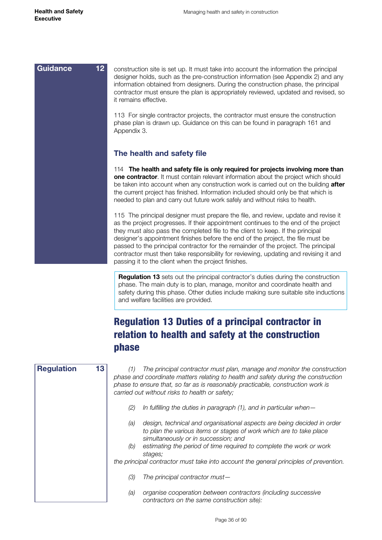<span id="page-35-0"></span>construction site is set up. It must take into account the information the principal designer holds, such as the pre-construction information (see Appendix 2) and any information obtained from designers. During the construction phase, the principal contractor must ensure the plan is appropriately reviewed, updated and revised, so it remains effective. **Guidance 12**

> 113 For single contractor projects, the contractor must ensure the construction phase plan is drawn up. Guidance on this can be found in paragraph 161 and Appendix 3.

### **The health and safety file**

114 **The health and safety file is only required for projects involving more than one contractor**. It must contain relevant information about the project which should be taken into account when any construction work is carried out on the building **after**  the current project has finished. Information included should only be that which is needed to plan and carry out future work safely and without risks to health.

115 The principal designer must prepare the file, and review, update and revise it as the project progresses. If their appointment continues to the end of the project they must also pass the completed file to the client to keep. If the principal designer's appointment finishes before the end of the project, the file must be passed to the principal contractor for the remainder of the project. The principal contractor must then take responsibility for reviewing, updating and revising it and passing it to the client when the project finishes.

**Regulation 13** sets out the principal contractor's duties during the construction phase. The main duty is to plan, manage, monitor and coordinate health and safety during this phase. Other duties include making sure suitable site inductions and welfare facilities are provided.

## Regulation 13 Duties of a principal contractor in relation to health and safety at the construction phase

| <b>Regulation</b> | 13 |
|-------------------|----|
|                   |    |
|                   |    |
|                   |    |
|                   |    |
|                   |    |
|                   |    |
|                   |    |
|                   |    |
|                   |    |
|                   |    |
|                   |    |

*(1) The principal contractor must plan, manage and monitor the construction phase and coordinate matters relating to health and safety during the construction phase to ensure that, so far as is reasonably practicable, construction work is carried out without risks to health or safety;*

- *(2) In fulfilling the duties in paragraph (1), and in particular when—*
- *(a) design, technical and organisational aspects are being decided in order to plan the various items or stages of work which are to take place simultaneously or in succession; and*
- *(b) estimating the period of time required to complete the work or work stages;*

*the principal contractor must take into account the general principles of prevention.*

- *(3) The principal contractor must—*
- *(a) organise cooperation between contractors (including successive contractors on the same construction site):*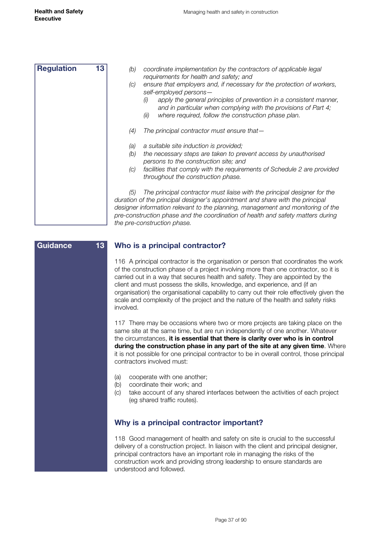| <b>Regulation</b> | 13 | (b)<br>(c)        | coordinate implementation by the contractors of applicable legal<br>requirements for health and safety; and<br>ensure that employers and, if necessary for the protection of workers,<br>self-employed persons-<br>apply the general principles of prevention in a consistent manner,<br>(i)<br>and in particular when complying with the provisions of Part 4;<br>where required, follow the construction phase plan.<br>(ii) |
|-------------------|----|-------------------|--------------------------------------------------------------------------------------------------------------------------------------------------------------------------------------------------------------------------------------------------------------------------------------------------------------------------------------------------------------------------------------------------------------------------------|
|                   |    | (4)               | The principal contractor must ensure that-                                                                                                                                                                                                                                                                                                                                                                                     |
|                   |    | (a)<br>(b)<br>(c) | a suitable site induction is provided;<br>the necessary steps are taken to prevent access by unauthorised<br>persons to the construction site; and<br>facilities that comply with the requirements of Schedule 2 are provided<br>throughout the construction phase.                                                                                                                                                            |
|                   |    | (5)               | The principal contractor must liaise with the principal designer for the<br>duration of the principal designer's appointment and share with the principal<br>designer information relevant to the planning, management and monitoring of the<br>pre-construction phase and the coordination of health and safety matters during<br>the pre-construction phase.                                                                 |

| <b>Guidance</b><br>13 | Who is a principal contractor?                                                                                                                                                                                                                                                                                                                                                                                                                                                                                                          |
|-----------------------|-----------------------------------------------------------------------------------------------------------------------------------------------------------------------------------------------------------------------------------------------------------------------------------------------------------------------------------------------------------------------------------------------------------------------------------------------------------------------------------------------------------------------------------------|
|                       | 116 A principal contractor is the organisation or person that coordinates the work<br>of the construction phase of a project involving more than one contractor, so it is<br>carried out in a way that secures health and safety. They are appointed by the<br>client and must possess the skills, knowledge, and experience, and (if an<br>organisation) the organisational capability to carry out their role effectively given the<br>scale and complexity of the project and the nature of the health and safety risks<br>involved. |
|                       | 117 There may be occasions where two or more projects are taking place on the<br>same site at the same time, but are run independently of one another. Whatever<br>the circumstances, it is essential that there is clarity over who is in control<br>during the construction phase in any part of the site at any given time. Where<br>it is not possible for one principal contractor to be in overall control, those principal<br>contractors involved must:                                                                         |
|                       | cooperate with one another;<br>(a)<br>coordinate their work; and<br>(b)<br>take account of any shared interfaces between the activities of each project<br>(c)<br>(eg shared traffic routes).                                                                                                                                                                                                                                                                                                                                           |
|                       | Why is a principal contractor important?                                                                                                                                                                                                                                                                                                                                                                                                                                                                                                |
|                       | 118 Good management of health and safety on site is crucial to the successful<br>delivery of a construction project. In liaison with the client and principal designer,<br>principal contractors have an important role in managing the risks of the<br>construction work and providing strong leadership to ensure standards are<br>understood and followed.                                                                                                                                                                           |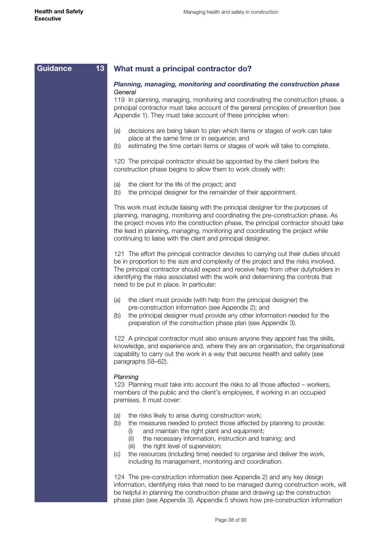| 13<br><b>Guidance</b> | What must a principal contractor do?                                                                                                                                                                                                                                                                                                                                                                                                                         |
|-----------------------|--------------------------------------------------------------------------------------------------------------------------------------------------------------------------------------------------------------------------------------------------------------------------------------------------------------------------------------------------------------------------------------------------------------------------------------------------------------|
|                       | Planning, managing, monitoring and coordinating the construction phase<br>General                                                                                                                                                                                                                                                                                                                                                                            |
|                       | 119 In planning, managing, monitoring and coordinating the construction phase, a<br>principal contractor must take account of the general principles of prevention (see<br>Appendix 1). They must take account of these principles when:                                                                                                                                                                                                                     |
|                       | decisions are being taken to plan which items or stages of work can take<br>(a)<br>place at the same time or in sequence; and<br>estimating the time certain items or stages of work will take to complete.<br>(b)                                                                                                                                                                                                                                           |
|                       | 120 The principal contractor should be appointed by the client before the<br>construction phase begins to allow them to work closely with:                                                                                                                                                                                                                                                                                                                   |
|                       | the client for the life of the project; and<br>(a)<br>the principal designer for the remainder of their appointment.<br>(b)                                                                                                                                                                                                                                                                                                                                  |
|                       | This work must include liaising with the principal designer for the purposes of<br>planning, managing, monitoring and coordinating the pre-construction phase. As<br>the project moves into the construction phase, the principal contractor should take<br>the lead in planning, managing, monitoring and coordinating the project while<br>continuing to liaise with the client and principal designer.                                                    |
|                       | 121 The effort the principal contractor devotes to carrying out their duties should<br>be in proportion to the size and complexity of the project and the risks involved.<br>The principal contractor should expect and receive help from other dutyholders in<br>identifying the risks associated with the work and determining the controls that<br>need to be put in place. In particular:                                                                |
|                       | the client must provide (with help from the principal designer) the<br>(a)<br>pre-construction information (see Appendix 2); and<br>the principal designer must provide any other information needed for the<br>(b)<br>preparation of the construction phase plan (see Appendix 3).                                                                                                                                                                          |
|                       | 122 A principal contractor must also ensure anyone they appoint has the skills,<br>knowledge, and experience and, where they are an organisation, the organisational<br>capability to carry out the work in a way that secures health and safety (see<br>paragraphs 58-62).                                                                                                                                                                                  |
|                       | Planning<br>123 Planning must take into account the risks to all those affected - workers,<br>members of the public and the client's employees, if working in an occupied<br>premises. It must cover:                                                                                                                                                                                                                                                        |
|                       | the risks likely to arise during construction work;<br>(a)<br>(b)<br>the measures needed to protect those affected by planning to provide:<br>and maintain the right plant and equipment;<br>(i)<br>the necessary information, instruction and training; and<br>(ii)<br>the right level of supervision;<br>(iii)<br>the resources (including time) needed to organise and deliver the work,<br>(c)<br>including its management, monitoring and coordination. |
|                       | 124 The pre-construction information (see Appendix 2) and any key design<br>information, identifying risks that need to be managed during construction work, will<br>be helpful in planning the construction phase and drawing up the construction                                                                                                                                                                                                           |

phase plan (see Appendix 3). Appendix 5 shows how pre-construction information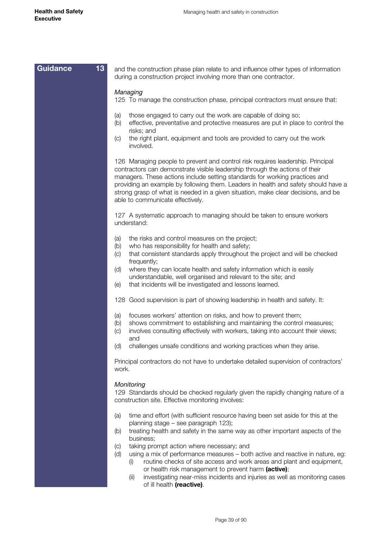| 13<br><b>Guidance</b> | and the construction phase plan relate to and influence other types of information<br>during a construction project involving more than one contractor.                                                                                                                                                                                                                                                                                                     |
|-----------------------|-------------------------------------------------------------------------------------------------------------------------------------------------------------------------------------------------------------------------------------------------------------------------------------------------------------------------------------------------------------------------------------------------------------------------------------------------------------|
|                       | Managing<br>125 To manage the construction phase, principal contractors must ensure that:                                                                                                                                                                                                                                                                                                                                                                   |
|                       | those engaged to carry out the work are capable of doing so;<br>(a)<br>effective, preventative and protective measures are put in place to control the<br>(b)<br>risks; and                                                                                                                                                                                                                                                                                 |
|                       | the right plant, equipment and tools are provided to carry out the work<br>(C)<br>involved.                                                                                                                                                                                                                                                                                                                                                                 |
|                       | 126 Managing people to prevent and control risk requires leadership. Principal<br>contractors can demonstrate visible leadership through the actions of their<br>managers. These actions include setting standards for working practices and<br>providing an example by following them. Leaders in health and safety should have a<br>strong grasp of what is needed in a given situation, make clear decisions, and be<br>able to communicate effectively. |
|                       | 127 A systematic approach to managing should be taken to ensure workers<br>understand:                                                                                                                                                                                                                                                                                                                                                                      |
|                       | the risks and control measures on the project;<br>(a)<br>who has responsibility for health and safety;<br>(b)<br>that consistent standards apply throughout the project and will be checked<br>(c)<br>frequently;<br>where they can locate health and safety information which is easily<br>(d)<br>understandable, well organised and relevant to the site; and<br>that incidents will be investigated and lessons learned.<br>(e)                          |
|                       | 128 Good supervision is part of showing leadership in health and safety. It:                                                                                                                                                                                                                                                                                                                                                                                |
|                       | focuses workers' attention on risks, and how to prevent them;<br>(a)<br>shows commitment to establishing and maintaining the control measures;<br>(b)<br>involves consulting effectively with workers, taking into account their views;<br>(c)<br>and                                                                                                                                                                                                       |
|                       | challenges unsafe conditions and working practices when they arise.<br>(d)                                                                                                                                                                                                                                                                                                                                                                                  |
|                       | Principal contractors do not have to undertake detailed supervision of contractors'<br>work.                                                                                                                                                                                                                                                                                                                                                                |
|                       | Monitoring<br>129 Standards should be checked regularly given the rapidly changing nature of a<br>construction site. Effective monitoring involves:                                                                                                                                                                                                                                                                                                         |
|                       | time and effort (with sufficient resource having been set aside for this at the<br>(a)<br>planning stage - see paragraph 123);<br>treating health and safety in the same way as other important aspects of the<br>(b)<br>business;                                                                                                                                                                                                                          |
|                       | taking prompt action where necessary; and<br>(C)<br>using a mix of performance measures - both active and reactive in nature, eg:<br>(d)<br>routine checks of site access and work areas and plant and equipment,<br>(i)                                                                                                                                                                                                                                    |

or health risk management to prevent harm **(active)**; (ii) investigating near-miss incidents and injuries as well as monitoring cases of ill health **(reactive)**.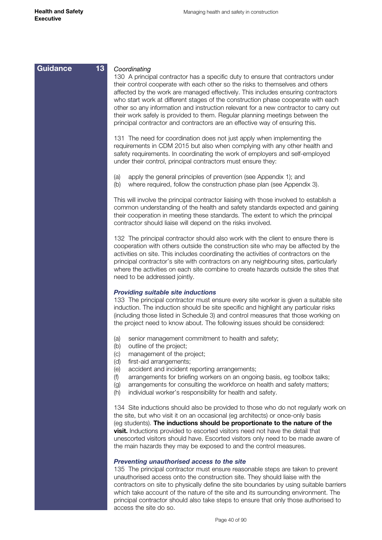| 13<br>Guidance | Coordinating<br>130 A principal contractor has a specific duty to ensure that contractors under<br>their control cooperate with each other so the risks to themselves and others<br>affected by the work are managed effectively. This includes ensuring contractors<br>who start work at different stages of the construction phase cooperate with each<br>other so any information and instruction relevant for a new contractor to carry out<br>their work safely is provided to them. Regular planning meetings between the<br>principal contractor and contractors are an effective way of ensuring this. |
|----------------|----------------------------------------------------------------------------------------------------------------------------------------------------------------------------------------------------------------------------------------------------------------------------------------------------------------------------------------------------------------------------------------------------------------------------------------------------------------------------------------------------------------------------------------------------------------------------------------------------------------|
|                | 131 The need for coordination does not just apply when implementing the<br>requirements in CDM 2015 but also when complying with any other health and<br>safety requirements. In coordinating the work of employers and self-employed<br>under their control, principal contractors must ensure they:                                                                                                                                                                                                                                                                                                          |
|                | apply the general principles of prevention (see Appendix 1); and<br>(a)<br>where required, follow the construction phase plan (see Appendix 3).<br>(b)                                                                                                                                                                                                                                                                                                                                                                                                                                                         |
|                | This will involve the principal contractor liaising with those involved to establish a<br>common understanding of the health and safety standards expected and gaining<br>their cooperation in meeting these standards. The extent to which the principal<br>contractor should liaise will depend on the risks involved.                                                                                                                                                                                                                                                                                       |
|                | 132 The principal contractor should also work with the client to ensure there is<br>cooperation with others outside the construction site who may be affected by the<br>activities on site. This includes coordinating the activities of contractors on the<br>principal contractor's site with contractors on any neighbouring sites, particularly<br>where the activities on each site combine to create hazards outside the sites that<br>need to be addressed jointly.                                                                                                                                     |
|                | <b>Providing suitable site inductions</b><br>133 The principal contractor must ensure every site worker is given a suitable site<br>induction. The induction should be site specific and highlight any particular risks<br>(including those listed in Schedule 3) and control measures that those working on<br>the project need to know about. The following issues should be considered:                                                                                                                                                                                                                     |
|                | senior management commitment to health and safety;<br>(a)<br>(b)<br>outline of the project;<br>management of the project;<br>$\left( $<br>(d)<br>first-aid arrangements;<br>accident and incident reporting arrangements;<br>(e)<br>(f)<br>arrangements for briefing workers on an ongoing basis, eg toolbox talks;<br>arrangements for consulting the workforce on health and safety matters;<br>(g)<br>individual worker's responsibility for health and safety.<br>(h)                                                                                                                                      |
|                | 134 Site inductions should also be provided to those who do not regularly work on<br>the site, but who visit it on an occasional (eg architects) or once-only basis<br>(eg students). The inductions should be proportionate to the nature of the<br>visit. Inductions provided to escorted visitors need not have the detail that<br>unescorted visitors should have. Escorted visitors only need to be made aware of<br>the main hazards they may be exposed to and the control measures.                                                                                                                    |
|                | Preventing unauthorised access to the site<br>135 The principal contractor must ensure reasonable steps are taken to prevent<br>unauthorised access onto the construction site. They should liaise with the<br>contractors on site to physically define the site boundaries by using suitable barriers<br>which take account of the nature of the site and its surrounding environment. The<br>principal contractor should also take steps to ensure that only those authorised to                                                                                                                             |

access the site do so.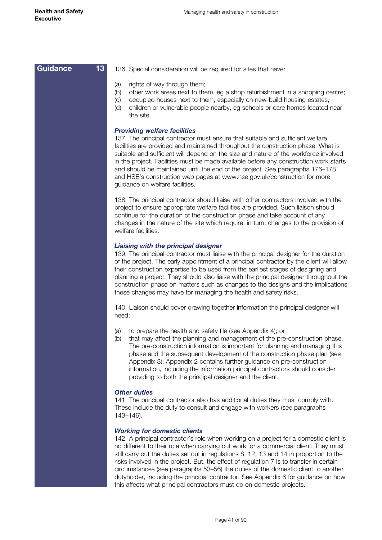| 13<br><b>Guidance</b> | 136 Special consideration will be required for sites that have:                                                                                                                                                                                                                                                                                                                                                                                                                                                                                                                                                                                                |
|-----------------------|----------------------------------------------------------------------------------------------------------------------------------------------------------------------------------------------------------------------------------------------------------------------------------------------------------------------------------------------------------------------------------------------------------------------------------------------------------------------------------------------------------------------------------------------------------------------------------------------------------------------------------------------------------------|
|                       | rights of way through them;<br>(a)<br>other work areas next to them, eg a shop refurbishment in a shopping centre;<br>(b)<br>occupied houses next to them, especially on new-build housing estates;<br>$\left( c\right)$<br>children or vulnerable people nearby, eg schools or care homes located near<br>(d)<br>the site.                                                                                                                                                                                                                                                                                                                                    |
|                       | <b>Providing welfare facilities</b><br>137 The principal contractor must ensure that suitable and sufficient welfare<br>facilities are provided and maintained throughout the construction phase. What is<br>suitable and sufficient will depend on the size and nature of the workforce involved<br>in the project. Facilities must be made available before any construction work starts<br>and should be maintained until the end of the project. See paragraphs 176-178<br>and HSE's construction web pages at www.hse.gov.uk/construction for more<br>guidance on welfare facilities.                                                                     |
|                       | 138 The principal contractor should liaise with other contractors involved with the<br>project to ensure appropriate welfare facilities are provided. Such liaison should<br>continue for the duration of the construction phase and take account of any<br>changes in the nature of the site which require, in turn, changes to the provision of<br>welfare facilities.                                                                                                                                                                                                                                                                                       |
|                       | <b>Liaising with the principal designer</b><br>139 The principal contractor must liaise with the principal designer for the duration<br>of the project. The early appointment of a principal contractor by the client will allow<br>their construction expertise to be used from the earliest stages of designing and<br>planning a project. They should also liaise with the principal designer throughout the<br>construction phase on matters such as changes to the designs and the implications<br>these changes may have for managing the health and safety risks.                                                                                       |
|                       | 140 Liaison should cover drawing together information the principal designer will<br>need:                                                                                                                                                                                                                                                                                                                                                                                                                                                                                                                                                                     |
|                       | to prepare the health and safety file (see Appendix 4); or<br>(a)<br>that may affect the planning and management of the pre-construction phase.<br>(b)<br>The pre-construction information is important for planning and managing this<br>phase and the subsequent development of the construction phase plan (see<br>Appendix 3). Appendix 2 contains further guidance on pre-construction<br>information, including the information principal contractors should consider<br>providing to both the principal designer and the client.                                                                                                                        |
|                       | <b>Other duties</b><br>141 The principal contractor also has additional duties they must comply with.<br>These include the duty to consult and engage with workers (see paragraphs<br>$143 - 146$ ).                                                                                                                                                                                                                                                                                                                                                                                                                                                           |
|                       | <b>Working for domestic clients</b><br>142 A principal contractor's role when working on a project for a domestic client is<br>no different to their role when carrying out work for a commercial client. They must<br>still carry out the duties set out in regulations 8, 12, 13 and 14 in proportion to the<br>risks involved in the project. But, the effect of regulation 7 is to transfer in certain<br>circumstances (see paragraphs 53–56) the duties of the domestic client to another<br>dutyholder, including the principal contractor. See Appendix 6 for guidance on how<br>this affects what principal contractors must do on domestic projects. |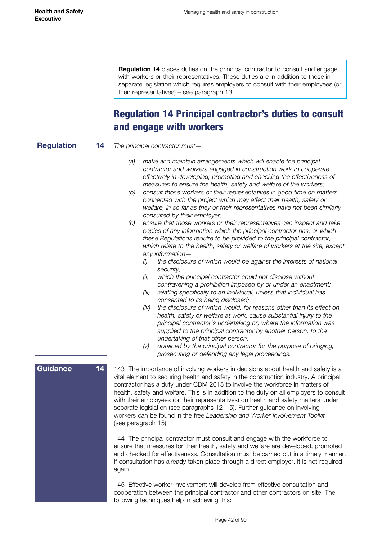**Regulation 14** places duties on the principal contractor to consult and engage with workers or their representatives. These duties are in addition to those in separate legislation which requires employers to consult with their employees (or their representatives) – see paragraph 13.

# Regulation 14 Principal contractor's duties to consult and engage with workers

| <b>Regulation</b><br>14 | The principal contractor must-                                                                                                                                                                                                                                                                                                                                                                                                                                                                                                                                                                                                                                                                                           |
|-------------------------|--------------------------------------------------------------------------------------------------------------------------------------------------------------------------------------------------------------------------------------------------------------------------------------------------------------------------------------------------------------------------------------------------------------------------------------------------------------------------------------------------------------------------------------------------------------------------------------------------------------------------------------------------------------------------------------------------------------------------|
|                         | make and maintain arrangements which will enable the principal<br>(a)<br>contractor and workers engaged in construction work to cooperate<br>effectively in developing, promoting and checking the effectiveness of<br>measures to ensure the health, safety and welfare of the workers;<br>(b)<br>consult those workers or their representatives in good time on matters<br>connected with the project which may affect their health, safety or<br>welfare, in so far as they or their representatives have not been similarly                                                                                                                                                                                          |
|                         | consulted by their employer;<br>(C)<br>ensure that those workers or their representatives can inspect and take<br>copies of any information which the principal contractor has, or which<br>these Regulations require to be provided to the principal contractor,<br>which relate to the health, safety or welfare of workers at the site, except<br>any information-<br>the disclosure of which would be against the interests of national<br>(i)<br>security;<br>(ii)<br>which the principal contractor could not disclose without<br>contravening a prohibition imposed by or under an enactment;<br>(iii)<br>relating specifically to an individual, unless that individual has<br>consented to its being disclosed; |
|                         | (iv)<br>the disclosure of which would, for reasons other than its effect on<br>health, safety or welfare at work, cause substantial injury to the<br>principal contractor's undertaking or, where the information was<br>supplied to the principal contractor by another person, to the<br>undertaking of that other person;<br>(V)<br>obtained by the principal contractor for the purpose of bringing,<br>prosecuting or defending any legal proceedings.                                                                                                                                                                                                                                                              |
| <b>Guidance</b><br>14   | 143 The importance of involving workers in decisions about health and safety is a<br>vital element to securing health and safety in the construction industry. A principal<br>contractor has a duty under CDM 2015 to involve the workforce in matters of<br>health, safety and welfare. This is in addition to the duty on all employers to consult<br>with their employees (or their representatives) on health and safety matters under<br>separate legislation (see paragraphs 12–15). Further guidance on involving<br>workers can be found in the free Leadership and Worker Involvement Toolkit<br>(see paragraph 15).                                                                                            |
|                         | 144 The principal contractor must consult and engage with the workforce to<br>ensure that measures for their health, safety and welfare are developed, promoted<br>and checked for effectiveness. Consultation must be carried out in a timely manner.<br>If consultation has already taken place through a direct employer, it is not required<br>again.                                                                                                                                                                                                                                                                                                                                                                |
|                         | 145 Effective worker involvement will develop from effective consultation and<br>cooperation between the principal contractor and other contractors on site. The<br>following techniques help in achieving this:                                                                                                                                                                                                                                                                                                                                                                                                                                                                                                         |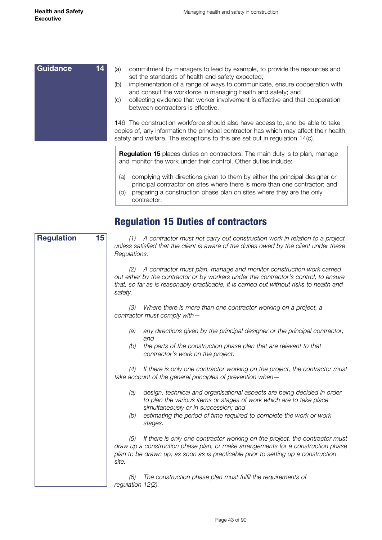**Guidance 14**

(a) commitment by managers to lead by example, to provide the resources and

|                                       | set the standards of health and safety expected;<br>(b)<br>implementation of a range of ways to communicate, ensure cooperation with<br>and consult the workforce in managing health and safety; and<br>collecting evidence that worker involvement is effective and that cooperation<br>(c)<br>between contractors is effective. |
|---------------------------------------|-----------------------------------------------------------------------------------------------------------------------------------------------------------------------------------------------------------------------------------------------------------------------------------------------------------------------------------|
|                                       | 146 The construction workforce should also have access to, and be able to take<br>copies of, any information the principal contractor has which may affect their health,<br>safety and welfare. The exceptions to this are set out in regulation 14(c).                                                                           |
|                                       | <b>Regulation 15</b> places duties on contractors. The main duty is to plan, manage<br>and monitor the work under their control. Other duties include:                                                                                                                                                                            |
|                                       | complying with directions given to them by either the principal designer or<br>(a)<br>principal contractor on sites where there is more than one contractor; and<br>preparing a construction phase plan on sites where they are the only<br>(b)<br>contractor.                                                                    |
|                                       | <b>Regulation 15 Duties of contractors</b>                                                                                                                                                                                                                                                                                        |
| <b>Regulation</b><br>15 <sub>15</sub> | A contractor must not carry out construction work in relation to a project<br>(1)<br>unless satisfied that the client is aware of the duties owed by the client under these<br>Regulations.                                                                                                                                       |
|                                       | A contractor must plan, manage and monitor construction work carried<br>(2)<br>out either by the contractor or by workers under the contractor's control, to ensure<br>that, so far as is reasonably practicable, it is carried out without risks to health and<br>safety.                                                        |
|                                       | Where there is more than one contractor working on a project, a<br>(3)<br>contractor must comply with-                                                                                                                                                                                                                            |
|                                       | any directions given by the principal designer or the principal contractor;<br>(a)<br>and                                                                                                                                                                                                                                         |
|                                       | the parts of the construction phase plan that are relevant to that<br>(b)<br>contractor's work on the project.                                                                                                                                                                                                                    |
|                                       | If there is only one contractor working on the project, the contractor must<br>(4)<br>take account of the general principles of prevention when-                                                                                                                                                                                  |
|                                       | design, technical and organisational aspects are being decided in order<br>(a)<br>to plan the various items or stages of work which are to take place<br>simultaneously or in succession; and                                                                                                                                     |
|                                       | estimating the period of time required to complete the work or work<br>(b)<br>stages.                                                                                                                                                                                                                                             |
|                                       | If there is only one contractor working on the project, the contractor must<br>(5)<br>draw up a construction phase plan, or make arrangements for a construction phase<br>plan to be drawn up, as soon as is practicable prior to setting up a construction<br>site.                                                              |

*(6) The construction phase plan must fulfil the requirements of regulation 12(2).*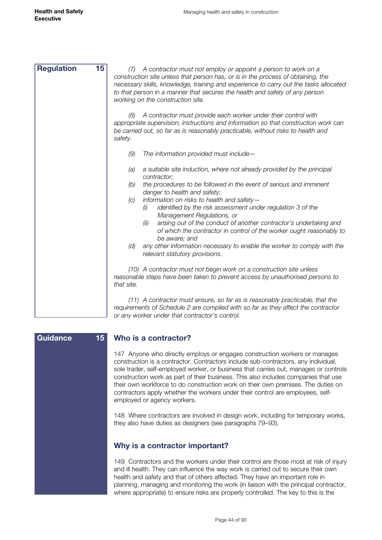| <b>Regulation</b> | 15 <sub>15</sub><br>A contractor must not employ or appoint a person to work on a<br>(7)<br>construction site unless that person has, or is in the process of obtaining, the<br>necessary skills, knowledge, training and experience to carry out the tasks allocated<br>to that person in a manner that secures the health and safety of any person<br>working on the construction site.<br>A contractor must provide each worker under their control with<br>(8)<br>appropriate supervision, instructions and information so that construction work can<br>be carried out, so far as is reasonably practicable, without risks to health and                                                                                                                                                                                                                                                   |
|-------------------|-------------------------------------------------------------------------------------------------------------------------------------------------------------------------------------------------------------------------------------------------------------------------------------------------------------------------------------------------------------------------------------------------------------------------------------------------------------------------------------------------------------------------------------------------------------------------------------------------------------------------------------------------------------------------------------------------------------------------------------------------------------------------------------------------------------------------------------------------------------------------------------------------|
|                   | safety.<br>The information provided must include-<br>(9)<br>a suitable site induction, where not already provided by the principal<br>(a)<br>contractor;<br>the procedures to be followed in the event of serious and imminent<br>(b)<br>danger to health and safety;<br>information on risks to health and safety-<br>(C)<br>identified by the risk assessment under regulation 3 of the<br>(i)<br>Management Regulations, or<br>arising out of the conduct of another contractor's undertaking and<br>(ii)<br>of which the contractor in control of the worker ought reasonably to<br>be aware; and<br>(d)<br>any other information necessary to enable the worker to comply with the<br>relevant statutory provisions.<br>(10) A contractor must not begin work on a construction site unless<br>reasonable steps have been taken to prevent access by unauthorised persons to<br>that site. |
|                   | (11) A contractor must ensure, so far as is reasonably practicable, that the<br>requirements of Schedule 2 are complied with so far as they affect the contractor                                                                                                                                                                                                                                                                                                                                                                                                                                                                                                                                                                                                                                                                                                                               |

| <b>Guidance</b> | 15 | Who is a                                                                                                 |
|-----------------|----|----------------------------------------------------------------------------------------------------------|
|                 |    | 147 Anyone<br>constructior<br>sole trader,<br>constructior<br>their own wo<br>contractors<br>employed or |
|                 |    | 148 Where<br>they also ha                                                                                |
|                 |    | Why is a                                                                                                 |
|                 |    | 149 Contra<br>and ill health<br>health and s<br>planning, ma                                             |

#### **contractor?**

*or any worker under that contractor's control.*

e who directly employs or engages construction workers or manages is a contractor. Contractors include sub-contractors, any individual, self-employed worker, or business that carries out, manages or controls i work as part of their business. This also includes companies that use orkforce to do construction work on their own premises. The duties on apply whether the workers under their control are employees, selfr agency workers.

contractors are involved in design work, including for temporary works, ive duties as designers (see paragraphs 79–93).

#### **contractor important?**

ctors and the workers under their control are those most at risk of injury n. They can influence the way work is carried out to secure their own safety and that of others affected. They have an important role in anaging and monitoring the work (in liaison with the principal contractor, where appropriate) to ensure risks are properly controlled. The key to this is the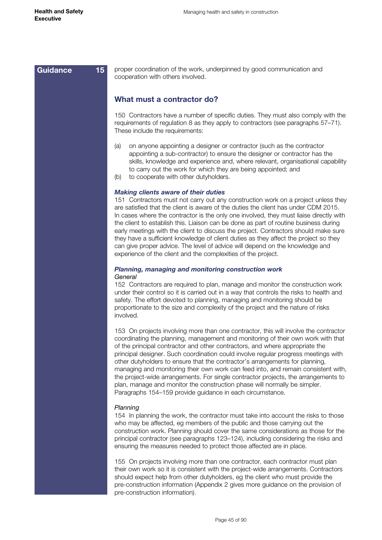**Guidance 15**

proper coordination of the work, underpinned by good communication and cooperation with others involved.

#### **What must a contractor do?**

150 Contractors have a number of specific duties. They must also comply with the requirements of regulation 8 as they apply to contractors (see paragraphs 57–71). These include the requirements:

- (a) on anyone appointing a designer or contractor (such as the contractor appointing a sub-contractor) to ensure the designer or contractor has the skills, knowledge and experience and, where relevant, organisational capability to carry out the work for which they are being appointed; and
- (b) to cooperate with other dutyholders.

#### *Making clients aware of their duties*

151 Contractors must not carry out any construction work on a project unless they are satisfied that the client is aware of the duties the client has under CDM 2015. In cases where the contractor is the only one involved, they must liaise directly with the client to establish this. Liaison can be done as part of routine business during early meetings with the client to discuss the project. Contractors should make sure they have a sufficient knowledge of client duties as they affect the project so they can give proper advice. The level of advice will depend on the knowledge and experience of the client and the complexities of the project.

#### *Planning, managing and monitoring construction work General*

152 Contractors are required to plan, manage and monitor the construction work under their control so it is carried out in a way that controls the risks to health and safety. The effort devoted to planning, managing and monitoring should be proportionate to the size and complexity of the project and the nature of risks involved.

153 On projects involving more than one contractor, this will involve the contractor coordinating the planning, management and monitoring of their own work with that of the principal contractor and other contractors, and where appropriate the principal designer. Such coordination could involve regular progress meetings with other dutyholders to ensure that the contractor's arrangements for planning, managing and monitoring their own work can feed into, and remain consistent with, the project-wide arrangements. For single contractor projects, the arrangements to plan, manage and monitor the construction phase will normally be simpler. Paragraphs 154–159 provide guidance in each circumstance.

#### *Planning*

154 In planning the work, the contractor must take into account the risks to those who may be affected, eg members of the public and those carrying out the construction work. Planning should cover the same considerations as those for the principal contractor (see paragraphs 123–124), including considering the risks and ensuring the measures needed to protect those affected are in place.

155 On projects involving more than one contractor, each contractor must plan their own work so it is consistent with the project-wide arrangements. Contractors should expect help from other dutyholders, eg the client who must provide the pre-construction information (Appendix 2 gives more guidance on the provision of pre-construction information).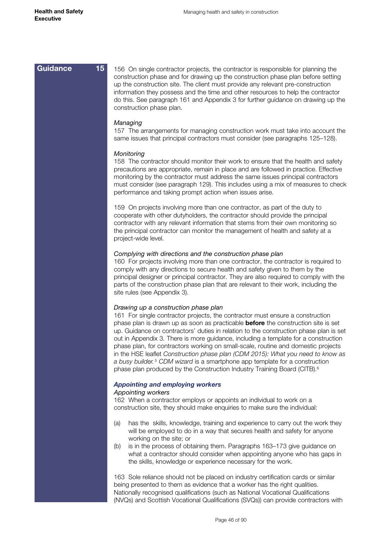| <b>Guidance</b> | 15 <sub>1</sub> | 156 On single contractor projects, the contractor is responsible for planning the<br>construction phase and for drawing up the construction phase plan before setting<br>up the construction site. The client must provide any relevant pre-construction<br>information they possess and the time and other resources to help the contractor<br>do this. See paragraph 161 and Appendix 3 for further guidance on drawing up the<br>construction phase plan.                                                                                                                                                                                                                                                                                                |  |
|-----------------|-----------------|-------------------------------------------------------------------------------------------------------------------------------------------------------------------------------------------------------------------------------------------------------------------------------------------------------------------------------------------------------------------------------------------------------------------------------------------------------------------------------------------------------------------------------------------------------------------------------------------------------------------------------------------------------------------------------------------------------------------------------------------------------------|--|
|                 |                 | Managing<br>157 The arrangements for managing construction work must take into account the<br>same issues that principal contractors must consider (see paragraphs 125–128).                                                                                                                                                                                                                                                                                                                                                                                                                                                                                                                                                                                |  |
|                 |                 | Monitoring<br>158 The contractor should monitor their work to ensure that the health and safety<br>precautions are appropriate, remain in place and are followed in practice. Effective<br>monitoring by the contractor must address the same issues principal contractors<br>must consider (see paragraph 129). This includes using a mix of measures to check<br>performance and taking prompt action when issues arise.                                                                                                                                                                                                                                                                                                                                  |  |
|                 |                 | 159 On projects involving more than one contractor, as part of the duty to<br>cooperate with other dutyholders, the contractor should provide the principal<br>contractor with any relevant information that stems from their own monitoring so<br>the principal contractor can monitor the management of health and safety at a<br>project-wide level.                                                                                                                                                                                                                                                                                                                                                                                                     |  |
|                 |                 | Complying with directions and the construction phase plan<br>160 For projects involving more than one contractor, the contractor is required to<br>comply with any directions to secure health and safety given to them by the<br>principal designer or principal contractor. They are also required to comply with the<br>parts of the construction phase plan that are relevant to their work, including the<br>site rules (see Appendix 3).                                                                                                                                                                                                                                                                                                              |  |
|                 |                 | Drawing up a construction phase plan<br>161 For single contractor projects, the contractor must ensure a construction<br>phase plan is drawn up as soon as practicable <b>before</b> the construction site is set<br>up. Guidance on contractors' duties in relation to the construction phase plan is set<br>out in Appendix 3. There is more guidance, including a template for a construction<br>phase plan, for contractors working on small-scale, routine and domestic projects<br>in the HSE leaflet Construction phase plan (CDM 2015): What you need to know as<br>a busy builder. <sup>5</sup> CDM wizard is a smartphone app template for a construction<br>phase plan produced by the Construction Industry Training Board (CITB). <sup>6</sup> |  |
|                 |                 | <b>Appointing and employing workers</b><br>Appointing workers<br>162 When a contractor employs or appoints an individual to work on a<br>construction site, they should make enquiries to make sure the individual:                                                                                                                                                                                                                                                                                                                                                                                                                                                                                                                                         |  |
|                 |                 | has the skills, knowledge, training and experience to carry out the work they<br>(a)<br>will be employed to do in a way that secures health and safety for anyone<br>working on the site; or                                                                                                                                                                                                                                                                                                                                                                                                                                                                                                                                                                |  |
|                 |                 | is in the process of obtaining them. Paragraphs 163-173 give guidance on<br>(b)<br>what a contractor should consider when appointing anyone who has gaps in<br>the skills, knowledge or experience necessary for the work.                                                                                                                                                                                                                                                                                                                                                                                                                                                                                                                                  |  |
|                 |                 | 163 Sole reliance should not be placed on industry certification cards or similar                                                                                                                                                                                                                                                                                                                                                                                                                                                                                                                                                                                                                                                                           |  |

being presented to them as evidence that a worker has the right qualities. Nationally recognised qualifications (such as National Vocational Qualifications (NVQs) and Scottish Vocational Qualifications (SVQs)) can provide contractors with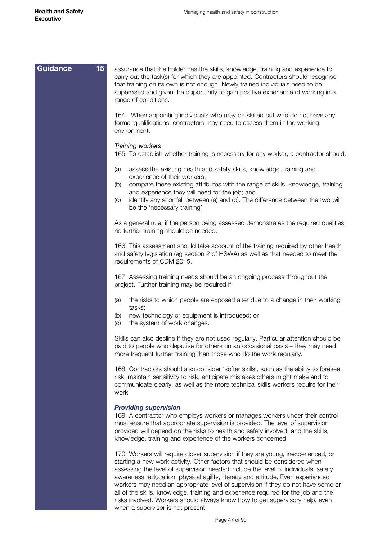| <b>Guidance</b><br>15 | assurance that the holder has the skills, knowledge, training and experience to<br>carry out the task(s) for which they are appointed. Contractors should recognise<br>that training on its own is not enough. Newly trained individuals need to be<br>supervised and given the opportunity to gain positive experience of working in a<br>range of conditions.                                                                                                                                                                                                                                                                        |
|-----------------------|----------------------------------------------------------------------------------------------------------------------------------------------------------------------------------------------------------------------------------------------------------------------------------------------------------------------------------------------------------------------------------------------------------------------------------------------------------------------------------------------------------------------------------------------------------------------------------------------------------------------------------------|
|                       | 164 When appointing individuals who may be skilled but who do not have any<br>formal qualifications, contractors may need to assess them in the working<br>environment.                                                                                                                                                                                                                                                                                                                                                                                                                                                                |
|                       | Training workers<br>165 To establish whether training is necessary for any worker, a contractor should:                                                                                                                                                                                                                                                                                                                                                                                                                                                                                                                                |
|                       | assess the existing health and safety skills, knowledge, training and<br>(a)<br>experience of their workers;<br>compare these existing attributes with the range of skills, knowledge, training<br>(b)<br>and experience they will need for the job; and<br>identify any shortfall between (a) and (b). The difference between the two will<br>(C)<br>be the 'necessary training'.                                                                                                                                                                                                                                                     |
|                       | As a general rule, if the person being assessed demonstrates the required qualities,<br>no further training should be needed.                                                                                                                                                                                                                                                                                                                                                                                                                                                                                                          |
|                       | 166 This assessment should take account of the training required by other health<br>and safety legislation (eg section 2 of HSWA) as well as that needed to meet the<br>requirements of CDM 2015.                                                                                                                                                                                                                                                                                                                                                                                                                                      |
|                       | 167 Assessing training needs should be an ongoing process throughout the<br>project. Further training may be required if:                                                                                                                                                                                                                                                                                                                                                                                                                                                                                                              |
|                       | the risks to which people are exposed alter due to a change in their working<br>(a)<br>tasks;<br>new technology or equipment is introduced; or<br>(b)<br>(c)<br>the system of work changes.                                                                                                                                                                                                                                                                                                                                                                                                                                            |
|                       | Skills can also decline if they are not used regularly. Particular attention should be<br>paid to people who deputise for others on an occasional basis – they may need<br>more frequent further training than those who do the work regularly.                                                                                                                                                                                                                                                                                                                                                                                        |
|                       | 168 Contractors should also consider 'softer skills', such as the ability to foresee<br>risk, maintain sensitivity to risk, anticipate mistakes others might make and to<br>communicate clearly, as well as the more technical skills workers require for their<br>work.                                                                                                                                                                                                                                                                                                                                                               |
|                       | <b>Providing supervision</b><br>169 A contractor who employs workers or manages workers under their control<br>must ensure that appropriate supervision is provided. The level of supervision<br>provided will depend on the risks to health and safety involved, and the skills,<br>knowledge, training and experience of the workers concerned.                                                                                                                                                                                                                                                                                      |
|                       | 170 Workers will require closer supervision if they are young, inexperienced, or<br>starting a new work activity. Other factors that should be considered when<br>assessing the level of supervision needed include the level of individuals' safety<br>awareness, education, physical agility, literacy and attitude. Even experienced<br>workers may need an appropriate level of supervision if they do not have some or<br>all of the skills, knowledge, training and experience required for the job and the<br>risks involved. Workers should always know how to get supervisory help, even<br>when a supervisor is not present. |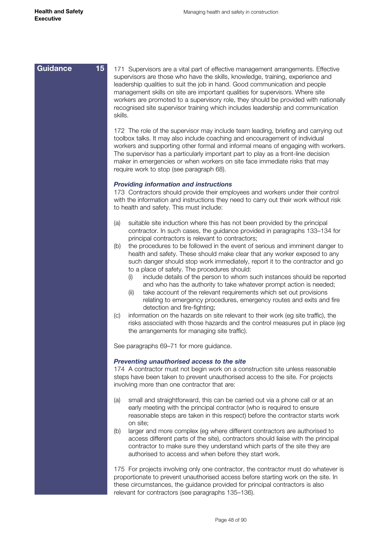| <b>Guidance</b><br>15 | 171 Supervisors are a vital part of effective management arrangements. Effective<br>supervisors are those who have the skills, knowledge, training, experience and<br>leadership qualities to suit the job in hand. Good communication and people<br>management skills on site are important qualities for supervisors. Where site<br>workers are promoted to a supervisory role, they should be provided with nationally<br>recognised site supervisor training which includes leadership and communication<br>skills.                                                                                                                                                                                                                                                                                                                                                                                                                                                                                                                                                                                   |
|-----------------------|-----------------------------------------------------------------------------------------------------------------------------------------------------------------------------------------------------------------------------------------------------------------------------------------------------------------------------------------------------------------------------------------------------------------------------------------------------------------------------------------------------------------------------------------------------------------------------------------------------------------------------------------------------------------------------------------------------------------------------------------------------------------------------------------------------------------------------------------------------------------------------------------------------------------------------------------------------------------------------------------------------------------------------------------------------------------------------------------------------------|
|                       | 172 The role of the supervisor may include team leading, briefing and carrying out<br>toolbox talks. It may also include coaching and encouragement of individual<br>workers and supporting other formal and informal means of engaging with workers.<br>The supervisor has a particularly important part to play as a front-line decision<br>maker in emergencies or when workers on site face immediate risks that may<br>require work to stop (see paragraph 68).                                                                                                                                                                                                                                                                                                                                                                                                                                                                                                                                                                                                                                      |
|                       | <b>Providing information and instructions</b><br>173 Contractors should provide their employees and workers under their control<br>with the information and instructions they need to carry out their work without risk<br>to health and safety. This must include:                                                                                                                                                                                                                                                                                                                                                                                                                                                                                                                                                                                                                                                                                                                                                                                                                                       |
|                       | suitable site induction where this has not been provided by the principal<br>(a)<br>contractor. In such cases, the guidance provided in paragraphs 133-134 for<br>principal contractors is relevant to contractors;<br>the procedures to be followed in the event of serious and imminent danger to<br>(b)<br>health and safety. These should make clear that any worker exposed to any<br>such danger should stop work immediately, report it to the contractor and go<br>to a place of safety. The procedures should:<br>include details of the person to whom such instances should be reported<br>(i)<br>and who has the authority to take whatever prompt action is needed;<br>(ii)<br>take account of the relevant requirements which set out provisions<br>relating to emergency procedures, emergency routes and exits and fire<br>detection and fire-fighting;<br>information on the hazards on site relevant to their work (eg site traffic), the<br>$\left( $<br>risks associated with those hazards and the control measures put in place (eg<br>the arrangements for managing site traffic). |
|                       | See paragraphs 69-71 for more guidance.                                                                                                                                                                                                                                                                                                                                                                                                                                                                                                                                                                                                                                                                                                                                                                                                                                                                                                                                                                                                                                                                   |
|                       | Preventing unauthorised access to the site<br>174 A contractor must not begin work on a construction site unless reasonable<br>steps have been taken to prevent unauthorised access to the site. For projects<br>involving more than one contractor that are:                                                                                                                                                                                                                                                                                                                                                                                                                                                                                                                                                                                                                                                                                                                                                                                                                                             |
|                       | small and straightforward, this can be carried out via a phone call or at an<br>(a)<br>early meeting with the principal contractor (who is required to ensure<br>reasonable steps are taken in this respect) before the contractor starts work<br>on site;                                                                                                                                                                                                                                                                                                                                                                                                                                                                                                                                                                                                                                                                                                                                                                                                                                                |
|                       | larger and more complex (eg where different contractors are authorised to<br>(b)<br>access different parts of the site), contractors should liaise with the principal<br>contractor to make sure they understand which parts of the site they are<br>authorised to access and when before they start work.                                                                                                                                                                                                                                                                                                                                                                                                                                                                                                                                                                                                                                                                                                                                                                                                |

175 For projects involving only one contractor, the contractor must do whatever is proportionate to prevent unauthorised access before starting work on the site. In these circumstances, the guidance provided for principal contractors is also relevant for contractors (see paragraphs 135–136).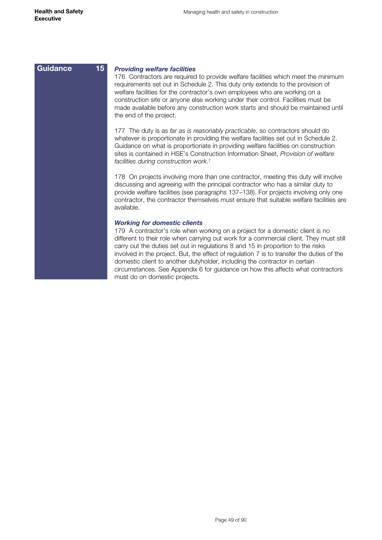| <b>Guidance</b> | 15 <sub>1</sub> | <b>Providing welfare facilities</b><br>176 Contractors are required to provide welfare facilities which meet the minimum<br>requirements set out in Schedule 2. This duty only extends to the provision of<br>welfare facilities for the contractor's own employees who are working on a<br>construction site or anyone else working under their control. Facilities must be<br>made available before any construction work starts and should be maintained until<br>the end of the project.                                                                                                      |
|-----------------|-----------------|---------------------------------------------------------------------------------------------------------------------------------------------------------------------------------------------------------------------------------------------------------------------------------------------------------------------------------------------------------------------------------------------------------------------------------------------------------------------------------------------------------------------------------------------------------------------------------------------------|
|                 |                 | 177 The duty is as far as is reasonably practicable, so contractors should do<br>whatever is proportionate in providing the welfare facilities set out in Schedule 2.<br>Guidance on what is proportionate in providing welfare facilities on construction<br>sites is contained in HSE's Construction Information Sheet, Provision of welfare<br>facilities during construction work. <sup>7</sup>                                                                                                                                                                                               |
|                 |                 | 178 On projects involving more than one contractor, meeting this duty will involve<br>discussing and agreeing with the principal contractor who has a similar duty to<br>provide welfare facilities (see paragraphs 137-138). For projects involving only one<br>contractor, the contractor themselves must ensure that suitable welfare facilities are<br>available.                                                                                                                                                                                                                             |
|                 |                 | <b>Working for domestic clients</b><br>179 A contractor's role when working on a project for a domestic client is no<br>different to their role when carrying out work for a commercial client. They must still<br>carry out the duties set out in regulations 8 and 15 in proportion to the risks<br>involved in the project. But, the effect of regulation 7 is to transfer the duties of the<br>domestic client to another dutyholder, including the contractor in certain<br>circumstances. See Appendix 6 for guidance on how this affects what contractors<br>must do on domestic projects. |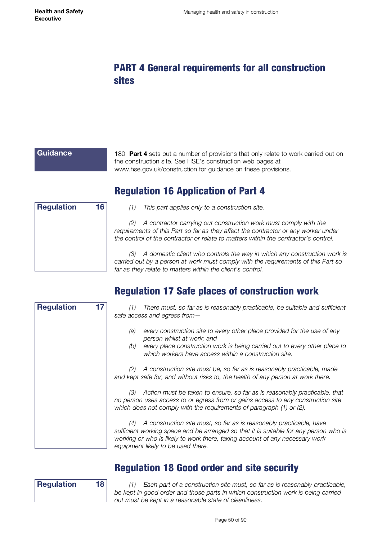### PART 4 General requirements for all construction sites

**Guidance** 

180 **Part 4** sets out a number of provisions that only relate to work carried out on the construction site. See HSE's construction web pages at [www.hse.gov.uk/construction](http://www.hse.gov.uk/construction) for guidance on these provisions.

# Regulation 16 Application of Part 4

| 16 |
|----|
|    |
|    |
|    |
|    |

*(1) This part applies only to a construction site.*

*(2) A contractor carrying out construction work must comply with the*  requirements of this Part so far as they affect the contractor or any worker under *the control of the contractor or relate to matters within the contractor's control.* 

*(3) A domestic client who controls the way in which any construction work is carried out by a person at work must comply with the requirements of this Part so far as they relate to matters within the client's control.* 

#### Regulation 17 Safe places of construction work

| <b>Regulation</b> | There must, so far as is reasonably practicable, be suitable and sufficient<br>safe access and egress from-                                                                                                                                                                               |
|-------------------|-------------------------------------------------------------------------------------------------------------------------------------------------------------------------------------------------------------------------------------------------------------------------------------------|
|                   | every construction site to every other place provided for the use of any<br>(a)<br>person whilst at work; and<br>every place construction work is being carried out to every other place to<br>(b)<br>which workers have access within a construction site.                               |
|                   | A construction site must be, so far as is reasonably practicable, made<br>(2)<br>and kept safe for, and without risks to, the health of any person at work there.                                                                                                                         |
|                   | Action must be taken to ensure, so far as is reasonably practicable, that<br>(3)<br>no person uses access to or egress from or gains access to any construction site<br>which does not comply with the requirements of paragraph (1) or (2).                                              |
|                   | A construction site must, so far as is reasonably practicable, have<br>(4)<br>sufficient working space and be arranged so that it is suitable for any person who is<br>working or who is likely to work there, taking account of any necessary work<br>equipment likely to be used there. |

## Regulation 18 Good order and site security

| <b>Regulation</b> | 18 |
|-------------------|----|
|                   |    |

*(1) Each part of a construction site must, so far as is reasonably practicable,*  be kept in good order and those parts in which construction work is being carried *out must be kept in a reasonable state of cleanliness.*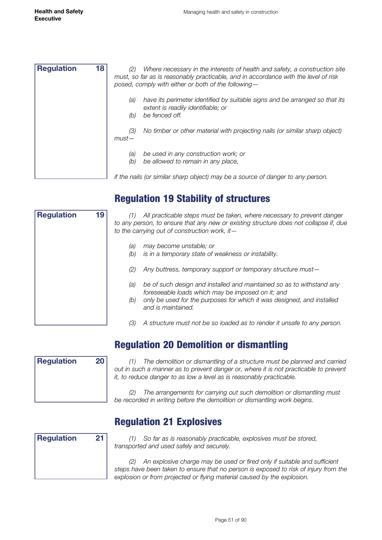| <b>Regulation</b> | 18 | Where necessary in the interests of health and safety, a construction site<br>(2)<br>must, so far as is reasonably practicable, and in accordance with the level of risk<br>posed, comply with either or both of the following- |
|-------------------|----|---------------------------------------------------------------------------------------------------------------------------------------------------------------------------------------------------------------------------------|
|                   |    | have its perimeter identified by suitable signs and be arranged so that its<br>(a)<br>extent is readily identifiable; or<br>be fenced off.<br>(b)                                                                               |
|                   |    | (3)<br>No timber or other material with projecting nails (or similar sharp object)<br>$must-$                                                                                                                                   |
|                   |    | be used in any construction work; or<br>(a)<br>be allowed to remain in any place,<br>(b)                                                                                                                                        |
|                   |    | if the nails (or similar sharp object) may be a source of danger to any person.                                                                                                                                                 |

# Regulation 19 Stability of structures

| <b>Regulation</b> | 19 | All practicable steps must be taken, where necessary to prevent danger<br>to any person, to ensure that any new or existing structure does not collapse if, due<br>to the carrying out of construction work, it $-$                      |
|-------------------|----|------------------------------------------------------------------------------------------------------------------------------------------------------------------------------------------------------------------------------------------|
|                   |    | may become unstable; or<br>(a)<br>is in a temporary state of weakness or instability.<br>(b)                                                                                                                                             |
|                   |    | Any buttress, temporary support or temporary structure must-<br>(2)                                                                                                                                                                      |
|                   |    | be of such design and installed and maintained so as to withstand any<br>(a)<br>foreseeable loads which may be imposed on it; and<br>only be used for the purposes for which it was designed, and installed<br>(b)<br>and is maintained. |
|                   |    | A structure must not be so loaded as to render it unsafe to any person.<br>(3)                                                                                                                                                           |

## Regulation 20 Demolition or dismantling

| <b>Regulation</b> | 20 |
|-------------------|----|
|                   |    |
|                   |    |
|                   |    |

*(1) The demolition or dismantling of a structure must be planned and carried out in such a manner as to prevent danger or, where it is not practicable to prevent it, to reduce danger to as low a level as is reasonably practicable.*

*(2) The arrangements for carrying out such demolition or dismantling must be recorded in writing before the demolition or dismantling work begins.*

#### Regulation 21 Explosives

**Regulation 21**

*(1) So far as is reasonably practicable, explosives must be stored, transported and used safely and securely.*

*(2) An explosive charge may be used or fired only if suitable and sufficient steps have been taken to ensure that no person is exposed to risk of injury from the explosion or from projected or flying material caused by the explosion.*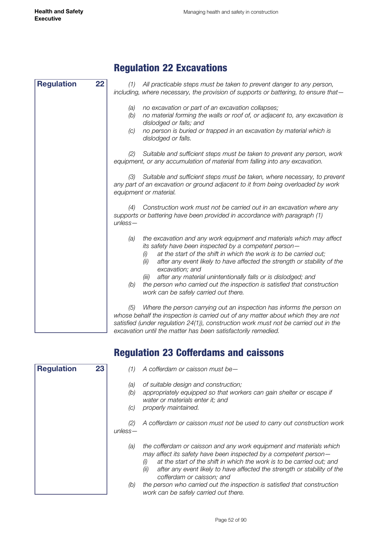**Regulation 23**

| <b>Regulation</b> | 22<br>All practicable steps must be taken to prevent danger to any person,<br>(1)<br>including, where necessary, the provision of supports or battering, to ensure that-                                                                                                                                                |
|-------------------|-------------------------------------------------------------------------------------------------------------------------------------------------------------------------------------------------------------------------------------------------------------------------------------------------------------------------|
|                   | no excavation or part of an excavation collapses;<br>(a)<br>no material forming the walls or roof of, or adjacent to, any excavation is<br>(b)<br>dislodged or falls; and                                                                                                                                               |
|                   | no person is buried or trapped in an excavation by material which is<br>(C)<br>dislodged or falls.                                                                                                                                                                                                                      |
|                   | Suitable and sufficient steps must be taken to prevent any person, work<br>(2)<br>equipment, or any accumulation of material from falling into any excavation.                                                                                                                                                          |
|                   | Suitable and sufficient steps must be taken, where necessary, to prevent<br>(3)<br>any part of an excavation or ground adjacent to it from being overloaded by work<br>equipment or material.                                                                                                                           |
|                   | Construction work must not be carried out in an excavation where any<br>(4)<br>supports or battering have been provided in accordance with paragraph (1)<br>$unless -$                                                                                                                                                  |
|                   | the excavation and any work equipment and materials which may affect<br>(a)<br>its safety have been inspected by a competent person-<br>at the start of the shift in which the work is to be carried out;<br>(i)<br>after any event likely to have affected the strength or stability of the<br>(ii)<br>excavation; and |
|                   | after any material unintentionally falls or is dislodged; and<br>(iii)<br>the person who carried out the inspection is satisfied that construction<br>(b)<br>work can be safely carried out there.                                                                                                                      |
|                   | Where the person carrying out an inspection has informs the person on<br>(5)<br>whose bobelf the ineppetien is corried out of any motter shout which they are not                                                                                                                                                       |

### Regulation 22 Excavations

*whose behalf the inspection is carried out of any matter about which they are not satisfied (under regulation 24(1)), construction work must not be carried out in the excavation until the matter has been satisfactorily remedied.*

## Regulation 23 Cofferdams and caissons

- *(1) A cofferdam or caisson must be—*
- *(a) of suitable design and construction;*
- *(b) appropriately equipped so that workers can gain shelter or escape if water or materials enter it; and*
- *(c) properly maintained.*

*(2) A cofferdam or caisson must not be used to carry out construction work unless—*

- *(a) the cofferdam or caisson and any work equipment and materials which may affect its safety have been inspected by a competent person—*
	- *(i) at the start of the shift in which the work is to be carried out; and*
		- *(ii) after any event likely to have affected the strength or stability of the cofferdam or caisson; and*
- *(b) the person who carried out the inspection is satisfied that construction work can be safely carried out there.*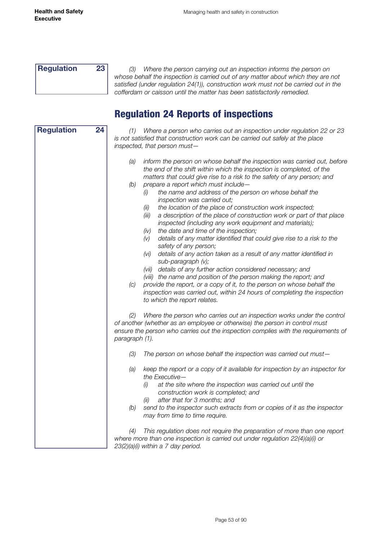**Regulation 23**

*(3) Where the person carrying out an inspection informs the person on*  whose behalf the inspection is carried out of any matter about which they are not *satisfied (under regulation 24(1)), construction work must not be carried out in the cofferdam or caisson until the matter has been satisfactorily remedied.*

# Regulation 24 Reports of inspections

| 24<br><b>Regulation</b> | (1) Where a person who carries out an inspection under regulation 22 or 23                                                                                                                                                                                           |
|-------------------------|----------------------------------------------------------------------------------------------------------------------------------------------------------------------------------------------------------------------------------------------------------------------|
|                         | is not satisfied that construction work can be carried out safely at the place                                                                                                                                                                                       |
|                         | inspected, that person must-                                                                                                                                                                                                                                         |
|                         | inform the person on whose behalf the inspection was carried out, before<br>(a)<br>the end of the shift within which the inspection is completed, of the<br>matters that could give rise to a risk to the safety of any person; and                                  |
|                         | (b)<br>prepare a report which must include-                                                                                                                                                                                                                          |
|                         | the name and address of the person on whose behalf the<br>(i)<br>inspection was carried out;                                                                                                                                                                         |
|                         | the location of the place of construction work inspected;<br>(ii)<br>a description of the place of construction work or part of that place<br>(iii)                                                                                                                  |
|                         | inspected (including any work equipment and materials);<br>the date and time of the inspection;<br>(iv)                                                                                                                                                              |
|                         | details of any matter identified that could give rise to a risk to the<br>(V)<br>safety of any person;                                                                                                                                                               |
|                         | details of any action taken as a result of any matter identified in<br>(Vi)<br>sub-paragraph (v);                                                                                                                                                                    |
|                         | (vii) details of any further action considered necessary; and                                                                                                                                                                                                        |
|                         | (viii) the name and position of the person making the report; and                                                                                                                                                                                                    |
|                         | (C)<br>provide the report, or a copy of it, to the person on whose behalf the<br>inspection was carried out, within 24 hours of completing the inspection<br>to which the report relates.                                                                            |
|                         | Where the person who carries out an inspection works under the control<br>(2)<br>of another (whether as an employee or otherwise) the person in control must<br>ensure the person who carries out the inspection complies with the requirements of<br>paragraph (1). |
|                         | (3)<br>The person on whose behalf the inspection was carried out must-                                                                                                                                                                                               |
|                         | (a)<br>keep the report or a copy of it available for inspection by an inspector for<br>the Executive-                                                                                                                                                                |
|                         | (i)<br>at the site where the inspection was carried out until the<br>construction work is completed; and                                                                                                                                                             |
|                         | after that for 3 months; and<br>(ii)<br>send to the inspector such extracts from or copies of it as the inspector<br>(b)                                                                                                                                             |
|                         | may from time to time require.                                                                                                                                                                                                                                       |
|                         | This regulation does not require the preparation of more than one report<br>(4)                                                                                                                                                                                      |
|                         | where more than one inspection is carried out under regulation $22(4)(a)(i)$ or                                                                                                                                                                                      |
|                         | 23(2)(a)(i) within a 7 day period.                                                                                                                                                                                                                                   |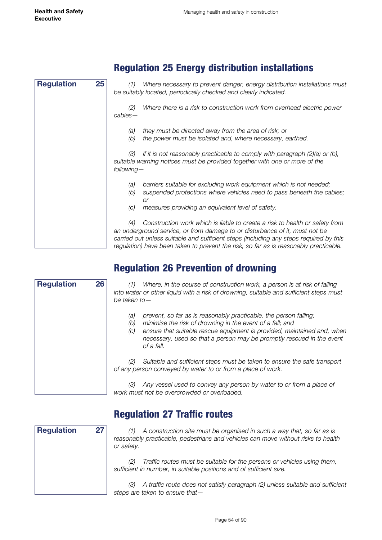#### Regulation 25 Energy distribution installations

| <b>Regulation</b> | $25\,$ | Where necessary to prevent danger, energy distribution installations must<br>be suitably located, periodically checked and clearly indicated.                                                                                                                                                                                                        |
|-------------------|--------|------------------------------------------------------------------------------------------------------------------------------------------------------------------------------------------------------------------------------------------------------------------------------------------------------------------------------------------------------|
|                   |        | Where there is a risk to construction work from overhead electric power<br>(2)<br>$cables-$                                                                                                                                                                                                                                                          |
|                   |        | they must be directed away from the area of risk; or<br>(a)<br>the power must be isolated and, where necessary, earthed.<br>(b)                                                                                                                                                                                                                      |
|                   |        | if it is not reasonably practicable to comply with paragraph $(2)(a)$ or $(b)$ ,<br>(3)<br>suitable warning notices must be provided together with one or more of the<br>following—                                                                                                                                                                  |
|                   |        | barriers suitable for excluding work equipment which is not needed;<br>(a)<br>suspended protections where vehicles need to pass beneath the cables;<br>(b)<br><b>or</b>                                                                                                                                                                              |
|                   |        | measures providing an equivalent level of safety.<br>(C)                                                                                                                                                                                                                                                                                             |
|                   |        | Construction work which is liable to create a risk to health or safety from<br>(4)<br>an underground service, or from damage to or disturbance of it, must not be<br>carried out unless suitable and sufficient steps (including any steps required by this<br>regulation) have been taken to prevent the risk, so far as is reasonably practicable. |

# Regulation 26 Prevention of drowning

| <b>Regulation</b> | 26 | Where, in the course of construction work, a person is at risk of falling<br>into water or other liquid with a risk of drowning, suitable and sufficient steps must<br>be taken to $-$                                                                                                                                |
|-------------------|----|-----------------------------------------------------------------------------------------------------------------------------------------------------------------------------------------------------------------------------------------------------------------------------------------------------------------------|
|                   |    | prevent, so far as is reasonably practicable, the person falling;<br>(a)<br>minimise the risk of drowning in the event of a fall; and<br>(b)<br>ensure that suitable rescue equipment is provided, maintained and, when<br>(C)<br>necessary, used so that a person may be promptly rescued in the event<br>of a fall. |
|                   |    | Suitable and sufficient steps must be taken to ensure the safe transport<br>of any person conveyed by water to or from a place of work.                                                                                                                                                                               |
|                   |    | Any vessel used to convey any person by water to or from a place of<br>(3)<br>work must not be overcrowded or overloaded.                                                                                                                                                                                             |

# Regulation 27 Traffic routes

| <b>Regulation</b> | 27 |
|-------------------|----|
|                   |    |
|                   |    |
|                   |    |
|                   |    |

*(1) A construction site must be organised in such a way that, so far as is reasonably practicable, pedestrians and vehicles can move without risks to health or safety.*

*(2) Traffic routes must be suitable for the persons or vehicles using them, sufficient in number, in suitable positions and of sufficient size.*

*(3) A traffic route does not satisfy paragraph (2) unless suitable and sufficient steps are taken to ensure that—*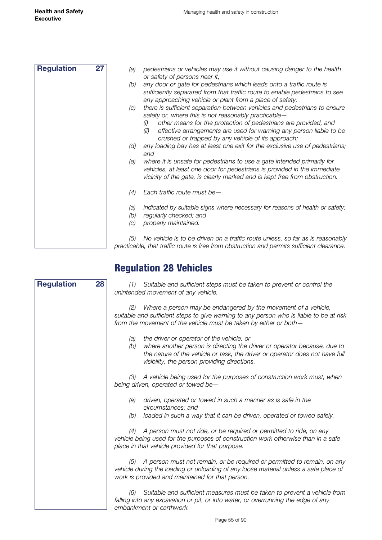| <b>Regulation</b> | 27 | (a)               | pedestrians or vehicles may use it without causing danger to the health                                                                                                                                                                                                                                                                           |
|-------------------|----|-------------------|---------------------------------------------------------------------------------------------------------------------------------------------------------------------------------------------------------------------------------------------------------------------------------------------------------------------------------------------------|
|                   |    |                   | or safety of persons near it;                                                                                                                                                                                                                                                                                                                     |
|                   |    | (b)               | any door or gate for pedestrians which leads onto a traffic route is<br>sufficiently separated from that traffic route to enable pedestrians to see<br>any approaching vehicle or plant from a place of safety;                                                                                                                                   |
|                   |    | (C)               | there is sufficient separation between vehicles and pedestrians to ensure<br>safety or, where this is not reasonably practicable -<br>other means for the protection of pedestrians are provided, and<br>(i)<br>effective arrangements are used for warning any person liable to be<br>(ii)<br>crushed or trapped by any vehicle of its approach; |
|                   |    | (d)               | any loading bay has at least one exit for the exclusive use of pedestrians;<br>and                                                                                                                                                                                                                                                                |
|                   |    | (e)               | where it is unsafe for pedestrians to use a gate intended primarily for<br>vehicles, at least one door for pedestrians is provided in the immediate<br>vicinity of the gate, is clearly marked and is kept free from obstruction.                                                                                                                 |
|                   |    | (4)               | Each traffic route must be-                                                                                                                                                                                                                                                                                                                       |
|                   |    | (a)<br>(b)<br>(c) | indicated by suitable signs where necessary for reasons of health or safety;<br>regularly checked; and<br>properly maintained.                                                                                                                                                                                                                    |
|                   |    | (5)               | No vehicle is to be driven on a traffic route unless, so far as is reasonably<br>practicable, that traffic route is free from obstruction and permits sufficient clearance.                                                                                                                                                                       |

# Regulation 28 Vehicles

| <b>Regulation</b> | 28 | Suitable and sufficient steps must be taken to prevent or control the<br>(1)<br>unintended movement of any vehicle.                                                                                                                                                 |
|-------------------|----|---------------------------------------------------------------------------------------------------------------------------------------------------------------------------------------------------------------------------------------------------------------------|
|                   |    | Where a person may be endangered by the movement of a vehicle,<br>(2)<br>suitable and sufficient steps to give warning to any person who is liable to be at risk<br>from the movement of the vehicle must be taken by either or both-                               |
|                   |    | the driver or operator of the vehicle, or<br>(a)<br>where another person is directing the driver or operator because, due to<br>(b)<br>the nature of the vehicle or task, the driver or operator does not have full<br>visibility, the person providing directions. |
|                   |    | A vehicle being used for the purposes of construction work must, when<br>(3)<br>being driven, operated or towed be-                                                                                                                                                 |
|                   |    | driven, operated or towed in such a manner as is safe in the<br>(a)<br>circumstances; and<br>loaded in such a way that it can be driven, operated or towed safely.<br>(b)                                                                                           |
|                   |    | A person must not ride, or be required or permitted to ride, on any<br>(4)<br>vehicle being used for the purposes of construction work otherwise than in a safe<br>place in that vehicle provided for that purpose.                                                 |
|                   |    | A person must not remain, or be required or permitted to remain, on any<br>(5)<br>vehicle during the loading or unloading of any loose material unless a safe place of<br>work is provided and maintained for that person.                                          |
|                   |    | Suitable and sufficient measures must be taken to prevent a vehicle from<br>(6)<br>falling into any excavation or pit, or into water, or overrunning the edge of any<br>embankment or earthwork.                                                                    |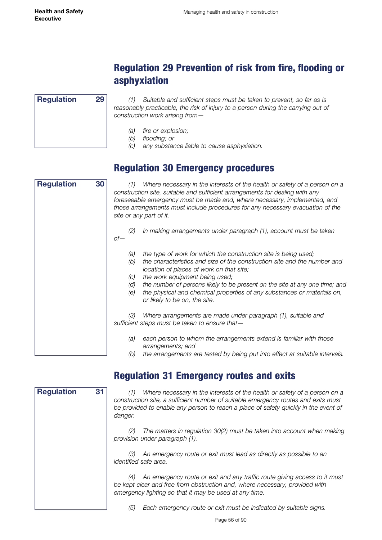# Regulation 29 Prevention of risk from fire, flooding or asphyxiation

| 29 |
|----|
|    |
|    |
|    |
|    |

**Regulation 31**

*(1) Suitable and sufficient steps must be taken to prevent, so far as is*  reasonably practicable, the risk of injury to a person during the carrying out of *construction work arising from—*

- *(a) fire or explosion;*
- *(b) flooding; or*
- *(c) any substance liable to cause asphyxiation.*

#### Regulation 30 Emergency procedures

| <b>Regulation</b> | 30 | Where necessary in the interests of the health or safety of a person on a<br>(1)<br>construction site, suitable and sufficient arrangements for dealing with any<br>foreseeable emergency must be made and, where necessary, implemented, and<br>those arrangements must include procedures for any necessary evacuation of the<br>site or any part of it.                                                                                              |
|-------------------|----|---------------------------------------------------------------------------------------------------------------------------------------------------------------------------------------------------------------------------------------------------------------------------------------------------------------------------------------------------------------------------------------------------------------------------------------------------------|
|                   |    | In making arrangements under paragraph (1), account must be taken<br>(2)<br>$of-$                                                                                                                                                                                                                                                                                                                                                                       |
|                   |    | the type of work for which the construction site is being used;<br>(a)<br>the characteristics and size of the construction site and the number and<br>(b)<br>location of places of work on that site;<br>the work equipment being used;<br>(C)<br>the number of persons likely to be present on the site at any one time; and<br>(d)<br>the physical and chemical properties of any substances or materials on,<br>(e)<br>or likely to be on, the site. |
|                   |    | Where arrangements are made under paragraph (1), suitable and<br>(3)<br>sufficient steps must be taken to ensure that-                                                                                                                                                                                                                                                                                                                                  |
|                   |    | each person to whom the arrangements extend is familiar with those<br>(a)<br>arrangements; and<br>the arrangements are tested by being put into effect at suitable intervals.<br>(b)                                                                                                                                                                                                                                                                    |

#### Regulation 31 Emergency routes and exits

*(1) Where necessary in the interests of the health or safety of a person on a construction site, a sufficient number of suitable emergency routes and exits must*  be provided to enable any person to reach a place of safety quickly in the event of *danger.*

*(2) The matters in regulation 30(2) must be taken into account when making provision under paragraph (1).*

*(3) An emergency route or exit must lead as directly as possible to an identified safe area.*

*(4) An emergency route or exit and any traffic route giving access to it must be kept clear and free from obstruction and, where necessary, provided with emergency lighting so that it may be used at any time.*

*(5) Each emergency route or exit must be indicated by suitable signs.*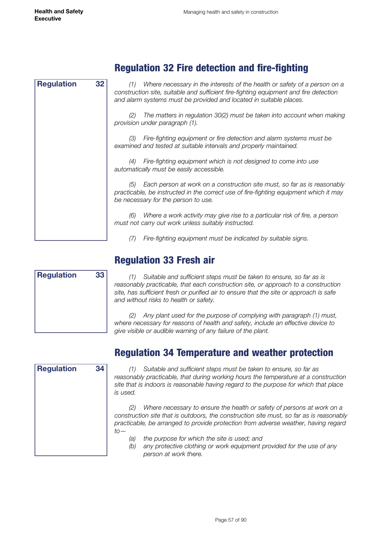Regulation 32 Fire detection and fire-fighting

| <b>Regulation</b> | 32 <sub>1</sub> | Where necessary in the interests of the health or safety of a person on a<br>(1)<br>construction site, suitable and sufficient fire-fighting equipment and fire detection<br>and alarm systems must be provided and located in suitable places. |
|-------------------|-----------------|-------------------------------------------------------------------------------------------------------------------------------------------------------------------------------------------------------------------------------------------------|
|                   |                 | The matters in regulation 30(2) must be taken into account when making<br>(2)<br>provision under paragraph (1).                                                                                                                                 |
|                   |                 | Fire-fighting equipment or fire detection and alarm systems must be<br>(3)<br>examined and tested at suitable intervals and properly maintained.                                                                                                |
|                   |                 | Fire-fighting equipment which is not designed to come into use<br>(4)<br>automatically must be easily accessible.                                                                                                                               |
|                   |                 | Each person at work on a construction site must, so far as is reasonably<br>(5)<br>practicable, be instructed in the correct use of fire-fighting equipment which it may<br>be necessary for the person to use.                                 |
|                   |                 | Where a work activity may give rise to a particular risk of fire, a person<br>(6)<br>must not carry out work unless suitably instructed.                                                                                                        |
|                   |                 |                                                                                                                                                                                                                                                 |

*(7) Fire-fighting equipment must be indicated by suitable signs.*

# Regulation 33 Fresh air

**Regulation 33**

*(1) Suitable and sufficient steps must be taken to ensure, so far as is reasonably practicable, that each construction site, or approach to a construction site, has sufficient fresh or purified air to ensure that the site or approach is safe and without risks to health or safety.*

*(2) Any plant used for the purpose of complying with paragraph (1) must, where necessary for reasons of health and safety, include an effective device to give visible or audible warning of any failure of the plant.*

| Regulation | 34 |
|------------|----|
|            |    |
|            |    |
|            |    |
|            |    |

Regulation 34 Temperature and weather protection

*(1) Suitable and sufficient steps must be taken to ensure, so far as reasonably practicable, that during working hours the temperature at a construction site that is indoors is reasonable having regard to the purpose for which that place is used.*

*(2) Where necessary to ensure the health or safety of persons at work on a construction site that is outdoors, the construction site must, so far as is reasonably practicable, be arranged to provide protection from adverse weather, having regard to—*

- *(a) the purpose for which the site is used; and*
- *(b) any protective clothing or work equipment provided for the use of any person at work there.*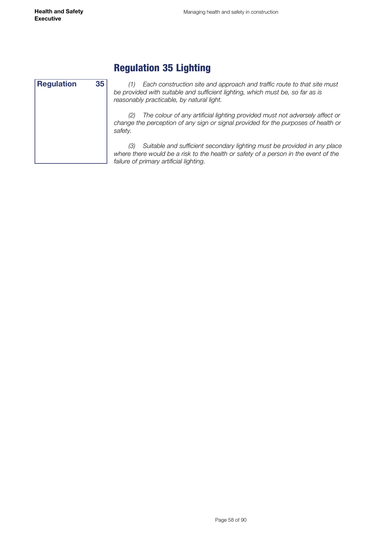#### Regulation 35 Lighting

**Regulation 35**

*(1) Each construction site and approach and traffic route to that site must be provided with suitable and sufficient lighting, which must be, so far as is reasonably practicable, by natural light.*

*(2) The colour of any artificial lighting provided must not adversely affect or change the perception of any sign or signal provided for the purposes of health or safety.*

*(3) Suitable and sufficient secondary lighting must be provided in any place where there would be a risk to the health or safety of a person in the event of the failure of primary artificial lighting.*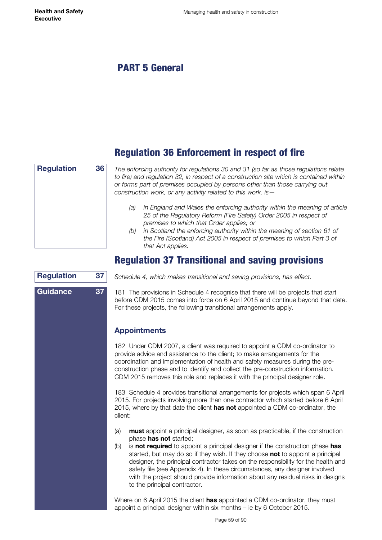### PART 5 General

| <b>Regulation</b> | 36 |
|-------------------|----|
|                   |    |
|                   |    |
|                   |    |
|                   |    |

*The enforcing authority for regulations 30 and 31 (so far as those regulations relate to fire) and regulation 32, in respect of a construction site which is contained within or forms part of premises occupied by persons other than those carrying out construction work, or any activity related to this work, is—*

Regulation 36 Enforcement in respect of fire

- *(a) in England and Wales the enforcing authority within the meaning of article 25 of the Regulatory Reform (Fire Safety) Order 2005 in respect of premises to which that Order applies; or*
- *(b) in Scotland the enforcing authority within the meaning of section 61 of the Fire (Scotland) Act 2005 in respect of premises to which Part 3 of that Act applies.*

## Regulation 37 Transitional and saving provisions

| <b>Regulation</b> | 37 | Schedule 4, which makes transitional and saving provisions, has effect.                                                                                                                                                                                                                                                                                                                                                                                              |
|-------------------|----|----------------------------------------------------------------------------------------------------------------------------------------------------------------------------------------------------------------------------------------------------------------------------------------------------------------------------------------------------------------------------------------------------------------------------------------------------------------------|
| <b>Guidance</b>   | 37 | 181 The provisions in Schedule 4 recognise that there will be projects that start<br>before CDM 2015 comes into force on 6 April 2015 and continue beyond that date.<br>For these projects, the following transitional arrangements apply.                                                                                                                                                                                                                           |
|                   |    | <b>Appointments</b>                                                                                                                                                                                                                                                                                                                                                                                                                                                  |
|                   |    | 182 Under CDM 2007, a client was required to appoint a CDM co-ordinator to<br>provide advice and assistance to the client; to make arrangements for the<br>coordination and implementation of health and safety measures during the pre-<br>construction phase and to identify and collect the pre-construction information.<br>CDM 2015 removes this role and replaces it with the principal designer role.                                                         |
|                   |    | 183 Schedule 4 provides transitional arrangements for projects which span 6 April<br>2015. For projects involving more than one contractor which started before 6 April<br>2015, where by that date the client has not appointed a CDM co-ordinator, the<br>client:                                                                                                                                                                                                  |
|                   |    | must appoint a principal designer, as soon as practicable, if the construction<br>(a)<br>phase has not started;                                                                                                                                                                                                                                                                                                                                                      |
|                   |    | is <b>not required</b> to appoint a principal designer if the construction phase has<br>(b)<br>started, but may do so if they wish. If they choose not to appoint a principal<br>designer, the principal contractor takes on the responsibility for the health and<br>safety file (see Appendix 4). In these circumstances, any designer involved<br>with the project should provide information about any residual risks in designs<br>to the principal contractor. |
|                   |    | Where on 6 April 2015 the client has appointed a CDM co-ordinator, they must<br>appoint a principal designer within six months - ie by 6 October 2015.                                                                                                                                                                                                                                                                                                               |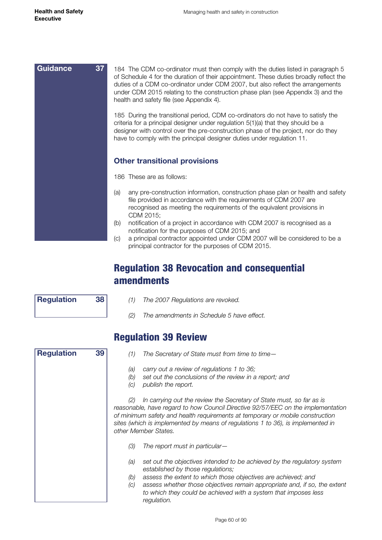| <b>Guidance</b> | 37  | 184 The CDM co-ordinator must then comply with the duties listed in paragraph 5<br>of Schedule 4 for the duration of their appointment. These duties broadly reflect the<br>duties of a CDM co-ordinator under CDM 2007, but also reflect the arrangements<br>under CDM 2015 relating to the construction phase plan (see Appendix 3) and the<br>health and safety file (see Appendix 4). |
|-----------------|-----|-------------------------------------------------------------------------------------------------------------------------------------------------------------------------------------------------------------------------------------------------------------------------------------------------------------------------------------------------------------------------------------------|
|                 |     | 185 During the transitional period, CDM co-ordinators do not have to satisfy the<br>criteria for a principal designer under regulation $5(1)(a)$ that they should be a<br>designer with control over the pre-construction phase of the project, nor do they<br>have to comply with the principal designer duties under regulation 11.                                                     |
|                 |     | <b>Other transitional provisions</b>                                                                                                                                                                                                                                                                                                                                                      |
|                 |     | 186 These are as follows:                                                                                                                                                                                                                                                                                                                                                                 |
|                 | (a) | any pre-construction information, construction phase plan or health and safety<br>file provided in accordance with the requirements of CDM 2007 are<br>recognised as meeting the requirements of the equivalent provisions in<br>CDM 2015;                                                                                                                                                |
|                 | (b) | notification of a project in accordance with CDM 2007 is recognised as a<br>notification for the purposes of CDM 2015; and                                                                                                                                                                                                                                                                |
|                 | (c) | a principal contractor appointed under CDM 2007 will be considered to be a<br>principal contractor for the purposes of CDM 2015.                                                                                                                                                                                                                                                          |

# Regulation 38 Revocation and consequential amendments

| <b>Regulation</b> | 38 |
|-------------------|----|
|                   |    |

**Regulation 39**

- *(1) The 2007 Regulations are revoked.*
- *(2) The amendments in Schedule 5 have effect.*

#### Regulation 39 Review

- *(1) The Secretary of State must from time to time—*
- *(a) carry out a review of regulations 1 to 36;*
- *(b) set out the conclusions of the review in a report; and*
- *(c) publish the report.*

*(2) In carrying out the review the Secretary of State must, so far as is reasonable, have regard to how Council Directive 92/57/EEC on the implementation of minimum safety and health requirements at temporary or mobile construction sites (which is implemented by means of regulations 1 to 36), is implemented in other Member States.*

- *(3) The report must in particular—*
- *(a) set out the objectives intended to be achieved by the regulatory system established by those regulations;*
- *(b) assess the extent to which those objectives are achieved; and*
- *(c) assess whether those objectives remain appropriate and, if so, the extent to which they could be achieved with a system that imposes less regulation.*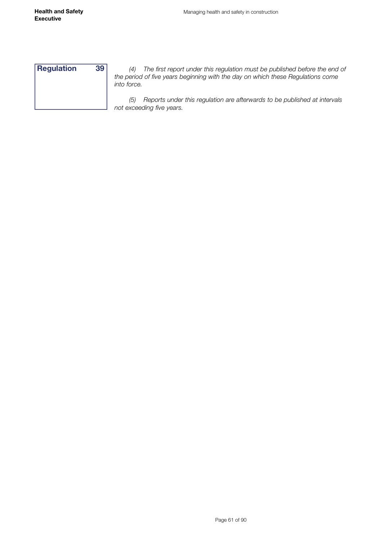**Regulation 39**

*(4) The first report under this regulation must be published before the end of the period of five years beginning with the day on which these Regulations come into force.*

*(5) Reports under this regulation are afterwards to be published at intervals not exceeding five years.*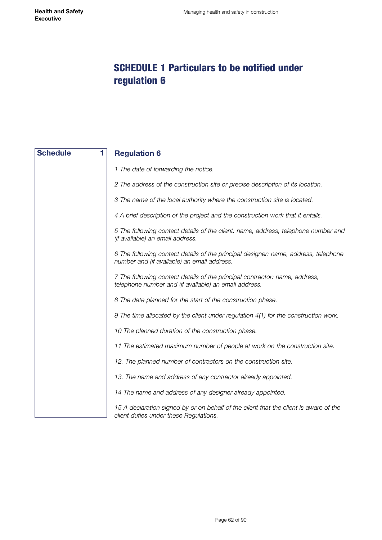# SCHEDULE 1 Particulars to be notified under regulation 6

| <b>Schedule</b><br>1 | <b>Regulation 6</b>                                                                                                                  |
|----------------------|--------------------------------------------------------------------------------------------------------------------------------------|
|                      | 1 The date of forwarding the notice.                                                                                                 |
|                      | 2 The address of the construction site or precise description of its location.                                                       |
|                      | 3 The name of the local authority where the construction site is located.                                                            |
|                      | 4 A brief description of the project and the construction work that it entails.                                                      |
|                      | 5 The following contact details of the client: name, address, telephone number and<br>(if available) an email address.               |
|                      | 6 The following contact details of the principal designer: name, address, telephone<br>number and (if available) an email address.   |
|                      | 7 The following contact details of the principal contractor: name, address,<br>telephone number and (if available) an email address. |
|                      | 8 The date planned for the start of the construction phase.                                                                          |
|                      | 9 The time allocated by the client under regulation 4(1) for the construction work.                                                  |
|                      | 10 The planned duration of the construction phase.                                                                                   |
|                      | 11 The estimated maximum number of people at work on the construction site.                                                          |
|                      | 12. The planned number of contractors on the construction site.                                                                      |
|                      | 13. The name and address of any contractor already appointed.                                                                        |
|                      | 14 The name and address of any designer already appointed.                                                                           |
|                      | 15 A declaration signed by or on behalf of the client that the client is aware of the<br>client duties under these Regulations.      |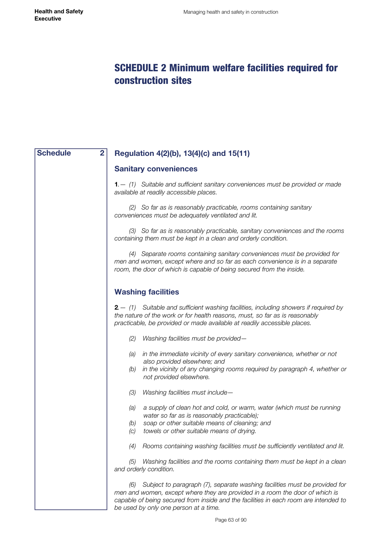# SCHEDULE 2 Minimum welfare facilities required for construction sites

| <b>Schedule</b><br>$\overline{2}$ | Regulation 4(2)(b), 13(4)(c) and 15(11)                                                                                                                                                                                                                   |  |  |  |  |
|-----------------------------------|-----------------------------------------------------------------------------------------------------------------------------------------------------------------------------------------------------------------------------------------------------------|--|--|--|--|
|                                   | <b>Sanitary conveniences</b>                                                                                                                                                                                                                              |  |  |  |  |
|                                   | $1 - (1)$ Suitable and sufficient sanitary conveniences must be provided or made<br>available at readily accessible places.                                                                                                                               |  |  |  |  |
|                                   | (2) So far as is reasonably practicable, rooms containing sanitary<br>conveniences must be adequately ventilated and lit.                                                                                                                                 |  |  |  |  |
|                                   | (3) So far as is reasonably practicable, sanitary conveniences and the rooms<br>containing them must be kept in a clean and orderly condition.                                                                                                            |  |  |  |  |
|                                   | (4) Separate rooms containing sanitary conveniences must be provided for<br>men and women, except where and so far as each convenience is in a separate<br>room, the door of which is capable of being secured from the inside.                           |  |  |  |  |
|                                   | <b>Washing facilities</b>                                                                                                                                                                                                                                 |  |  |  |  |
|                                   | $2 - (1)$ Suitable and sufficient washing facilities, including showers if required by<br>the nature of the work or for health reasons, must, so far as is reasonably<br>practicable, be provided or made available at readily accessible places.         |  |  |  |  |
|                                   | Washing facilities must be provided-<br>(2)                                                                                                                                                                                                               |  |  |  |  |
|                                   | in the immediate vicinity of every sanitary convenience, whether or not<br>(a)<br>also provided elsewhere; and                                                                                                                                            |  |  |  |  |
|                                   | in the vicinity of any changing rooms required by paragraph 4, whether or<br>(b)<br>not provided elsewhere.                                                                                                                                               |  |  |  |  |
|                                   | (3)<br>Washing facilities must include-                                                                                                                                                                                                                   |  |  |  |  |
|                                   | a supply of clean hot and cold, or warm, water (which must be running<br>(a)<br>water so far as is reasonably practicable);                                                                                                                               |  |  |  |  |
|                                   | (b) soap or other suitable means of cleaning; and<br>towels or other suitable means of drying.<br>(C)                                                                                                                                                     |  |  |  |  |
|                                   | Rooms containing washing facilities must be sufficiently ventilated and lit.<br>(4)                                                                                                                                                                       |  |  |  |  |
|                                   | Washing facilities and the rooms containing them must be kept in a clean<br>(5)<br>and orderly condition.                                                                                                                                                 |  |  |  |  |
|                                   | Subject to paragraph (7), separate washing facilities must be provided for<br>(6)<br>men and women, except where they are provided in a room the door of which is<br>capable of being secured from inside and the facilities in each room are intended to |  |  |  |  |

*be used by only one person at a time.*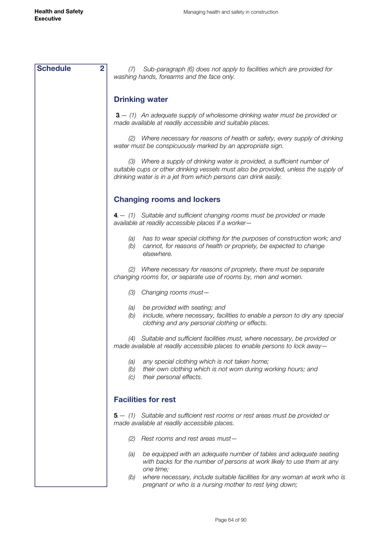| $\overline{2}$<br><b>Schedule</b> | Sub-paragraph (6) does not apply to facilities which are provided for<br>(7)<br>washing hands, forearms and the face only.                                                                                                         |
|-----------------------------------|------------------------------------------------------------------------------------------------------------------------------------------------------------------------------------------------------------------------------------|
|                                   | <b>Drinking water</b>                                                                                                                                                                                                              |
|                                   | $3 - (1)$ An adequate supply of wholesome drinking water must be provided or<br>made available at readily accessible and suitable places.                                                                                          |
|                                   | (2) Where necessary for reasons of health or safety, every supply of drinking<br>water must be conspicuously marked by an appropriate sign.                                                                                        |
|                                   | (3) Where a supply of drinking water is provided, a sufficient number of<br>suitable cups or other drinking vessels must also be provided, unless the supply of<br>drinking water is in a jet from which persons can drink easily. |
|                                   | <b>Changing rooms and lockers</b>                                                                                                                                                                                                  |
|                                   | 4. - (1) Suitable and sufficient changing rooms must be provided or made<br>available at readily accessible places if a worker-                                                                                                    |
|                                   | has to wear special clothing for the purposes of construction work; and<br>(a)<br>(b)<br>cannot, for reasons of health or propriety, be expected to change<br>elsewhere.                                                           |
|                                   | (2) Where necessary for reasons of propriety, there must be separate<br>changing rooms for, or separate use of rooms by, men and women.                                                                                            |
|                                   | (3)<br>Changing rooms must-                                                                                                                                                                                                        |
|                                   | be provided with seating; and<br>(a)<br>include, where necessary, facilities to enable a person to dry any special<br>(b)<br>clothing and any personal clothing or effects.                                                        |
|                                   | (4) Suitable and sufficient facilities must, where necessary, be provided or<br>made available at readily accessible places to enable persons to lock away-                                                                        |
|                                   | any special clothing which is not taken home;<br>(a)<br>their own clothing which is not worn during working hours; and<br>(b)<br>their personal effects.<br>(C)                                                                    |
|                                   | <b>Facilities for rest</b>                                                                                                                                                                                                         |
|                                   | $5 - (1)$ Suitable and sufficient rest rooms or rest areas must be provided or<br>made available at readily accessible places.                                                                                                     |
|                                   | Rest rooms and rest areas must-<br>(2)                                                                                                                                                                                             |
|                                   | be equipped with an adequate number of tables and adequate seating<br>(a)<br>with backs for the number of persons at work likely to use them at any<br>one time;                                                                   |
|                                   | where necessary, include suitable facilities for any woman at work who is<br>(b)<br>pregnant or who is a nursing mother to rest lying down;                                                                                        |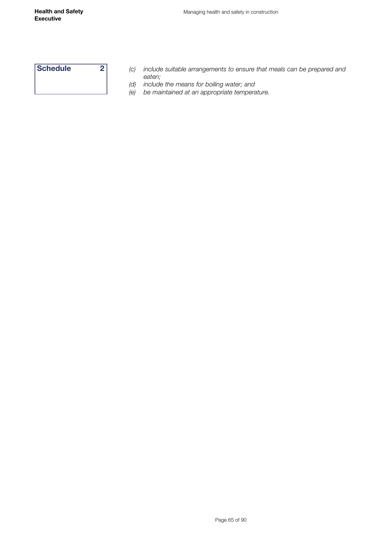| 2 |
|---|
|   |
|   |
|   |

- *(c) include suitable arrangements to ensure that meals can be prepared and eaten;*
- *(d) include the means for boiling water; and*
- *(e) be maintained at an appropriate temperature.*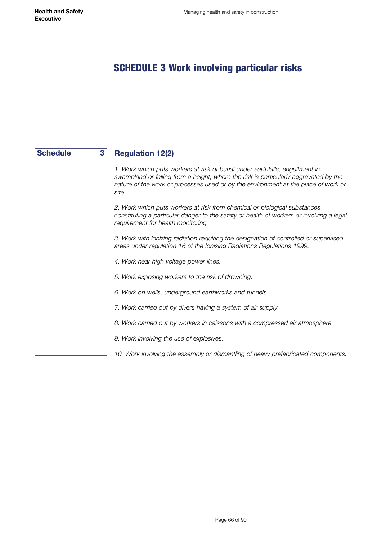# SCHEDULE 3 Work involving particular risks

| <b>Schedule</b><br>3 | <b>Regulation 12(2)</b>                                                                                                                                                                                                                                             |  |  |  |
|----------------------|---------------------------------------------------------------------------------------------------------------------------------------------------------------------------------------------------------------------------------------------------------------------|--|--|--|
|                      | 1. Work which puts workers at risk of burial under earthfalls, engulfment in<br>swampland or falling from a height, where the risk is particularly aggravated by the<br>nature of the work or processes used or by the environment at the place of work or<br>site. |  |  |  |
|                      | 2. Work which puts workers at risk from chemical or biological substances<br>constituting a particular danger to the safety or health of workers or involving a legal<br>requirement for health monitoring.                                                         |  |  |  |
|                      | 3. Work with ionizing radiation requiring the designation of controlled or supervised<br>areas under regulation 16 of the Ionising Radiations Regulations 1999.                                                                                                     |  |  |  |
|                      | 4. Work near high voltage power lines.                                                                                                                                                                                                                              |  |  |  |
|                      | 5. Work exposing workers to the risk of drowning.                                                                                                                                                                                                                   |  |  |  |
|                      | 6. Work on wells, underground earthworks and tunnels.                                                                                                                                                                                                               |  |  |  |
|                      | 7. Work carried out by divers having a system of air supply.                                                                                                                                                                                                        |  |  |  |
|                      | 8. Work carried out by workers in caissons with a compressed air atmosphere.                                                                                                                                                                                        |  |  |  |
|                      | 9. Work involving the use of explosives.                                                                                                                                                                                                                            |  |  |  |
|                      | 10. Work involving the assembly or dismantling of heavy prefabricated components.                                                                                                                                                                                   |  |  |  |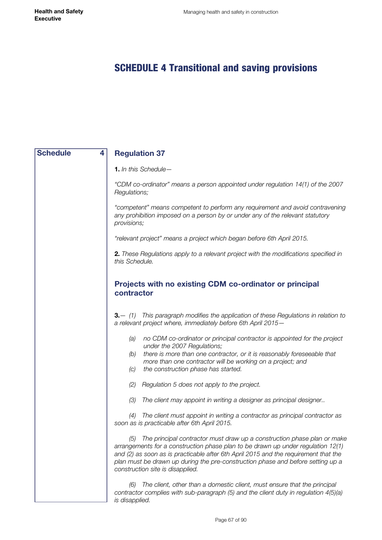# SCHEDULE 4 Transitional and saving provisions

| <b>Schedule</b><br>4 | <b>Regulation 37</b>                                                                                                                                                                                                                                                                                                                                                             |  |  |  |
|----------------------|----------------------------------------------------------------------------------------------------------------------------------------------------------------------------------------------------------------------------------------------------------------------------------------------------------------------------------------------------------------------------------|--|--|--|
|                      | 1. In this Schedule-                                                                                                                                                                                                                                                                                                                                                             |  |  |  |
|                      | "CDM co-ordinator" means a person appointed under regulation 14(1) of the 2007<br>Regulations;                                                                                                                                                                                                                                                                                   |  |  |  |
|                      | "competent" means competent to perform any requirement and avoid contravening<br>any prohibition imposed on a person by or under any of the relevant statutory<br>provisions;                                                                                                                                                                                                    |  |  |  |
|                      | "relevant project" means a project which began before 6th April 2015.                                                                                                                                                                                                                                                                                                            |  |  |  |
|                      | <b>2.</b> These Regulations apply to a relevant project with the modifications specified in<br>this Schedule.                                                                                                                                                                                                                                                                    |  |  |  |
|                      | Projects with no existing CDM co-ordinator or principal<br>contractor                                                                                                                                                                                                                                                                                                            |  |  |  |
|                      | $3 - (1)$ This paragraph modifies the application of these Regulations in relation to<br>a relevant project where, immediately before 6th April 2015-                                                                                                                                                                                                                            |  |  |  |
|                      | no CDM co-ordinator or principal contractor is appointed for the project<br>(a)<br>under the 2007 Regulations;<br>there is more than one contractor, or it is reasonably foreseeable that<br>(b)<br>more than one contractor will be working on a project; and<br>the construction phase has started.<br>(C)                                                                     |  |  |  |
|                      | (2)<br>Regulation 5 does not apply to the project.                                                                                                                                                                                                                                                                                                                               |  |  |  |
|                      | (3)<br>The client may appoint in writing a designer as principal designer                                                                                                                                                                                                                                                                                                        |  |  |  |
|                      | The client must appoint in writing a contractor as principal contractor as<br>(4)<br>soon as is practicable after 6th April 2015.                                                                                                                                                                                                                                                |  |  |  |
|                      | The principal contractor must draw up a construction phase plan or make<br>(5)<br>arrangements for a construction phase plan to be drawn up under regulation 12(1)<br>and (2) as soon as is practicable after 6th April 2015 and the requirement that the<br>plan must be drawn up during the pre-construction phase and before setting up a<br>construction site is disapplied. |  |  |  |
|                      | The client, other than a domestic client, must ensure that the principal<br>(6)<br>contractor complies with sub-paragraph (5) and the client duty in regulation 4(5)(a)<br>is disapplied.                                                                                                                                                                                        |  |  |  |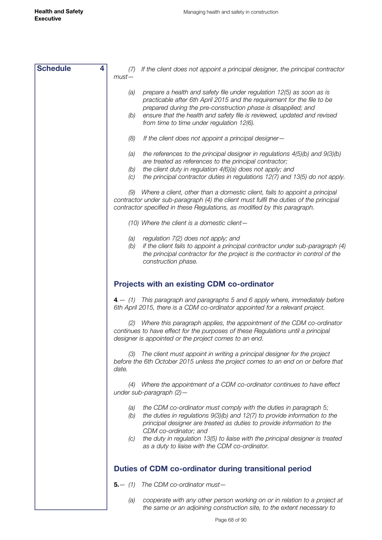| <b>Schedule</b> | 4 | If the client does not appoint a principal designer, the principal contractor<br>$($ / $)$<br>$must-$                                                                                                                                                                                                                                                                                                        |
|-----------------|---|--------------------------------------------------------------------------------------------------------------------------------------------------------------------------------------------------------------------------------------------------------------------------------------------------------------------------------------------------------------------------------------------------------------|
|                 |   | prepare a health and safety file under regulation 12(5) as soon as is<br>(a)<br>practicable after 6th April 2015 and the requirement for the file to be<br>prepared during the pre-construction phase is disapplied; and<br>ensure that the health and safety file is reviewed, updated and revised<br>(b)<br>from time to time under regulation 12(6).                                                      |
|                 |   | (8)<br>If the client does not appoint a principal designer-                                                                                                                                                                                                                                                                                                                                                  |
|                 |   | the references to the principal designer in regulations $4(5)(b)$ and $9(3)(b)$<br>(a)<br>are treated as references to the principal contractor;<br>the client duty in regulation 4(6)(a) does not apply; and<br>(b)<br>the principal contractor duties in regulations 12(7) and 13(5) do not apply.<br>(C)                                                                                                  |
|                 |   | (9) Where a client, other than a domestic client, fails to appoint a principal<br>contractor under sub-paragraph (4) the client must fulfil the duties of the principal<br>contractor specified in these Regulations, as modified by this paragraph.                                                                                                                                                         |
|                 |   | $(10)$ Where the client is a domestic client -                                                                                                                                                                                                                                                                                                                                                               |
|                 |   | regulation 7(2) does not apply; and<br>(a)<br>if the client fails to appoint a principal contractor under sub-paragraph (4)<br>(b)<br>the principal contractor for the project is the contractor in control of the<br>construction phase.                                                                                                                                                                    |
|                 |   | <b>Projects with an existing CDM co-ordinator</b>                                                                                                                                                                                                                                                                                                                                                            |
|                 |   | $4 - (1)$ This paragraph and paragraphs 5 and 6 apply where, immediately before<br>6th April 2015, there is a CDM co-ordinator appointed for a relevant project.                                                                                                                                                                                                                                             |
|                 |   | (2) Where this paragraph applies, the appointment of the CDM co-ordinator<br>continues to have effect for the purposes of these Regulations until a principal<br>designer is appointed or the project comes to an end.                                                                                                                                                                                       |
|                 |   | (3) The client must appoint in writing a principal designer for the project<br>before the 6th October 2015 unless the project comes to an end on or before that<br>date.                                                                                                                                                                                                                                     |
|                 |   | (4) Where the appointment of a CDM co-ordinator continues to have effect<br>under sub-paragraph $(2)$ -                                                                                                                                                                                                                                                                                                      |
|                 |   | the CDM co-ordinator must comply with the duties in paragraph 5;<br>(a)<br>the duties in regulations $9(3)(b)$ and $12(7)$ to provide information to the<br>(b)<br>principal designer are treated as duties to provide information to the<br>CDM co-ordinator; and<br>the duty in regulation 13(5) to liaise with the principal designer is treated<br>(C)<br>as a duty to liaise with the CDM co-ordinator. |
|                 |   | Duties of CDM co-ordinator during transitional period                                                                                                                                                                                                                                                                                                                                                        |
|                 |   | $5 - (1)$ The CDM co-ordinator must-                                                                                                                                                                                                                                                                                                                                                                         |
|                 |   | cooperate with any other person working on or in relation to a project at<br>(a)<br>the same or an adjoining construction site, to the extent necessary to                                                                                                                                                                                                                                                   |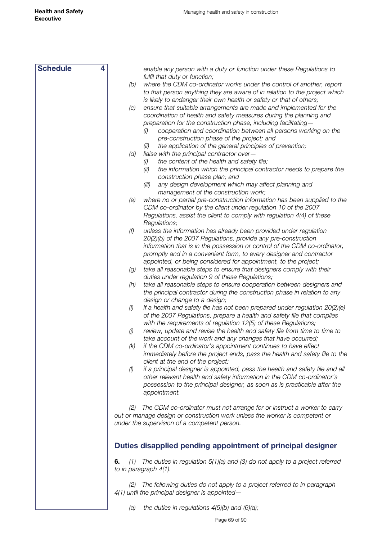| <b>Schedule</b><br>$\overline{\mathbf{4}}$ |                                              | enable any person with a duty or function under these Regulations to<br>fulfil that duty or function;                                                  |
|--------------------------------------------|----------------------------------------------|--------------------------------------------------------------------------------------------------------------------------------------------------------|
|                                            | (b)                                          | where the CDM co-ordinator works under the control of another, report                                                                                  |
|                                            |                                              | to that person anything they are aware of in relation to the project which                                                                             |
|                                            |                                              | is likely to endanger their own health or safety or that of others;                                                                                    |
|                                            | (C)                                          | ensure that suitable arrangements are made and implemented for the                                                                                     |
|                                            |                                              | coordination of health and safety measures during the planning and                                                                                     |
|                                            |                                              | preparation for the construction phase, including facilitating-                                                                                        |
|                                            |                                              | cooperation and coordination between all persons working on the<br>(1)                                                                                 |
|                                            |                                              | pre-construction phase of the project; and                                                                                                             |
|                                            |                                              | the application of the general principles of prevention;<br>(ii)                                                                                       |
|                                            | (d)                                          | liaise with the principal contractor over-                                                                                                             |
|                                            |                                              | the content of the health and safety file;<br>(i)                                                                                                      |
|                                            |                                              | the information which the principal contractor needs to prepare the<br>(ii)                                                                            |
|                                            |                                              | construction phase plan; and                                                                                                                           |
|                                            |                                              | any design development which may affect planning and<br>(iii)<br>management of the construction work;                                                  |
|                                            | (e)                                          | where no or partial pre-construction information has been supplied to the                                                                              |
|                                            |                                              | CDM co-ordinator by the client under regulation 10 of the 2007                                                                                         |
|                                            |                                              | Regulations, assist the client to comply with regulation 4(4) of these                                                                                 |
|                                            |                                              | Regulations;                                                                                                                                           |
|                                            | (f)                                          | unless the information has already been provided under regulation                                                                                      |
|                                            |                                              | 20(2)(b) of the 2007 Regulations, provide any pre-construction                                                                                         |
|                                            |                                              | information that is in the possession or control of the CDM co-ordinator,                                                                              |
|                                            |                                              | promptly and in a convenient form, to every designer and contractor                                                                                    |
|                                            |                                              | appointed, or being considered for appointment, to the project;                                                                                        |
|                                            | (g)                                          | take all reasonable steps to ensure that designers comply with their                                                                                   |
|                                            |                                              | duties under regulation 9 of these Regulations;                                                                                                        |
|                                            | (h)                                          | take all reasonable steps to ensure cooperation between designers and                                                                                  |
|                                            |                                              | the principal contractor during the construction phase in relation to any                                                                              |
|                                            |                                              | design or change to a design;                                                                                                                          |
|                                            | (i)                                          | if a health and safety file has not been prepared under regulation 20(2)(e)<br>of the 2007 Regulations, prepare a health and safety file that complies |
|                                            |                                              | with the requirements of regulation 12(5) of these Regulations;                                                                                        |
|                                            | (j)                                          | review, update and revise the health and safety file from time to time to                                                                              |
|                                            |                                              | take account of the work and any changes that have occurred;                                                                                           |
|                                            | (k)                                          | if the CDM co-ordinator's appointment continues to have effect                                                                                         |
|                                            |                                              | immediately before the project ends, pass the health and safety file to the                                                                            |
|                                            |                                              | client at the end of the project;                                                                                                                      |
|                                            | $\left( \frac{\partial}{\partial t} \right)$ | if a principal designer is appointed, pass the health and safety file and all                                                                          |
|                                            |                                              | other relevant health and safety information in the CDM co-ordinator's                                                                                 |
|                                            |                                              | possession to the principal designer, as soon as is practicable after the                                                                              |
|                                            |                                              | appointment.                                                                                                                                           |
|                                            |                                              |                                                                                                                                                        |
|                                            | (2)                                          | The CDM co-ordinator must not arrange for or instruct a worker to carry                                                                                |
|                                            |                                              | out or manage design or construction work unless the worker is competent or                                                                            |
|                                            |                                              | under the supervision of a competent person.                                                                                                           |
|                                            |                                              |                                                                                                                                                        |
|                                            |                                              | Duties disapplied pending appointment of principal designer                                                                                            |
|                                            | 6.<br>(1)                                    | The duties in regulation $5(1)(a)$ and (3) do not apply to a project referred                                                                          |
|                                            |                                              | to in paragraph 4(1).                                                                                                                                  |
|                                            | (2)                                          | The following duties do not apply to a project referred to in paragraph                                                                                |
|                                            |                                              | 4(1) until the principal designer is appointed-                                                                                                        |
|                                            |                                              |                                                                                                                                                        |

*(a) the duties in regulations 4(5)(b) and (6)(a);*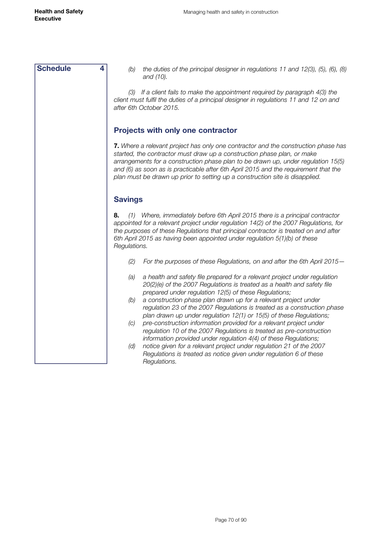| <b>Schedule</b><br>4 | the duties of the principal designer in regulations 11 and 12(3), (5), (6), (8)<br>(b)<br>and (10).                                                                                                                                                                                                                                                                                                                       |  |  |  |
|----------------------|---------------------------------------------------------------------------------------------------------------------------------------------------------------------------------------------------------------------------------------------------------------------------------------------------------------------------------------------------------------------------------------------------------------------------|--|--|--|
|                      | (3) If a client fails to make the appointment required by paragraph 4(3) the<br>client must fulfil the duties of a principal designer in regulations 11 and 12 on and<br>after 6th October 2015.                                                                                                                                                                                                                          |  |  |  |
|                      | Projects with only one contractor                                                                                                                                                                                                                                                                                                                                                                                         |  |  |  |
|                      | 7. Where a relevant project has only one contractor and the construction phase has<br>started, the contractor must draw up a construction phase plan, or make<br>arrangements for a construction phase plan to be drawn up, under regulation 15(5)<br>and (6) as soon as is practicable after 6th April 2015 and the requirement that the<br>plan must be drawn up prior to setting up a construction site is disapplied. |  |  |  |
|                      | <b>Savings</b>                                                                                                                                                                                                                                                                                                                                                                                                            |  |  |  |
|                      | (1) Where, immediately before 6th April 2015 there is a principal contractor<br>8.<br>appointed for a relevant project under regulation 14(2) of the 2007 Regulations, for<br>the purposes of these Regulations that principal contractor is treated on and after<br>6th April 2015 as having been appointed under regulation 5(1)(b) of these<br>Regulations.                                                            |  |  |  |
|                      | (2)<br>For the purposes of these Regulations, on and after the 6th April 2015-                                                                                                                                                                                                                                                                                                                                            |  |  |  |
|                      | a health and safety file prepared for a relevant project under regulation<br>(a)<br>20(2)(e) of the 2007 Regulations is treated as a health and safety file<br>prepared under regulation 12(5) of these Regulations;                                                                                                                                                                                                      |  |  |  |
|                      | (b)<br>a construction phase plan drawn up for a relevant project under<br>regulation 23 of the 2007 Regulations is treated as a construction phase<br>plan drawn up under regulation 12(1) or 15(5) of these Regulations;                                                                                                                                                                                                 |  |  |  |
|                      | pre-construction information provided for a relevant project under<br>(C)<br>regulation 10 of the 2007 Regulations is treated as pre-construction<br>information provided under regulation 4(4) of these Regulations;                                                                                                                                                                                                     |  |  |  |
|                      | notice given for a relevant project under regulation 21 of the 2007<br>(d)<br>Regulations is treated as notice given under regulation 6 of these<br>Regulations.                                                                                                                                                                                                                                                          |  |  |  |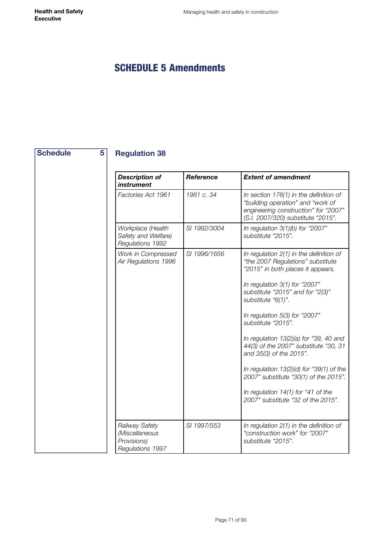# SCHEDULE 5 Amendments

| <b>Schedule</b> | 5<br><b>Regulation:</b>                          |
|-----------------|--------------------------------------------------|
|                 | <b>Description o</b><br>instrument               |
|                 | Factories Act 1                                  |
|                 | Workplace (He<br>Safety and We<br>Regulations 19 |
|                 | Work in Comp<br><b>Air Regulations</b>           |
|                 |                                                  |
|                 |                                                  |
|                 |                                                  |
|                 |                                                  |

### **Regulation 38**

| <b>Description of</b><br>instrument                                 | Reference    | <b>Extent of amendment</b>                                                                                                                                                                                                                                                                                                                                                                                                                                                                                                                                   |
|---------------------------------------------------------------------|--------------|--------------------------------------------------------------------------------------------------------------------------------------------------------------------------------------------------------------------------------------------------------------------------------------------------------------------------------------------------------------------------------------------------------------------------------------------------------------------------------------------------------------------------------------------------------------|
| Factories Act 1961                                                  | 1961 c. 34   | In section 176(1) in the definition of<br>"building operation" and "work of<br>engineering construction" for "2007"<br>(S.l. 2007/320) substitute "2015".                                                                                                                                                                                                                                                                                                                                                                                                    |
| Workplace (Health<br>Safety and Welfare)<br>Regulations 1992        | SI 1992/3004 | In regulation $3(1)$ (b) for "2007"<br>substitute "2015".                                                                                                                                                                                                                                                                                                                                                                                                                                                                                                    |
| Work in Compressed<br>Air Regulations 1996                          | SI 1996/1656 | In regulation $2(1)$ in the definition of<br>"the 2007 Regulations" substitute<br>"2015" in both places it appears.<br>In regulation $3(1)$ for "2007"<br>substitute "2015" and for "2(3)"<br>substitute "6(1)".<br>In regulation 5(3) for "2007"<br>substitute "2015".<br>In regulation $13(2)(a)$ for "39, 40 and<br>44(3) of the 2007" substitute "30, 31<br>and 35(3) of the 2015".<br>In regulation $13(2)(d)$ for "39(1) of the<br>2007" substitute "30(1) of the 2015".<br>In regulation $14(1)$ for "41 of the<br>2007" substitute "32 of the 2015". |
|                                                                     |              |                                                                                                                                                                                                                                                                                                                                                                                                                                                                                                                                                              |
| Railway Safety<br>(Miscellaneous<br>Provisions)<br>Regulations 1997 | SI 1997/553  | In regulation $2(1)$ in the definition of<br>"construction work" for "2007"<br>substitute "2015".                                                                                                                                                                                                                                                                                                                                                                                                                                                            |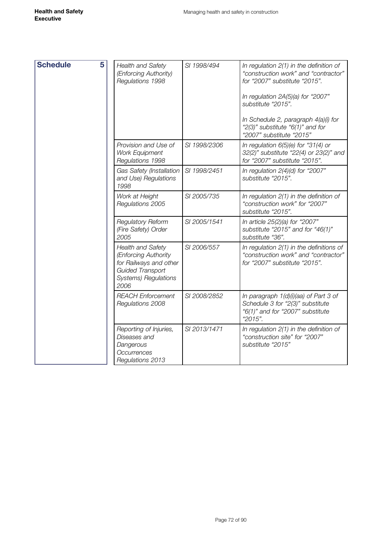| <b>Schedule</b><br>5 | <b>Health and Safety</b><br>(Enforcing Authority)<br>Regulations 1998                                                          | SI 1998/494  | In regulation 2(1) in the definition of<br>"construction work" and "contractor"<br>for "2007" substitute "2015".<br>In regulation 2A(5)(a) for "2007"<br>substitute "2015".<br>In Schedule 2, paragraph 4(a)(i) for<br>" $2(3)$ " substitute " $6(1)$ " and for<br>"2007" substitute "2015" |
|----------------------|--------------------------------------------------------------------------------------------------------------------------------|--------------|---------------------------------------------------------------------------------------------------------------------------------------------------------------------------------------------------------------------------------------------------------------------------------------------|
|                      | Provision and Use of<br><b>Work Equipment</b><br>Regulations 1998                                                              | SI 1998/2306 | In regulation $6(5)(e)$ for "31(4) or<br>32(2)" substitute "22(4) or 23(2)" and<br>for "2007" substitute "2015".                                                                                                                                                                            |
|                      | Gas Safety (Installation<br>and Use) Regulations<br>1998                                                                       | SI 1998/2451 | In regulation $2(4)(d)$ for "2007"<br>substitute "2015".                                                                                                                                                                                                                                    |
|                      | Work at Height<br>Regulations 2005                                                                                             | SI 2005/735  | In regulation $2(1)$ in the definition of<br>"construction work" for "2007"<br>substitute "2015".                                                                                                                                                                                           |
|                      | <b>Regulatory Reform</b><br>(Fire Safety) Order<br>2005                                                                        | SI 2005/1541 | In article 25(2)(a) for "2007"<br>substitute "2015" and for "46(1)"<br>substitute "36".                                                                                                                                                                                                     |
|                      | <b>Health and Safety</b><br>(Enforcing Authority<br>for Railways and other<br>Guided Transport<br>Systems) Regulations<br>2006 | SI 2006/557  | In regulation $2(1)$ in the definitions of<br>"construction work" and "contractor"<br>for "2007" substitute "2015".                                                                                                                                                                         |
|                      | <b>REACH Enforcement</b><br>Regulations 2008                                                                                   | SI 2008/2852 | In paragraph 1(d)(i)(aa) of Part 3 of<br>Schedule 3 for "2(3)" substitute<br>"6(1)" and for "2007" substitute<br>"2015".                                                                                                                                                                    |
|                      | Reporting of Injuries,<br>Diseases and<br>Dangerous<br>Occurrences<br>Regulations 2013                                         | SI 2013/1471 | In regulation 2(1) in the definition of<br>"construction site" for "2007"<br>substitute "2015"                                                                                                                                                                                              |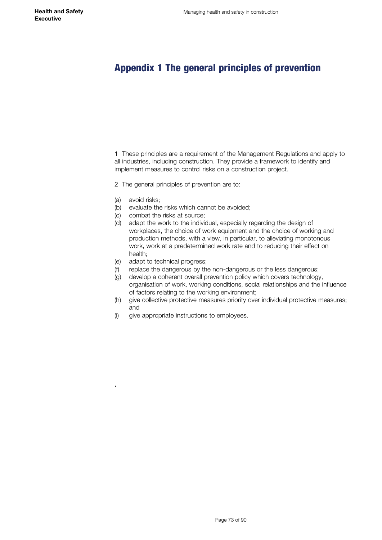# Appendix 1 The general principles of prevention

1 These principles are a requirement of the Management Regulations and apply to all industries, including construction. They provide a framework to identify and implement measures to control risks on a construction project.

- 2 The general principles of prevention are to:
- (a) avoid risks;

.

- (b) evaluate the risks which cannot be avoided;
- (c) combat the risks at source;
- (d) adapt the work to the individual, especially regarding the design of workplaces, the choice of work equipment and the choice of working and production methods, with a view, in particular, to alleviating monotonous work, work at a predetermined work rate and to reducing their effect on health;
- (e) adapt to technical progress;
- (f) replace the dangerous by the non-dangerous or the less dangerous;
- (g) develop a coherent overall prevention policy which covers technology, organisation of work, working conditions, social relationships and the influence of factors relating to the working environment;
- (h) give collective protective measures priority over individual protective measures; and
- (i) give appropriate instructions to employees.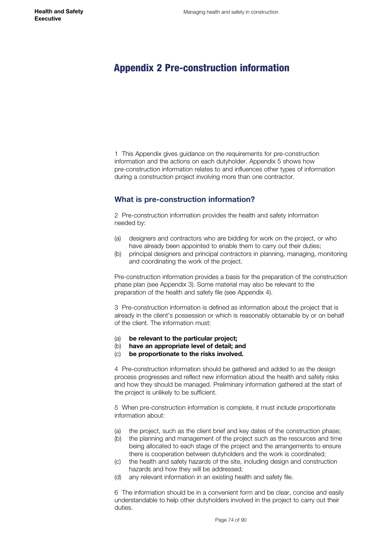# Appendix 2 Pre-construction information

1 This Appendix gives guidance on the requirements for pre-construction information and the actions on each dutyholder. Appendix 5 shows how pre-construction information relates to and influences other types of information during a construction project involving more than one contractor.

### **What is pre-construction information?**

2 Pre-construction information provides the health and safety information needed by:

- (a) designers and contractors who are bidding for work on the project, or who have already been appointed to enable them to carry out their duties;
- (b) principal designers and principal contractors in planning, managing, monitoring and coordinating the work of the project.

Pre-construction information provides a basis for the preparation of the construction phase plan (see Appendix 3). Some material may also be relevant to the preparation of the health and safety file (see Appendix 4).

3 Pre-construction information is defined as information about the project that is already in the client's possession or which is reasonably obtainable by or on behalf of the client. The information must:

- (a) **be relevant to the particular project;**
- (b) **have an appropriate level of detail; and**
- (c) **be proportionate to the risks involved.**

4 Pre-construction information should be gathered and added to as the design process progresses and reflect new information about the health and safety risks and how they should be managed. Preliminary information gathered at the start of the project is unlikely to be sufficient.

5 When pre-construction information is complete, it must include proportionate information about:

- (a) the project, such as the client brief and key dates of the construction phase;
- (b) the planning and management of the project such as the resources and time being allocated to each stage of the project and the arrangements to ensure there is cooperation between dutyholders and the work is coordinated;
- (c) the health and safety hazards of the site, including design and construction hazards and how they will be addressed;
- (d) any relevant information in an existing health and safety file.

6 The information should be in a convenient form and be clear, concise and easily understandable to help other dutyholders involved in the project to carry out their duties.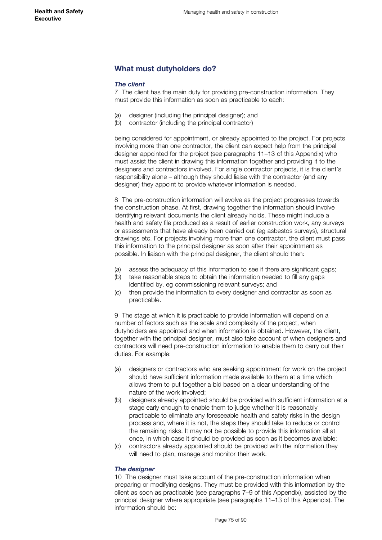### **What must dutyholders do?**

#### *The client*

7 The client has the main duty for providing pre-construction information. They must provide this information as soon as practicable to each:

- (a) designer (including the principal designer); and
- (b) contractor (including the principal contractor)

being considered for appointment, or already appointed to the project. For projects involving more than one contractor, the client can expect help from the principal designer appointed for the project (see paragraphs 11–13 of this Appendix) who must assist the client in drawing this information together and providing it to the designers and contractors involved. For single contractor projects, it is the client's responsibility alone – although they should liaise with the contractor (and any designer) they appoint to provide whatever information is needed.

8 The pre-construction information will evolve as the project progresses towards the construction phase. At first, drawing together the information should involve identifying relevant documents the client already holds. These might include a health and safety file produced as a result of earlier construction work, any surveys or assessments that have already been carried out (eg asbestos surveys), structural drawings etc. For projects involving more than one contractor, the client must pass this information to the principal designer as soon after their appointment as possible. In liaison with the principal designer, the client should then:

- (a) assess the adequacy of this information to see if there are significant gaps;
- (b) take reasonable steps to obtain the information needed to fill any gaps identified by, eg commissioning relevant surveys; and
- (c) then provide the information to every designer and contractor as soon as practicable.

9 The stage at which it is practicable to provide information will depend on a number of factors such as the scale and complexity of the project, when dutyholders are appointed and when information is obtained. However, the client, together with the principal designer, must also take account of when designers and contractors will need pre-construction information to enable them to carry out their duties. For example:

- (a) designers or contractors who are seeking appointment for work on the project should have sufficient information made available to them at a time which allows them to put together a bid based on a clear understanding of the nature of the work involved;
- (b) designers already appointed should be provided with sufficient information at a stage early enough to enable them to judge whether it is reasonably practicable to eliminate any foreseeable health and safety risks in the design process and, where it is not, the steps they should take to reduce or control the remaining risks. It may not be possible to provide this information all at once, in which case it should be provided as soon as it becomes available;
- (c) contractors already appointed should be provided with the information they will need to plan, manage and monitor their work.

#### *The designer*

10 The designer must take account of the pre-construction information when preparing or modifying designs. They must be provided with this information by the client as soon as practicable (see paragraphs 7–9 of this Appendix), assisted by the principal designer where appropriate (see paragraphs 11–13 of this Appendix). The information should be: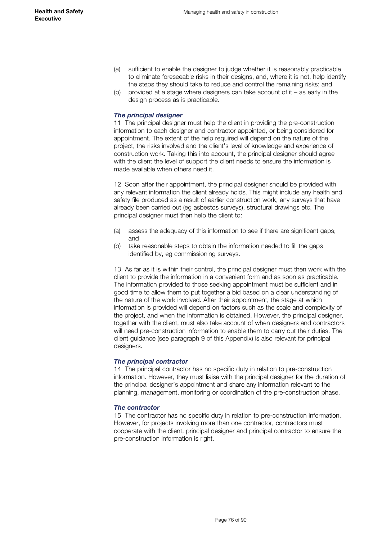- (a) sufficient to enable the designer to judge whether it is reasonably practicable to eliminate foreseeable risks in their designs, and, where it is not, help identify the steps they should take to reduce and control the remaining risks; and
- (b) provided at a stage where designers can take account of it as early in the design process as is practicable.

#### *The principal designer*

11 The principal designer must help the client in providing the pre-construction information to each designer and contractor appointed, or being considered for appointment. The extent of the help required will depend on the nature of the project, the risks involved and the client's level of knowledge and experience of construction work. Taking this into account, the principal designer should agree with the client the level of support the client needs to ensure the information is made available when others need it.

12 Soon after their appointment, the principal designer should be provided with any relevant information the client already holds. This might include any health and safety file produced as a result of earlier construction work, any surveys that have already been carried out (eg asbestos surveys), structural drawings etc. The principal designer must then help the client to:

- (a) assess the adequacy of this information to see if there are significant gaps; and
- (b) take reasonable steps to obtain the information needed to fill the gaps identified by, eg commissioning surveys.

13 As far as it is within their control, the principal designer must then work with the client to provide the information in a convenient form and as soon as practicable. The information provided to those seeking appointment must be sufficient and in good time to allow them to put together a bid based on a clear understanding of the nature of the work involved. After their appointment, the stage at which information is provided will depend on factors such as the scale and complexity of the project, and when the information is obtained. However, the principal designer, together with the client, must also take account of when designers and contractors will need pre-construction information to enable them to carry out their duties. The client guidance (see paragraph 9 of this Appendix) is also relevant for principal designers.

#### *The principal contractor*

14 The principal contractor has no specific duty in relation to pre-construction information. However, they must liaise with the principal designer for the duration of the principal designer's appointment and share any information relevant to the planning, management, monitoring or coordination of the pre-construction phase.

#### *The contractor*

15 The contractor has no specific duty in relation to pre-construction information. However, for projects involving more than one contractor, contractors must cooperate with the client, principal designer and principal contractor to ensure the pre-construction information is right.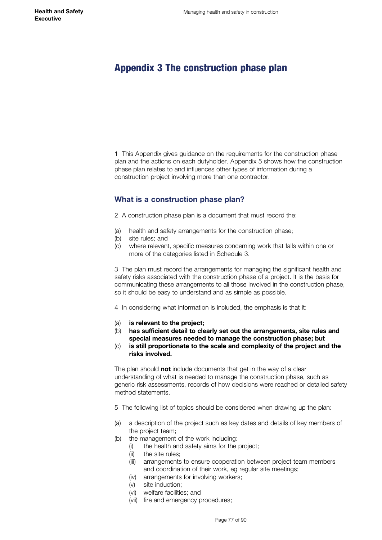# Appendix 3 The construction phase plan

1 This Appendix gives guidance on the requirements for the construction phase plan and the actions on each dutyholder. Appendix 5 shows how the construction phase plan relates to and influences other types of information during a construction project involving more than one contractor.

## **What is a construction phase plan?**

2 A construction phase plan is a document that must record the:

- (a) health and safety arrangements for the construction phase;
- (b) site rules; and
- (c) where relevant, specific measures concerning work that falls within one or more of the categories listed in Schedule 3.

3 The plan must record the arrangements for managing the significant health and safety risks associated with the construction phase of a project. It is the basis for communicating these arrangements to all those involved in the construction phase, so it should be easy to understand and as simple as possible.

4 In considering what information is included, the emphasis is that it:

- (a) **is relevant to the project;**
- (b) **has sufficient detail to clearly set out the arrangements, site rules and special measures needed to manage the construction phase; but**
- (c) **is still proportionate to the scale and complexity of the project and the risks involved.**

The plan should **not** include documents that get in the way of a clear understanding of what is needed to manage the construction phase, such as generic risk assessments, records of how decisions were reached or detailed safety method statements.

5 The following list of topics should be considered when drawing up the plan:

- (a) a description of the project such as key dates and details of key members of the project team;
- (b) the management of the work including:
	- (i) the health and safety aims for the project;
	- (ii) the site rules;
	- (iii) arrangements to ensure cooperation between project team members and coordination of their work, eg regular site meetings;
	- (iv) arrangements for involving workers;
	- (v) site induction;
	- (vi) welfare facilities; and
	- (vii) fire and emergency procedures;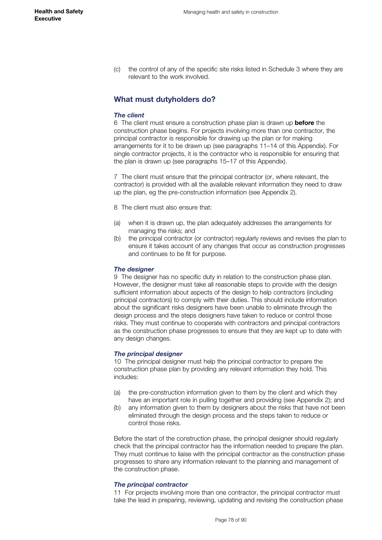(c) the control of any of the specific site risks listed in Schedule 3 where they are relevant to the work involved.

### **What must dutyholders do?**

#### *The client*

6 The client must ensure a construction phase plan is drawn up **before** the construction phase begins. For projects involving more than one contractor, the principal contractor is responsible for drawing up the plan or for making arrangements for it to be drawn up (see paragraphs 11–14 of this Appendix). For single contractor projects, it is the contractor who is responsible for ensuring that the plan is drawn up (see paragraphs 15–17 of this Appendix).

7 The client must ensure that the principal contractor (or, where relevant, the contractor) is provided with all the available relevant information they need to draw up the plan, eg the pre-construction information (see Appendix 2).

8 The client must also ensure that:

- (a) when it is drawn up, the plan adequately addresses the arrangements for managing the risks; and
- (b) the principal contractor (or contractor) regularly reviews and revises the plan to ensure it takes account of any changes that occur as construction progresses and continues to be fit for purpose.

#### *The designer*

9 The designer has no specific duty in relation to the construction phase plan. However, the designer must take all reasonable steps to provide with the design sufficient information about aspects of the design to help contractors (including principal contractors) to comply with their duties. This should include information about the significant risks designers have been unable to eliminate through the design process and the steps designers have taken to reduce or control those risks. They must continue to cooperate with contractors and principal contractors as the construction phase progresses to ensure that they are kept up to date with any design changes.

#### *The principal designer*

10 The principal designer must help the principal contractor to prepare the construction phase plan by providing any relevant information they hold. This includes:

- (a) the pre-construction information given to them by the client and which they have an important role in pulling together and providing (see Appendix 2); and
- (b) any information given to them by designers about the risks that have not been eliminated through the design process and the steps taken to reduce or control those risks.

Before the start of the construction phase, the principal designer should regularly check that the principal contractor has the information needed to prepare the plan. They must continue to liaise with the principal contractor as the construction phase progresses to share any information relevant to the planning and management of the construction phase.

#### *The principal contractor*

11 For projects involving more than one contractor, the principal contractor must take the lead in preparing, reviewing, updating and revising the construction phase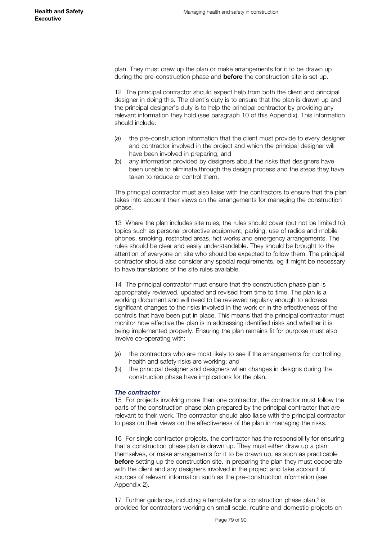plan. They must draw up the plan or make arrangements for it to be drawn up during the pre-construction phase and **before** the construction site is set up.

12 The principal contractor should expect help from both the client and principal designer in doing this. The client's duty is to ensure that the plan is drawn up and the principal designer's duty is to help the principal contractor by providing any relevant information they hold (see paragraph 10 of this Appendix). This information should include:

- (a) the pre-construction information that the client must provide to every designer and contractor involved in the project and which the principal designer will have been involved in preparing; and
- (b) any information provided by designers about the risks that designers have been unable to eliminate through the design process and the steps they have taken to reduce or control them.

The principal contractor must also liaise with the contractors to ensure that the plan takes into account their views on the arrangements for managing the construction phase.

13 Where the plan includes site rules, the rules should cover (but not be limited to) topics such as personal protective equipment, parking, use of radios and mobile phones, smoking, restricted areas, hot works and emergency arrangements. The rules should be clear and easily understandable. They should be brought to the attention of everyone on site who should be expected to follow them. The principal contractor should also consider any special requirements, eg it might be necessary to have translations of the site rules available.

14 The principal contractor must ensure that the construction phase plan is appropriately reviewed, updated and revised from time to time. The plan is a working document and will need to be reviewed regularly enough to address significant changes to the risks involved in the work or in the effectiveness of the controls that have been put in place. This means that the principal contractor must monitor how effective the plan is in addressing identified risks and whether it is being implemented properly. Ensuring the plan remains fit for purpose must also involve co-operating with:

- (a) the contractors who are most likely to see if the arrangements for controlling health and safety risks are working; and
- (b) the principal designer and designers when changes in designs during the construction phase have implications for the plan.

### *The contractor*

15 For projects involving more than one contractor, the contractor must follow the parts of the construction phase plan prepared by the principal contractor that are relevant to their work. The contractor should also liaise with the principal contractor to pass on their views on the effectiveness of the plan in managing the risks.

16 For single contractor projects, the contractor has the responsibility for ensuring that a construction phase plan is drawn up. They must either draw up a plan themselves, or make arrangements for it to be drawn up, as soon as practicable **before** setting up the construction site. In preparing the plan they must cooperate with the client and any designers involved in the project and take account of sources of relevant information such as the pre-construction information (see Appendix 2).

17 Further guidance, including a template for a construction phase plan, $5$  is provided for contractors working on small scale, routine and domestic projects on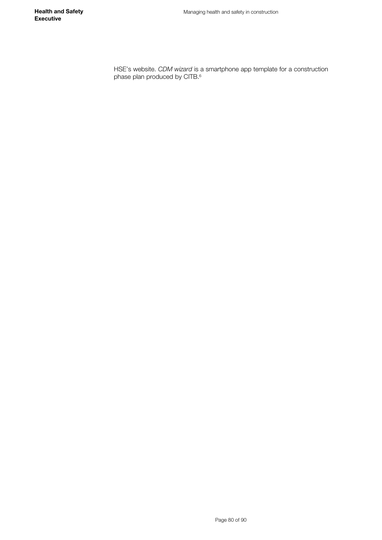HSE's website. *CDM wizard* is a smartphone app template for a construction phase plan produced by CITB.<sup>6</sup>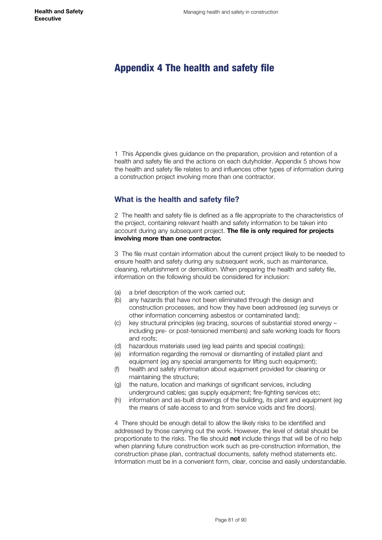# Appendix 4 The health and safety file

1 This Appendix gives guidance on the preparation, provision and retention of a health and safety file and the actions on each dutyholder. Appendix 5 shows how the health and safety file relates to and influences other types of information during a construction project involving more than one contractor.

## **What is the health and safety file?**

2 The health and safety file is defined as a file appropriate to the characteristics of the project, containing relevant health and safety information to be taken into account during any subsequent project. **The file is only required for projects involving more than one contractor.**

3 The file must contain information about the current project likely to be needed to ensure health and safety during any subsequent work, such as maintenance, cleaning, refurbishment or demolition. When preparing the health and safety file, information on the following should be considered for inclusion:

- (a) a brief description of the work carried out;
- (b) any hazards that have not been eliminated through the design and construction processes, and how they have been addressed (eg surveys or other information concerning asbestos or contaminated land);
- (c) key structural principles (eg bracing, sources of substantial stored energy including pre- or post-tensioned members) and safe working loads for floors and roofs;
- (d) hazardous materials used (eg lead paints and special coatings);
- (e) information regarding the removal or dismantling of installed plant and equipment (eg any special arrangements for lifting such equipment);
- (f) health and safety information about equipment provided for cleaning or maintaining the structure;
- (g) the nature, location and markings of significant services, including underground cables; gas supply equipment; fire-fighting services etc;
- (h) information and as-built drawings of the building, its plant and equipment (eg the means of safe access to and from service voids and fire doors).

4 There should be enough detail to allow the likely risks to be identified and addressed by those carrying out the work. However, the level of detail should be proportionate to the risks. The file should **not** include things that will be of no help when planning future construction work such as pre-construction information, the construction phase plan, contractual documents, safety method statements etc. Information must be in a convenient form, clear, concise and easily understandable.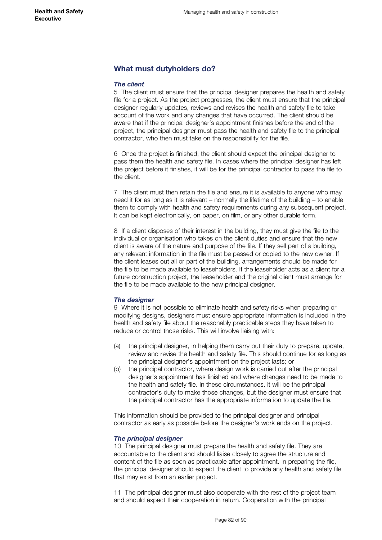### **What must dutyholders do?**

#### *The client*

5 The client must ensure that the principal designer prepares the health and safety file for a project. As the project progresses, the client must ensure that the principal designer regularly updates, reviews and revises the health and safety file to take account of the work and any changes that have occurred. The client should be aware that if the principal designer's appointment finishes before the end of the project, the principal designer must pass the health and safety file to the principal contractor, who then must take on the responsibility for the file.

6 Once the project is finished, the client should expect the principal designer to pass them the health and safety file. In cases where the principal designer has left the project before it finishes, it will be for the principal contractor to pass the file to the client.

7 The client must then retain the file and ensure it is available to anyone who may need it for as long as it is relevant – normally the lifetime of the building – to enable them to comply with health and safety requirements during any subsequent project. It can be kept electronically, on paper, on film, or any other durable form.

8 If a client disposes of their interest in the building, they must give the file to the individual or organisation who takes on the client duties and ensure that the new client is aware of the nature and purpose of the file. If they sell part of a building, any relevant information in the file must be passed or copied to the new owner. If the client leases out all or part of the building, arrangements should be made for the file to be made available to leaseholders. If the leaseholder acts as a client for a future construction project, the leaseholder and the original client must arrange for the file to be made available to the new principal designer.

#### *The designer*

9 Where it is not possible to eliminate health and safety risks when preparing or modifying designs, designers must ensure appropriate information is included in the health and safety file about the reasonably practicable steps they have taken to reduce or control those risks. This will involve liaising with:

- (a) the principal designer, in helping them carry out their duty to prepare, update, review and revise the health and safety file. This should continue for as long as the principal designer's appointment on the project lasts; or
- (b) the principal contractor, where design work is carried out after the principal designer's appointment has finished and where changes need to be made to the health and safety file. In these circumstances, it will be the principal contractor's duty to make those changes, but the designer must ensure that the principal contractor has the appropriate information to update the file.

This information should be provided to the principal designer and principal contractor as early as possible before the designer's work ends on the project.

#### *The principal designer*

10 The principal designer must prepare the health and safety file. They are accountable to the client and should liaise closely to agree the structure and content of the file as soon as practicable after appointment. In preparing the file, the principal designer should expect the client to provide any health and safety file that may exist from an earlier project.

11 The principal designer must also cooperate with the rest of the project team and should expect their cooperation in return. Cooperation with the principal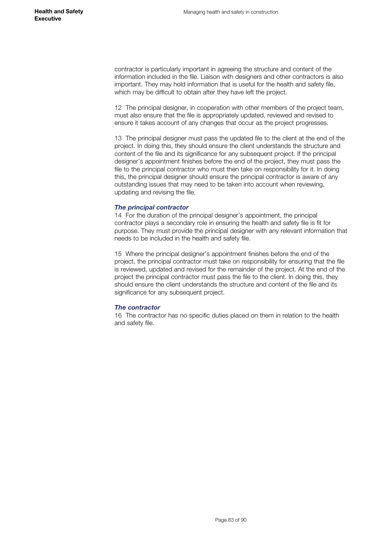contractor is particularly important in agreeing the structure and content of the information included in the file. Liaison with designers and other contractors is also important. They may hold information that is useful for the health and safety file, which may be difficult to obtain after they have left the project.

12 The principal designer, in cooperation with other members of the project team, must also ensure that the file is appropriately updated, reviewed and revised to ensure it takes account of any changes that occur as the project progresses.

13 The principal designer must pass the updated file to the client at the end of the project. In doing this, they should ensure the client understands the structure and content of the file and its significance for any subsequent project. If the principal designer's appointment finishes before the end of the project, they must pass the file to the principal contractor who must then take on responsibility for it. In doing this, the principal designer should ensure the principal contractor is aware of any outstanding issues that may need to be taken into account when reviewing, updating and revising the file.

#### *The principal contractor*

14 For the duration of the principal designer's appointment, the principal contractor plays a secondary role in ensuring the health and safety file is fit for purpose. They must provide the principal designer with any relevant information that needs to be included in the health and safety file.

15 Where the principal designer's appointment finishes before the end of the project, the principal contractor must take on responsibility for ensuring that the file is reviewed, updated and revised for the remainder of the project. At the end of the project the principal contractor must pass the file to the client. In doing this, they should ensure the client understands the structure and content of the file and its significance for any subsequent project.

#### *The contractor*

16 The contractor has no specific duties placed on them in relation to the health and safety file.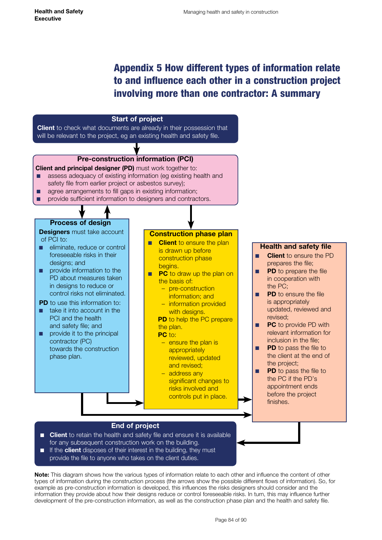Appendix 5 How different types of information relate to and influence each other in a construction project involving more than one contractor: A summary

### **Start of project**

**Client** to check what documents are already in their possession that will be relevant to the project, eg an existing health and safety file.



## **End of project**

- **Client** to retain the health and safety file and ensure it is available for any subsequent construction work on the building.
- If the **client** disposes of their interest in the building, they must provide the file to anyone who takes on the client duties.

**Note:** This diagram shows how the various types of information relate to each other and influence the content of other types of information during the construction process (the arrows show the possible different flows of information). So, for example as pre-construction information is developed, this influences the risks designers should consider and the information they provide about how their designs reduce or control foreseeable risks. In turn, this may influence further development of the pre-construction information, as well as the construction phase plan and the health and safety file.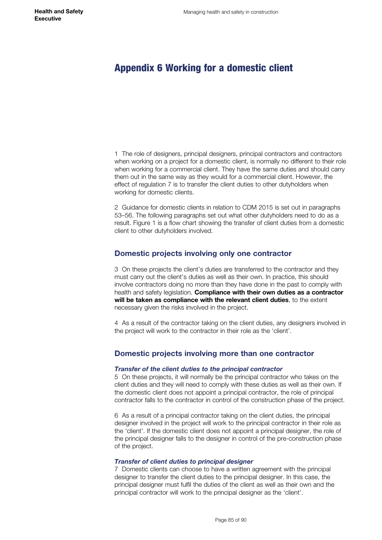# Appendix 6 Working for a domestic client

1 The role of designers, principal designers, principal contractors and contractors when working on a project for a domestic client, is normally no different to their role when working for a commercial client. They have the same duties and should carry them out in the same way as they would for a commercial client. However, the effect of regulation 7 is to transfer the client duties to other dutyholders when working for domestic clients.

2 Guidance for domestic clients in relation to CDM 2015 is set out in paragraphs 53–56. The following paragraphs set out what other dutyholders need to do as a result. Figure 1 is a flow chart showing the transfer of client duties from a domestic client to other dutyholders involved.

### **Domestic projects involving only one contractor**

3 On these projects the client's duties are transferred to the contractor and they must carry out the client's duties as well as their own. In practice, this should involve contractors doing no more than they have done in the past to comply with health and safety legislation. **Compliance with their own duties as a contractor will be taken as compliance with the relevant client duties**, to the extent necessary given the risks involved in the project.

4 As a result of the contractor taking on the client duties, any designers involved in the project will work to the contractor in their role as the 'client'.

## **Domestic projects involving more than one contractor**

#### *Transfer of the client duties to the principal contractor*

5 On these projects, it will normally be the principal contractor who takes on the client duties and they will need to comply with these duties as well as their own. If the domestic client does not appoint a principal contractor, the role of principal contractor falls to the contractor in control of the construction phase of the project.

6 As a result of a principal contractor taking on the client duties, the principal designer involved in the project will work to the principal contractor in their role as the 'client'. If the domestic client does not appoint a principal designer, the role of the principal designer falls to the designer in control of the pre-construction phase of the project.

#### *Transfer of client duties to principal designer*

7 Domestic clients can choose to have a written agreement with the principal designer to transfer the client duties to the principal designer. In this case, the principal designer must fulfil the duties of the client as well as their own and the principal contractor will work to the principal designer as the 'client'.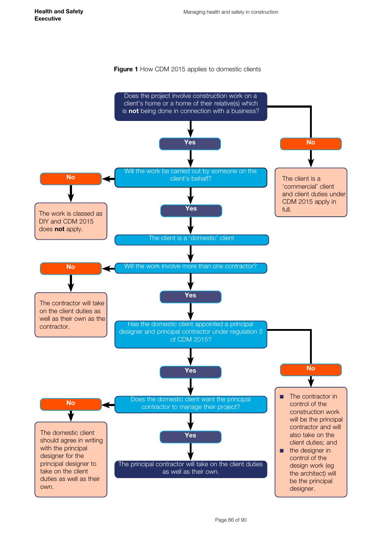### **Figure 1** How CDM 2015 applies to domestic clients

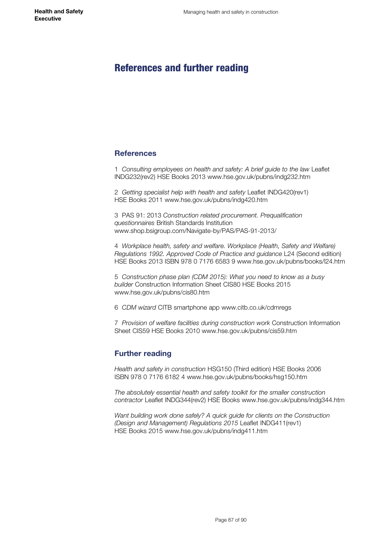# References and further reading

## **References**

1 *Consulting employees on health and safety: A brief guide to the law* Leaflet INDG232(rev2) HSE Books 2013 [www.hse.gov.uk/pubns/indg232.htm](http://www.hse.gov.uk/pubns/indg232.htm)

2 *Getting specialist help with health and safety* Leaflet INDG420(rev1) HSE Books 2011 [www.hse.gov.uk/pubns/indg420.htm](http://www.hse.gov.uk/pubns/indg420.htm)

3 PAS 91: 2013 *Construction related procurement. Prequalification questionnaires* British Standards Institution [www.shop.bsigroup.com/Navigate-by/PAS/PAS-91-2013/](http://www.shop.bsigroup.com/Navigate-by/PAS/PAS-91-2013/)

4 *Workplace health, safety and welfare. Workplace (Health, Safety and Welfare) Regulations 1992. Approved Code of Practice and guidance* L24 (Second edition) HSE Books 2013 ISBN 978 0 7176 6583 9 [www.hse.gov.uk/pubns/books/l24.htm](http://www.hse.gov.uk/pubns/books/l24.htm)

5 *Construction phase plan (CDM 2015): What you need to know as a busy builder* Construction Information Sheet CIS80 HSE Books 2015 www.hse.gov.uk/pubns/cis80.htm

6 *CDM wizard* CITB smartphone app www.citb.co.uk/cdmregs

7 *Provision of welfare facilities during construction work* Construction Information Sheet CIS59 HSE Books 2010 [www.hse.gov.uk/pubns/cis59.htm](http://www.hse.gov.uk/pubns/cis59.htm)

## **Further reading**

*Health and safety in construction* HSG150 (Third edition) HSE Books 2006 ISBN 978 0 7176 6182 4 [www.hse.gov.uk/pubns/books/hsg150.htm](http://www.hse.gov.uk/pubns/books/hsg150.htm)

*The absolutely essential health and safety toolkit for the smaller construction contractor* Leaflet INDG344(rev2) HSE Books [www.hse.gov.uk/pubns/indg344.htm](http://www.hse.gov.uk/pubns/indg344.htm)

Want building work done safely? A quick guide for clients on the Construction *(Design and Management) Regulations 2015* Leaflet INDG411(rev1) HSE Books 2015 [www.hse.gov.uk/pubns/indg411.htm](http://www.hse.gov.uk/pubns/indg411.htm)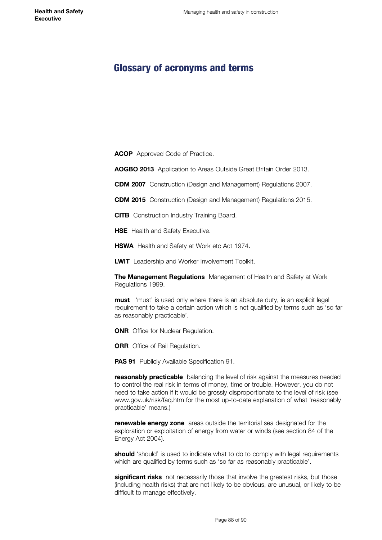# Glossary of acronyms and terms

**ACOP** Approved Code of Practice.

**AOGBO 2013** Application to Areas Outside Great Britain Order 2013.

**CDM 2007** Construction (Design and Management) Regulations 2007.

**CDM 2015** Construction (Design and Management) Regulations 2015.

**CITB** Construction Industry Training Board.

**HSE** Health and Safety Executive.

**HSWA** Health and Safety at Work etc Act 1974.

**LWIT** Leadership and Worker Involvement Toolkit.

**The Management Regulations** Management of Health and Safety at Work Regulations 1999.

**must** 'must' is used only where there is an absolute duty, ie an explicit legal requirement to take a certain action which is not qualified by terms such as 'so far as reasonably practicable'.

**ONR** Office for Nuclear Regulation.

**ORR** Office of Rail Regulation.

**PAS 91** Publicly Available Specification 91.

**reasonably practicable** balancing the level of risk against the measures needed to control the real risk in terms of money, time or trouble. However, you do not need to take action if it would be grossly disproportionate to the level of risk (see [www.gov.uk/risk/faq.htm](http://www.gov.uk/risk/faq.htm) for the most up-to-date explanation of what 'reasonably practicable' means.)

**renewable energy zone** areas outside the territorial sea designated for the exploration or exploitation of energy from water or winds (see section 84 of the Energy Act 2004).

should 'should' is used to indicate what to do to comply with legal requirements which are qualified by terms such as 'so far as reasonably practicable'.

**significant risks** not necessarily those that involve the greatest risks, but those (including health risks) that are not likely to be obvious, are unusual, or likely to be difficult to manage effectively.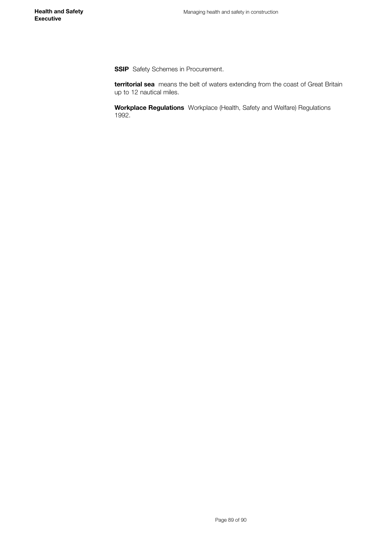**SSIP** Safety Schemes in Procurement.

**territorial sea** means the belt of waters extending from the coast of Great Britain up to 12 nautical miles.

**Workplace Regulations** Workplace (Health, Safety and Welfare) Regulations 1992.